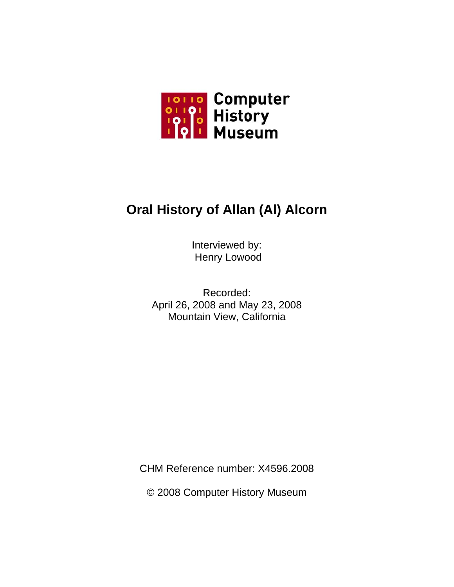

# **Oral History of Allan (Al) Alcorn**

Interviewed by: Henry Lowood

Recorded: April 26, 2008 and May 23, 2008 Mountain View, California

CHM Reference number: X4596.2008

© 2008 Computer History Museum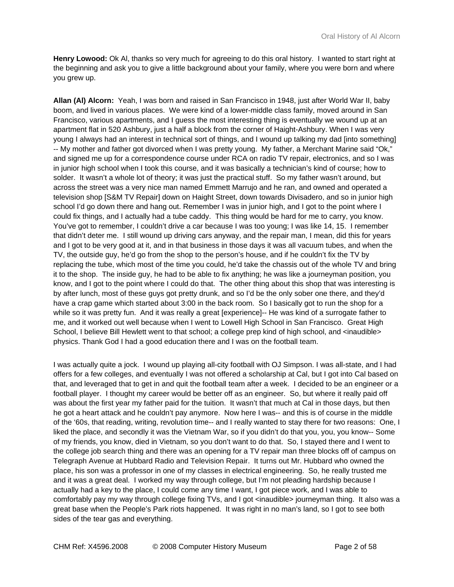**Henry Lowood:** Ok Al, thanks so very much for agreeing to do this oral history. I wanted to start right at the beginning and ask you to give a little background about your family, where you were born and where you grew up.

**Allan (Al) Alcorn:** Yeah, I was born and raised in San Francisco in 1948, just after World War II, baby boom, and lived in various places. We were kind of a lower-middle class family, moved around in San Francisco, various apartments, and I guess the most interesting thing is eventually we wound up at an apartment flat in 520 Ashbury, just a half a block from the corner of Haight-Ashbury. When I was very young I always had an interest in technical sort of things, and I wound up talking my dad [into something] -- My mother and father got divorced when I was pretty young. My father, a Merchant Marine said "Ok," and signed me up for a correspondence course under RCA on radio TV repair, electronics, and so I was in junior high school when I took this course, and it was basically a technician's kind of course; how to solder. It wasn't a whole lot of theory; it was just the practical stuff. So my father wasn't around, but across the street was a very nice man named Emmett Marrujo and he ran, and owned and operated a television shop [S&M TV Repair] down on Haight Street, down towards Divisadero, and so in junior high school I'd go down there and hang out. Remember I was in junior high, and I got to the point where I could fix things, and I actually had a tube caddy. This thing would be hard for me to carry, you know. You've got to remember, I couldn't drive a car because I was too young; I was like 14, 15. I remember that didn't deter me. I still wound up driving cars anyway, and the repair man, I mean, did this for years and I got to be very good at it, and in that business in those days it was all vacuum tubes, and when the TV, the outside guy, he'd go from the shop to the person's house, and if he couldn't fix the TV by replacing the tube, which most of the time you could, he'd take the chassis out of the whole TV and bring it to the shop. The inside guy, he had to be able to fix anything; he was like a journeyman position, you know, and I got to the point where I could do that. The other thing about this shop that was interesting is by after lunch, most of these guys got pretty drunk, and so I'd be the only sober one there, and they'd have a crap game which started about 3:00 in the back room. So I basically got to run the shop for a while so it was pretty fun. And it was really a great [experience]-- He was kind of a surrogate father to me, and it worked out well because when I went to Lowell High School in San Francisco. Great High School, I believe Bill Hewlett went to that school; a college prep kind of high school, and <inaudible> physics. Thank God I had a good education there and I was on the football team.

I was actually quite a jock. I wound up playing all-city football with OJ Simpson. I was all-state, and I had offers for a few colleges, and eventually I was not offered a scholarship at Cal, but I got into Cal based on that, and leveraged that to get in and quit the football team after a week. I decided to be an engineer or a football player. I thought my career would be better off as an engineer. So, but where it really paid off was about the first year my father paid for the tuition. It wasn't that much at Cal in those days, but then he got a heart attack and he couldn't pay anymore. Now here I was-- and this is of course in the middle of the '60s, that reading, writing, revolution time-- and I really wanted to stay there for two reasons: One, I liked the place, and secondly it was the Vietnam War, so if you didn't do that you, you, you know-- Some of my friends, you know, died in Vietnam, so you don't want to do that. So, I stayed there and I went to the college job search thing and there was an opening for a TV repair man three blocks off of campus on Telegraph Avenue at Hubbard Radio and Television Repair. It turns out Mr. Hubbard who owned the place, his son was a professor in one of my classes in electrical engineering. So, he really trusted me and it was a great deal. I worked my way through college, but I'm not pleading hardship because I actually had a key to the place, I could come any time I want, I got piece work, and I was able to comfortably pay my way through college fixing TVs, and I got <inaudible> journeyman thing. It also was a great base when the People's Park riots happened. It was right in no man's land, so I got to see both sides of the tear gas and everything.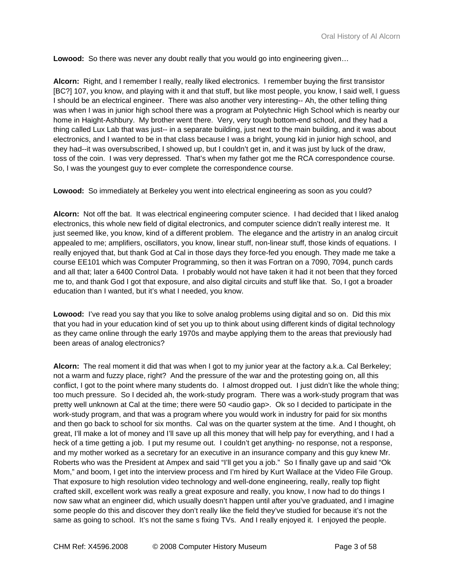**Lowood:** So there was never any doubt really that you would go into engineering given...

**Alcorn:** Right, and I remember I really, really liked electronics. I remember buying the first transistor [BC?] 107, you know, and playing with it and that stuff, but like most people, you know, I said well, I guess I should be an electrical engineer. There was also another very interesting-- Ah, the other telling thing was when I was in junior high school there was a program at Polytechnic High School which is nearby our home in Haight-Ashbury. My brother went there. Very, very tough bottom-end school, and they had a thing called Lux Lab that was just-- in a separate building, just next to the main building, and it was about electronics, and I wanted to be in that class because I was a bright, young kid in junior high school, and they had--it was oversubscribed, I showed up, but I couldn't get in, and it was just by luck of the draw, toss of the coin. I was very depressed. That's when my father got me the RCA correspondence course. So, I was the youngest guy to ever complete the correspondence course.

**Lowood:** So immediately at Berkeley you went into electrical engineering as soon as you could?

**Alcorn:** Not off the bat. It was electrical engineering computer science. I had decided that I liked analog electronics, this whole new field of digital electronics, and computer science didn't really interest me. It just seemed like, you know, kind of a different problem. The elegance and the artistry in an analog circuit appealed to me; amplifiers, oscillators, you know, linear stuff, non-linear stuff, those kinds of equations. I really enjoyed that, but thank God at Cal in those days they force-fed you enough. They made me take a course EE101 which was Computer Programming, so then it was Fortran on a 7090, 7094, punch cards and all that; later a 6400 Control Data. I probably would not have taken it had it not been that they forced me to, and thank God I got that exposure, and also digital circuits and stuff like that. So, I got a broader education than I wanted, but it's what I needed, you know.

**Lowood:** I've read you say that you like to solve analog problems using digital and so on. Did this mix that you had in your education kind of set you up to think about using different kinds of digital technology as they came online through the early 1970s and maybe applying them to the areas that previously had been areas of analog electronics?

**Alcorn:** The real moment it did that was when I got to my junior year at the factory a.k.a. Cal Berkeley; not a warm and fuzzy place, right? And the pressure of the war and the protesting going on, all this conflict, I got to the point where many students do. I almost dropped out. I just didn't like the whole thing; too much pressure. So I decided ah, the work-study program. There was a work-study program that was pretty well unknown at Cal at the time; there were 50 <audio gap>. Ok so I decided to participate in the work-study program, and that was a program where you would work in industry for paid for six months and then go back to school for six months. Cal was on the quarter system at the time. And I thought, oh great, I'll make a lot of money and I'll save up all this money that will help pay for everything, and I had a heck of a time getting a job. I put my resume out. I couldn't get anything- no response, not a response, and my mother worked as a secretary for an executive in an insurance company and this guy knew Mr. Roberts who was the President at Ampex and said "I'll get you a job." So I finally gave up and said "Ok Mom," and boom, I get into the interview process and I'm hired by Kurt Wallace at the Video File Group. That exposure to high resolution video technology and well-done engineering, really, really top flight crafted skill, excellent work was really a great exposure and really, you know, I now had to do things I now saw what an engineer did, which usually doesn't happen until after you've graduated, and I imagine some people do this and discover they don't really like the field they've studied for because it's not the same as going to school. It's not the same s fixing TVs. And I really enjoyed it. I enjoyed the people.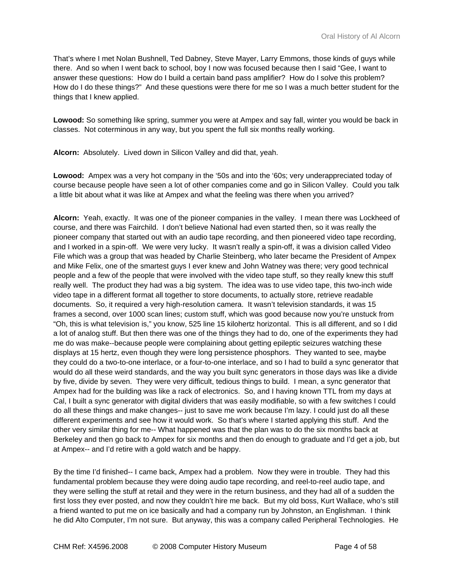That's where I met Nolan Bushnell, Ted Dabney, Steve Mayer, Larry Emmons, those kinds of guys while there. And so when I went back to school, boy I now was focused because then I said "Gee, I want to answer these questions: How do I build a certain band pass amplifier? How do I solve this problem? How do I do these things?" And these questions were there for me so I was a much better student for the things that I knew applied.

**Lowood:** So something like spring, summer you were at Ampex and say fall, winter you would be back in classes. Not coterminous in any way, but you spent the full six months really working.

**Alcorn:** Absolutely. Lived down in Silicon Valley and did that, yeah.

**Lowood:** Ampex was a very hot company in the '50s and into the '60s; very underappreciated today of course because people have seen a lot of other companies come and go in Silicon Valley. Could you talk a little bit about what it was like at Ampex and what the feeling was there when you arrived?

**Alcorn:** Yeah, exactly. It was one of the pioneer companies in the valley. I mean there was Lockheed of course, and there was Fairchild. I don't believe National had even started then, so it was really the pioneer company that started out with an audio tape recording, and then pioneered video tape recording, and I worked in a spin-off. We were very lucky. It wasn't really a spin-off, it was a division called Video File which was a group that was headed by Charlie Steinberg, who later became the President of Ampex and Mike Felix, one of the smartest guys I ever knew and John Watney was there; very good technical people and a few of the people that were involved with the video tape stuff, so they really knew this stuff really well. The product they had was a big system. The idea was to use video tape, this two-inch wide video tape in a different format all together to store documents, to actually store, retrieve readable documents. So, it required a very high-resolution camera. It wasn't television standards, it was 15 frames a second, over 1000 scan lines; custom stuff, which was good because now you're unstuck from "Oh, this is what television is," you know, 525 line 15 kilohertz horizontal. This is all different, and so I did a lot of analog stuff. But then there was one of the things they had to do, one of the experiments they had me do was make--because people were complaining about getting epileptic seizures watching these displays at 15 hertz, even though they were long persistence phosphors. They wanted to see, maybe they could do a two-to-one interlace, or a four-to-one interlace, and so I had to build a sync generator that would do all these weird standards, and the way you built sync generators in those days was like a divide by five, divide by seven. They were very difficult, tedious things to build. I mean, a sync generator that Ampex had for the building was like a rack of electronics. So, and I having known TTL from my days at Cal, I built a sync generator with digital dividers that was easily modifiable, so with a few switches I could do all these things and make changes-- just to save me work because I'm lazy. I could just do all these different experiments and see how it would work. So that's where I started applying this stuff. And the other very similar thing for me-- What happened was that the plan was to do the six months back at Berkeley and then go back to Ampex for six months and then do enough to graduate and I'd get a job, but at Ampex-- and I'd retire with a gold watch and be happy.

By the time I'd finished-- I came back, Ampex had a problem. Now they were in trouble. They had this fundamental problem because they were doing audio tape recording, and reel-to-reel audio tape, and they were selling the stuff at retail and they were in the return business, and they had all of a sudden the first loss they ever posted, and now they couldn't hire me back. But my old boss, Kurt Wallace, who's still a friend wanted to put me on ice basically and had a company run by Johnston, an Englishman. I think he did Alto Computer, I'm not sure. But anyway, this was a company called Peripheral Technologies. He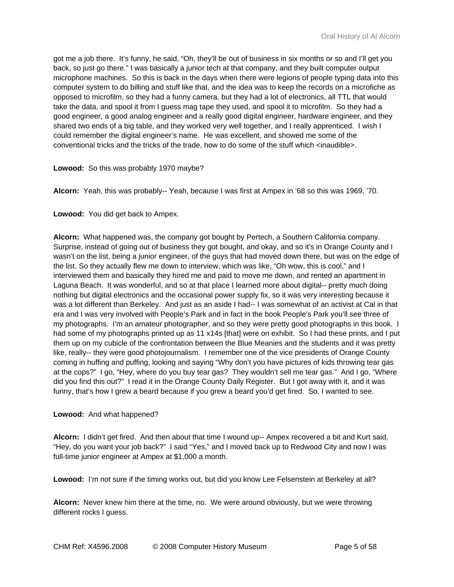got me a job there. It's funny, he said, "Oh, they'll be out of business in six months or so and I'll get you back, so just go there." I was basically a junior tech at that company, and they built computer output microphone machines. So this is back in the days when there were legions of people typing data into this computer system to do billing and stuff like that, and the idea was to keep the records on a microfiche as opposed to microfilm, so they had a funny camera, but they had a lot of electronics, all TTL that would take the data, and spool it from I guess mag tape they used, and spool it to microfilm. So they had a good engineer, a good analog engineer and a really good digital engineer, hardware engineer, and they shared two ends of a big table, and they worked very well together, and I really apprenticed. I wish I could remember the digital engineer's name. He was excellent, and showed me some of the conventional tricks and the tricks of the trade, how to do some of the stuff which <inaudible>.

## **Lowood:** So this was probably 1970 maybe?

**Alcorn:** Yeah, this was probably-- Yeah, because I was first at Ampex in '68 so this was 1969, '70.

**Lowood:** You did get back to Ampex.

**Alcorn:** What happened was, the company got bought by Pertech, a Southern California company. Surprise, instead of going out of business they got bought, and okay, and so it's in Orange County and I wasn't on the list, being a junior engineer, of the guys that had moved down there, but was on the edge of the list. So they actually flew me down to interview, which was like, "Oh wow, this is cool," and I interviewed them and basically they hired me and paid to move me down, and rented an apartment in Laguna Beach. It was wonderful, and so at that place I learned more about digital-- pretty much doing nothing but digital electronics and the occasional power supply fix, so it was very interesting because it was a lot different than Berkeley. And just as an aside I had-- I was somewhat of an activist at Cal in that era and I was very involved with People's Park and in fact in the book People's Park you'll see three of my photographs. I'm an amateur photographer, and so they were pretty good photographs in this book. I had some of my photographs printed up as 11 x14s [that] were on exhibit. So I had these prints, and I put them up on my cubicle of the confrontation between the Blue Meanies and the students and it was pretty like, really-- they were good photojournalism. I remember one of the vice presidents of Orange County coming in huffing and puffing, looking and saying "Why don't you have pictures of kids throwing tear gas at the cops?" I go, "Hey, where do you buy tear gas? They wouldn't sell me tear gas." And I go, "Where did you find this out?" I read it in the Orange County Daily Register. But I got away with it, and it was funny, that's how I grew a beard because if you grew a beard you'd get fired. So, I wanted to see.

## **Lowood:** And what happened?

**Alcorn:** I didn't get fired. And then about that time I wound up-- Ampex recovered a bit and Kurt said, "Hey, do you want your job back?" I said "Yes," and I moved back up to Redwood City and now I was full-time junior engineer at Ampex at \$1,000 a month.

**Lowood:** I'm not sure if the timing works out, but did you know Lee Felsenstein at Berkeley at all?

**Alcorn:** Never knew him there at the time, no. We were around obviously, but we were throwing different rocks I guess.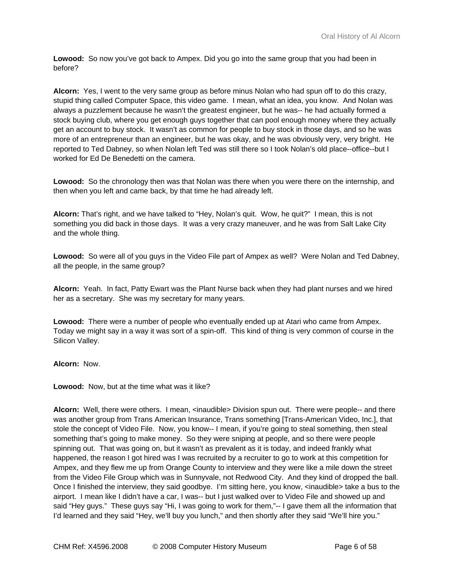**Lowood:** So now you've got back to Ampex. Did you go into the same group that you had been in before?

**Alcorn:** Yes, I went to the very same group as before minus Nolan who had spun off to do this crazy, stupid thing called Computer Space, this video game. I mean, what an idea, you know. And Nolan was always a puzzlement because he wasn't the greatest engineer, but he was-- he had actually formed a stock buying club, where you get enough guys together that can pool enough money where they actually get an account to buy stock. It wasn't as common for people to buy stock in those days, and so he was more of an entrepreneur than an engineer, but he was okay, and he was obviously very, very bright. He reported to Ted Dabney, so when Nolan left Ted was still there so I took Nolan's old place--office--but I worked for Ed De Benedetti on the camera.

**Lowood:** So the chronology then was that Nolan was there when you were there on the internship, and then when you left and came back, by that time he had already left.

**Alcorn:** That's right, and we have talked to "Hey, Nolan's quit. Wow, he quit?" I mean, this is not something you did back in those days. It was a very crazy maneuver, and he was from Salt Lake City and the whole thing.

**Lowood:** So were all of you guys in the Video File part of Ampex as well? Were Nolan and Ted Dabney, all the people, in the same group?

**Alcorn:** Yeah. In fact, Patty Ewart was the Plant Nurse back when they had plant nurses and we hired her as a secretary. She was my secretary for many years.

**Lowood:** There were a number of people who eventually ended up at Atari who came from Ampex. Today we might say in a way it was sort of a spin-off. This kind of thing is very common of course in the Silicon Valley.

## **Alcorn:** Now.

**Lowood:** Now, but at the time what was it like?

**Alcorn:** Well, there were others. I mean, <inaudible> Division spun out. There were people-- and there was another group from Trans American Insurance, Trans something [Trans-American Video, Inc.], that stole the concept of Video File. Now, you know-- I mean, if you're going to steal something, then steal something that's going to make money. So they were sniping at people, and so there were people spinning out. That was going on, but it wasn't as prevalent as it is today, and indeed frankly what happened, the reason I got hired was I was recruited by a recruiter to go to work at this competition for Ampex, and they flew me up from Orange County to interview and they were like a mile down the street from the Video File Group which was in Sunnyvale, not Redwood City. And they kind of dropped the ball. Once I finished the interview, they said goodbye. I'm sitting here, you know, <inaudible> take a bus to the airport. I mean like I didn't have a car, I was-- but I just walked over to Video File and showed up and said "Hey guys." These guys say "Hi, I was going to work for them,"-- I gave them all the information that I'd learned and they said "Hey, we'll buy you lunch," and then shortly after they said "We'll hire you."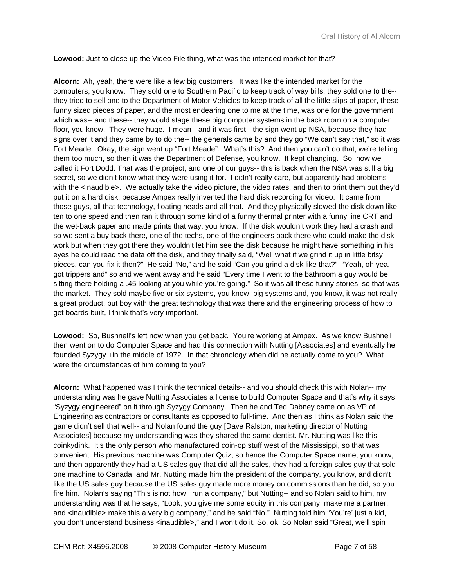**Lowood:** Just to close up the Video File thing, what was the intended market for that?

**Alcorn:** Ah, yeah, there were like a few big customers. It was like the intended market for the computers, you know. They sold one to Southern Pacific to keep track of way bills, they sold one to the- they tried to sell one to the Department of Motor Vehicles to keep track of all the little slips of paper, these funny sized pieces of paper, and the most endearing one to me at the time, was one for the government which was-- and these-- they would stage these big computer systems in the back room on a computer floor, you know. They were huge. I mean-- and it was first-- the sign went up NSA, because they had signs over it and they came by to do the-- the generals came by and they go "We can't say that," so it was Fort Meade. Okay, the sign went up "Fort Meade". What's this? And then you can't do that, we're telling them too much, so then it was the Department of Defense, you know. It kept changing. So, now we called it Fort Dodd. That was the project, and one of our guys-- this is back when the NSA was still a big secret, so we didn't know what they were using it for. I didn't really care, but apparently had problems with the <inaudible>. We actually take the video picture, the video rates, and then to print them out they'd put it on a hard disk, because Ampex really invented the hard disk recording for video. It came from those guys, all that technology, floating heads and all that. And they physically slowed the disk down like ten to one speed and then ran it through some kind of a funny thermal printer with a funny line CRT and the wet-back paper and made prints that way, you know. If the disk wouldn't work they had a crash and so we sent a buy back there, one of the techs, one of the engineers back there who could make the disk work but when they got there they wouldn't let him see the disk because he might have something in his eyes he could read the data off the disk, and they finally said, "Well what if we grind it up in little bitsy pieces, can you fix it then?" He said "No," and he said "Can you grind a disk like that?" "Yeah, oh yea. I got trippers and" so and we went away and he said "Every time I went to the bathroom a guy would be sitting there holding a .45 looking at you while you're going." So it was all these funny stories, so that was the market. They sold maybe five or six systems, you know, big systems and, you know, it was not really a great product, but boy with the great technology that was there and the engineering process of how to get boards built, I think that's very important.

**Lowood:** So, Bushnell's left now when you get back. You're working at Ampex. As we know Bushnell then went on to do Computer Space and had this connection with Nutting [Associates] and eventually he founded Syzygy +in the middle of 1972. In that chronology when did he actually come to you? What were the circumstances of him coming to you?

**Alcorn:** What happened was I think the technical details-- and you should check this with Nolan-- my understanding was he gave Nutting Associates a license to build Computer Space and that's why it says "Syzygy engineered" on it through Syzygy Company. Then he and Ted Dabney came on as VP of Engineering as contractors or consultants as opposed to full-time. And then as I think as Nolan said the game didn't sell that well-- and Nolan found the guy [Dave Ralston, marketing director of Nutting Associates] because my understanding was they shared the same dentist. Mr. Nutting was like this coinkydink. It's the only person who manufactured coin-op stuff west of the Mississippi, so that was convenient. His previous machine was Computer Quiz, so hence the Computer Space name, you know, and then apparently they had a US sales guy that did all the sales, they had a foreign sales guy that sold one machine to Canada, and Mr. Nutting made him the president of the company, you know, and didn't like the US sales guy because the US sales guy made more money on commissions than he did, so you fire him. Nolan's saying "This is not how I run a company," but Nutting-- and so Nolan said to him, my understanding was that he says, "Look, you give me some equity in this company, make me a partner, and <inaudible> make this a very big company," and he said "No." Nutting told him "You're' just a kid, you don't understand business <inaudible>," and I won't do it. So, ok. So Nolan said "Great, we'll spin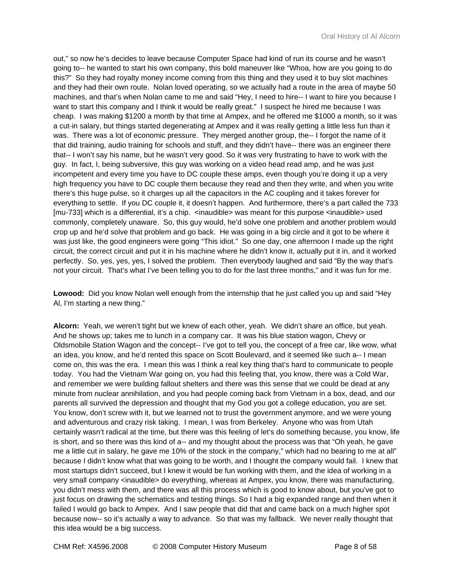out," so now he's decides to leave because Computer Space had kind of run its course and he wasn't going to-- he wanted to start his own company, this bold maneuver like "Whoa, how are you going to do this?" So they had royalty money income coming from this thing and they used it to buy slot machines and they had their own route. Nolan loved operating, so we actually had a route in the area of maybe 50 machines, and that's when Nolan came to me and said "Hey, I need to hire-- I want to hire you because I want to start this company and I think it would be really great." I suspect he hired me because I was cheap. I was making \$1200 a month by that time at Ampex, and he offered me \$1000 a month, so it was a cut-in salary, but things started degenerating at Ampex and it was really getting a little less fun than it was. There was a lot of economic pressure. They merged another group, the-- I forgot the name of it that did training, audio training for schools and stuff, and they didn't have-- there was an engineer there that-- I won't say his name, but he wasn't very good. So it was very frustrating to have to work with the guy. In fact, I, being subversive, this guy was working on a video head read amp, and he was just incompetent and every time you have to DC couple these amps, even though you're doing it up a very high frequency you have to DC couple them because they read and then they write, and when you write there's this huge pulse, so it charges up all the capacitors in the AC coupling and it takes forever for everything to settle. If you DC couple it, it doesn't happen. And furthermore, there's a part called the 733 [mu-733] which is a differential, it's a chip. <inaudible> was meant for this purpose <inaudible> used commonly, completely unaware. So, this guy would, he'd solve one problem and another problem would crop up and he'd solve that problem and go back. He was going in a big circle and it got to be where it was just like, the good engineers were going "This idiot." So one day, one afternoon I made up the right circuit, the correct circuit and put it in his machine where he didn't know it, actually put it in, and it worked perfectly. So, yes, yes, yes, I solved the problem. Then everybody laughed and said "By the way that's not your circuit. That's what I've been telling you to do for the last three months," and it was fun for me.

**Lowood:** Did you know Nolan well enough from the internship that he just called you up and said "Hey Al, I'm starting a new thing."

**Alcorn:** Yeah, we weren't tight but we knew of each other, yeah. We didn't share an office, but yeah. And he shows up; takes me to lunch in a company car. It was his blue station wagon, Chevy or Oldsmobile Station Wagon and the concept-- I've got to tell you, the concept of a free car, like wow, what an idea, you know, and he'd rented this space on Scott Boulevard, and it seemed like such a-- I mean come on, this was the era. I mean this was I think a real key thing that's hard to communicate to people today. You had the Vietnam War going on, you had this feeling that, you know, there was a Cold War, and remember we were building fallout shelters and there was this sense that we could be dead at any minute from nuclear annihilation, and you had people coming back from Vietnam in a box, dead, and our parents all survived the depression and thought that my God you got a college education, you are set. You know, don't screw with it, but we learned not to trust the government anymore, and we were young and adventurous and crazy risk taking. I mean, I was from Berkeley. Anyone who was from Utah certainly wasn't radical at the time, but there was this feeling of let's do something because, you know, life is short, and so there was this kind of a-- and my thought about the process was that "Oh yeah, he gave me a little cut in salary, he gave me 10% of the stock in the company," which had no bearing to me at all" because I didn't know what that was going to be worth, and I thought the company would fail. I knew that most startups didn't succeed, but I knew it would be fun working with them, and the idea of working in a very small company <inaudible> do everything, whereas at Ampex, you know, there was manufacturing, you didn't mess with them, and there was all this process which is good to know about, but you've got to just focus on drawing the schematics and testing things. So I had a big expanded range and then when it failed I would go back to Ampex. And I saw people that did that and came back on a much higher spot because now-- so it's actually a way to advance. So that was my fallback. We never really thought that this idea would be a big success.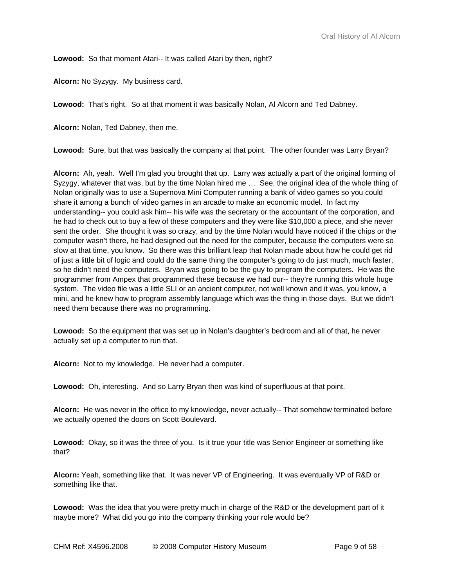**Lowood:** So that moment Atari-- It was called Atari by then, right?

**Alcorn:** No Syzygy. My business card.

**Lowood:** That's right. So at that moment it was basically Nolan, Al Alcorn and Ted Dabney.

**Alcorn:** Nolan, Ted Dabney, then me.

**Lowood:** Sure, but that was basically the company at that point. The other founder was Larry Bryan?

**Alcorn:** Ah, yeah. Well I'm glad you brought that up. Larry was actually a part of the original forming of Syzygy, whatever that was, but by the time Nolan hired me … See, the original idea of the whole thing of Nolan originally was to use a Supernova Mini Computer running a bank of video games so you could share it among a bunch of video games in an arcade to make an economic model. In fact my understanding-- you could ask him-- his wife was the secretary or the accountant of the corporation, and he had to check out to buy a few of these computers and they were like \$10,000 a piece, and she never sent the order. She thought it was so crazy, and by the time Nolan would have noticed if the chips or the computer wasn't there, he had designed out the need for the computer, because the computers were so slow at that time, you know. So there was this brilliant leap that Nolan made about how he could get rid of just a little bit of logic and could do the same thing the computer's going to do just much, much faster, so he didn't need the computers. Bryan was going to be the guy to program the computers. He was the programmer from Ampex that programmed these because we had our-- they're running this whole huge system. The video file was a little SLI or an ancient computer, not well known and it was, you know, a mini, and he knew how to program assembly language which was the thing in those days. But we didn't need them because there was no programming.

**Lowood:** So the equipment that was set up in Nolan's daughter's bedroom and all of that, he never actually set up a computer to run that.

**Alcorn:** Not to my knowledge. He never had a computer.

**Lowood:** Oh, interesting. And so Larry Bryan then was kind of superfluous at that point.

**Alcorn:** He was never in the office to my knowledge, never actually-- That somehow terminated before we actually opened the doors on Scott Boulevard.

**Lowood:** Okay, so it was the three of you. Is it true your title was Senior Engineer or something like that?

**Alcorn:** Yeah, something like that. It was never VP of Engineering. It was eventually VP of R&D or something like that.

**Lowood:** Was the idea that you were pretty much in charge of the R&D or the development part of it maybe more? What did you go into the company thinking your role would be?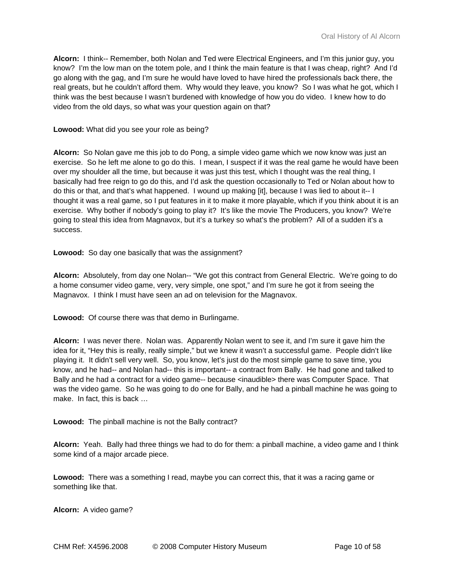**Alcorn:** I think-- Remember, both Nolan and Ted were Electrical Engineers, and I'm this junior guy, you know? I'm the low man on the totem pole, and I think the main feature is that I was cheap, right? And I'd go along with the gag, and I'm sure he would have loved to have hired the professionals back there, the real greats, but he couldn't afford them. Why would they leave, you know? So I was what he got, which I think was the best because I wasn't burdened with knowledge of how you do video. I knew how to do video from the old days, so what was your question again on that?

**Lowood:** What did you see your role as being?

**Alcorn:** So Nolan gave me this job to do Pong, a simple video game which we now know was just an exercise. So he left me alone to go do this. I mean, I suspect if it was the real game he would have been over my shoulder all the time, but because it was just this test, which I thought was the real thing, I basically had free reign to go do this, and I'd ask the question occasionally to Ted or Nolan about how to do this or that, and that's what happened. I wound up making [it], because I was lied to about it-- I thought it was a real game, so I put features in it to make it more playable, which if you think about it is an exercise. Why bother if nobody's going to play it? It's like the movie The Producers, you know? We're going to steal this idea from Magnavox, but it's a turkey so what's the problem? All of a sudden it's a success.

**Lowood:** So day one basically that was the assignment?

**Alcorn:** Absolutely, from day one Nolan-- "We got this contract from General Electric. We're going to do a home consumer video game, very, very simple, one spot," and I'm sure he got it from seeing the Magnavox. I think I must have seen an ad on television for the Magnavox.

**Lowood:** Of course there was that demo in Burlingame.

**Alcorn:** I was never there. Nolan was. Apparently Nolan went to see it, and I'm sure it gave him the idea for it, "Hey this is really, really simple," but we knew it wasn't a successful game. People didn't like playing it. It didn't sell very well. So, you know, let's just do the most simple game to save time, you know, and he had-- and Nolan had-- this is important-- a contract from Bally. He had gone and talked to Bally and he had a contract for a video game-- because <inaudible> there was Computer Space. That was the video game. So he was going to do one for Bally, and he had a pinball machine he was going to make. In fact, this is back …

**Lowood:** The pinball machine is not the Bally contract?

**Alcorn:** Yeah. Bally had three things we had to do for them: a pinball machine, a video game and I think some kind of a major arcade piece.

**Lowood:** There was a something I read, maybe you can correct this, that it was a racing game or something like that.

**Alcorn:** A video game?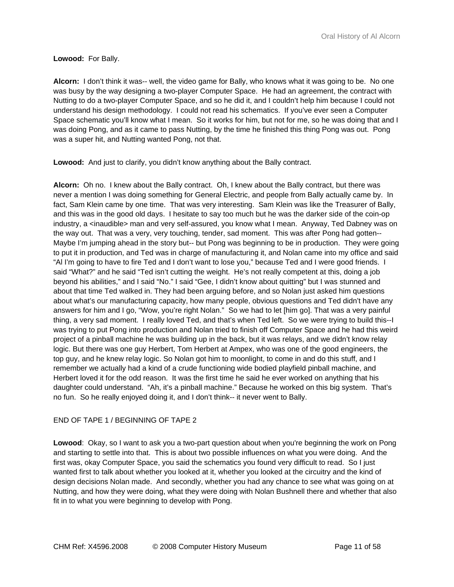## **Lowood:** For Bally.

**Alcorn:** I don't think it was-- well, the video game for Bally, who knows what it was going to be. No one was busy by the way designing a two-player Computer Space. He had an agreement, the contract with Nutting to do a two-player Computer Space, and so he did it, and I couldn't help him because I could not understand his design methodology. I could not read his schematics. If you've ever seen a Computer Space schematic you'll know what I mean. So it works for him, but not for me, so he was doing that and I was doing Pong, and as it came to pass Nutting, by the time he finished this thing Pong was out. Pong was a super hit, and Nutting wanted Pong, not that.

**Lowood:** And just to clarify, you didn't know anything about the Bally contract.

**Alcorn:** Oh no. I knew about the Bally contract. Oh, I knew about the Bally contract, but there was never a mention I was doing something for General Electric, and people from Bally actually came by. In fact, Sam Klein came by one time. That was very interesting. Sam Klein was like the Treasurer of Bally, and this was in the good old days. I hesitate to say too much but he was the darker side of the coin-op industry, a <inaudible> man and very self-assured, you know what I mean. Anyway, Ted Dabney was on the way out. That was a very, very touching, tender, sad moment. This was after Pong had gotten-- Maybe I'm jumping ahead in the story but-- but Pong was beginning to be in production. They were going to put it in production, and Ted was in charge of manufacturing it, and Nolan came into my office and said "Al I'm going to have to fire Ted and I don't want to lose you," because Ted and I were good friends. I said "What?" and he said "Ted isn't cutting the weight. He's not really competent at this, doing a job beyond his abilities," and I said "No." I said "Gee, I didn't know about quitting" but I was stunned and about that time Ted walked in. They had been arguing before, and so Nolan just asked him questions about what's our manufacturing capacity, how many people, obvious questions and Ted didn't have any answers for him and I go, "Wow, you're right Nolan." So we had to let [him go]. That was a very painful thing, a very sad moment. I really loved Ted, and that's when Ted left. So we were trying to build this--I was trying to put Pong into production and Nolan tried to finish off Computer Space and he had this weird project of a pinball machine he was building up in the back, but it was relays, and we didn't know relay logic. But there was one guy Herbert, Tom Herbert at Ampex, who was one of the good engineers, the top guy, and he knew relay logic. So Nolan got him to moonlight, to come in and do this stuff, and I remember we actually had a kind of a crude functioning wide bodied playfield pinball machine, and Herbert loved it for the odd reason. It was the first time he said he ever worked on anything that his daughter could understand. "Ah, it's a pinball machine." Because he worked on this big system. That's no fun. So he really enjoyed doing it, and I don't think-- it never went to Bally.

# END OF TAPE 1 / BEGINNING OF TAPE 2

**Lowood**: Okay, so I want to ask you a two-part question about when you're beginning the work on Pong and starting to settle into that. This is about two possible influences on what you were doing. And the first was, okay Computer Space, you said the schematics you found very difficult to read. So I just wanted first to talk about whether you looked at it, whether you looked at the circuitry and the kind of design decisions Nolan made. And secondly, whether you had any chance to see what was going on at Nutting, and how they were doing, what they were doing with Nolan Bushnell there and whether that also fit in to what you were beginning to develop with Pong.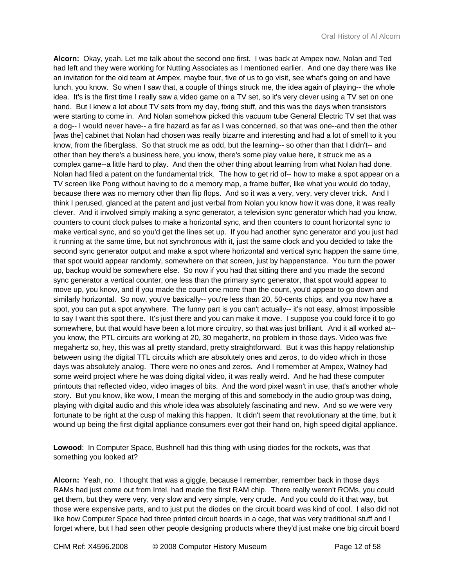**Alcorn:** Okay, yeah. Let me talk about the second one first. I was back at Ampex now, Nolan and Ted had left and they were working for Nutting Associates as I mentioned earlier. And one day there was like an invitation for the old team at Ampex, maybe four, five of us to go visit, see what's going on and have lunch, you know. So when I saw that, a couple of things struck me, the idea again of playing-- the whole idea. It's is the first time I really saw a video game on a TV set, so it's very clever using a TV set on one hand. But I knew a lot about TV sets from my day, fixing stuff, and this was the days when transistors were starting to come in. And Nolan somehow picked this vacuum tube General Electric TV set that was a dog-- I would never have-- a fire hazard as far as I was concerned, so that was one--and then the other [was the] cabinet that Nolan had chosen was really bizarre and interesting and had a lot of smell to it you know, from the fiberglass. So that struck me as odd, but the learning-- so other than that I didn't-- and other than hey there's a business here, you know, there's some play value here, it struck me as a complex game--a little hard to play. And then the other thing about learning from what Nolan had done. Nolan had filed a patent on the fundamental trick. The how to get rid of-- how to make a spot appear on a TV screen like Pong without having to do a memory map, a frame buffer, like what you would do today, because there was no memory other than flip flops. And so it was a very, very, very clever trick. And I think I perused, glanced at the patent and just verbal from Nolan you know how it was done, it was really clever. And it involved simply making a sync generator, a television sync generator which had you know, counters to count clock pulses to make a horizontal sync, and then counters to count horizontal sync to make vertical sync, and so you'd get the lines set up. If you had another sync generator and you just had it running at the same time, but not synchronous with it, just the same clock and you decided to take the second sync generator output and make a spot where horizontal and vertical sync happen the same time, that spot would appear randomly, somewhere on that screen, just by happenstance. You turn the power up, backup would be somewhere else. So now if you had that sitting there and you made the second sync generator a vertical counter, one less than the primary sync generator, that spot would appear to move up, you know, and if you made the count one more than the count, you'd appear to go down and similarly horizontal. So now, you've basically-- you're less than 20, 50-cents chips, and you now have a spot, you can put a spot anywhere. The funny part is you can't actually-- it's not easy, almost impossible to say I want this spot there. It's just there and you can make it move. I suppose you could force it to go somewhere, but that would have been a lot more circuitry, so that was just brilliant. And it all worked at- you know, the PTL circuits are working at 20, 30 megahertz, no problem in those days. Video was five megahertz so, hey, this was all pretty standard, pretty straightforward. But it was this happy relationship between using the digital TTL circuits which are absolutely ones and zeros, to do video which in those days was absolutely analog. There were no ones and zeros. And I remember at Ampex, Watney had some weird project where he was doing digital video, it was really weird. And he had these computer printouts that reflected video, video images of bits. And the word pixel wasn't in use, that's another whole story. But you know, like wow, I mean the merging of this and somebody in the audio group was doing, playing with digital audio and this whole idea was absolutely fascinating and new. And so we were very fortunate to be right at the cusp of making this happen. It didn't seem that revolutionary at the time, but it wound up being the first digital appliance consumers ever got their hand on, high speed digital appliance.

**Lowood**: In Computer Space, Bushnell had this thing with using diodes for the rockets, was that something you looked at?

**Alcorn:** Yeah, no. I thought that was a giggle, because I remember, remember back in those days RAMs had just come out from Intel, had made the first RAM chip. There really weren't ROMs, you could get them, but they were very, very slow and very simple, very crude. And you could do it that way, but those were expensive parts, and to just put the diodes on the circuit board was kind of cool. I also did not like how Computer Space had three printed circuit boards in a cage, that was very traditional stuff and I forget where, but I had seen other people designing products where they'd just make one big circuit board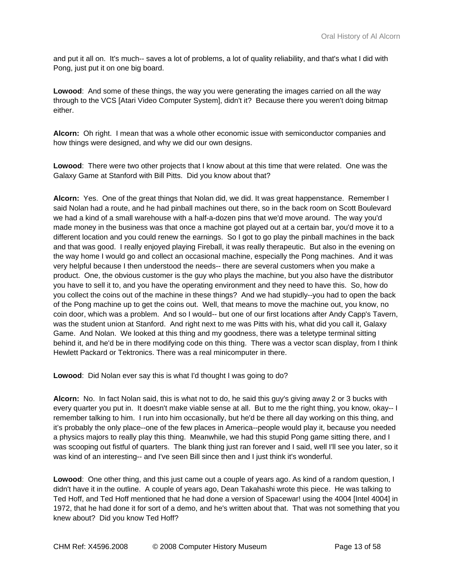and put it all on. It's much-- saves a lot of problems, a lot of quality reliability, and that's what I did with Pong, just put it on one big board.

**Lowood**: And some of these things, the way you were generating the images carried on all the way through to the VCS [Atari Video Computer System], didn't it? Because there you weren't doing bitmap either.

**Alcorn:** Oh right. I mean that was a whole other economic issue with semiconductor companies and how things were designed, and why we did our own designs.

**Lowood**: There were two other projects that I know about at this time that were related. One was the Galaxy Game at Stanford with Bill Pitts. Did you know about that?

**Alcorn:** Yes. One of the great things that Nolan did, we did. It was great happenstance. Remember I said Nolan had a route, and he had pinball machines out there, so in the back room on Scott Boulevard we had a kind of a small warehouse with a half-a-dozen pins that we'd move around. The way you'd made money in the business was that once a machine got played out at a certain bar, you'd move it to a different location and you could renew the earnings. So I got to go play the pinball machines in the back and that was good. I really enjoyed playing Fireball, it was really therapeutic. But also in the evening on the way home I would go and collect an occasional machine, especially the Pong machines. And it was very helpful because I then understood the needs-- there are several customers when you make a product. One, the obvious customer is the guy who plays the machine, but you also have the distributor you have to sell it to, and you have the operating environment and they need to have this. So, how do you collect the coins out of the machine in these things? And we had stupidly--you had to open the back of the Pong machine up to get the coins out. Well, that means to move the machine out, you know, no coin door, which was a problem. And so I would-- but one of our first locations after Andy Capp's Tavern, was the student union at Stanford. And right next to me was Pitts with his, what did you call it, Galaxy Game. And Nolan. We looked at this thing and my goodness, there was a teletype terminal sitting behind it, and he'd be in there modifying code on this thing. There was a vector scan display, from I think Hewlett Packard or Tektronics. There was a real minicomputer in there.

**Lowood**: Did Nolan ever say this is what I'd thought I was going to do?

**Alcorn:** No. In fact Nolan said, this is what not to do, he said this guy's giving away 2 or 3 bucks with every quarter you put in. It doesn't make viable sense at all. But to me the right thing, you know, okay-- I remember talking to him. I run into him occasionally, but he'd be there all day working on this thing, and it's probably the only place--one of the few places in America--people would play it, because you needed a physics majors to really play this thing. Meanwhile, we had this stupid Pong game sitting there, and I was scooping out fistful of quarters. The blank thing just ran forever and I said, well I'll see you later, so it was kind of an interesting-- and I've seen Bill since then and I just think it's wonderful.

**Lowood**: One other thing, and this just came out a couple of years ago. As kind of a random question, I didn't have it in the outline. A couple of years ago, Dean Takahashi wrote this piece. He was talking to Ted Hoff, and Ted Hoff mentioned that he had done a version of Spacewar! using the 4004 [Intel 4004] in 1972, that he had done it for sort of a demo, and he's written about that. That was not something that you knew about? Did you know Ted Hoff?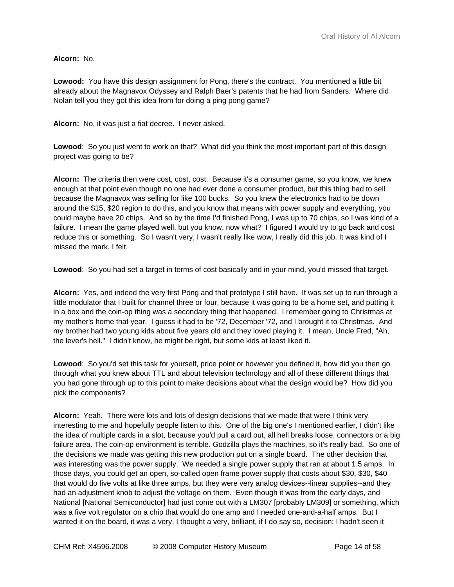**Alcorn:** No.

**Lowood:** You have this design assignment for Pong, there's the contract. You mentioned a little bit already about the Magnavox Odyssey and Ralph Baer's patents that he had from Sanders. Where did Nolan tell you they got this idea from for doing a ping pong game?

**Alcorn:** No, it was just a fiat decree. I never asked.

**Lowood**: So you just went to work on that? What did you think the most important part of this design project was going to be?

**Alcorn:** The criteria then were cost, cost, cost. Because it's a consumer game, so you know, we knew enough at that point even though no one had ever done a consumer product, but this thing had to sell because the Magnavox was selling for like 100 bucks. So you knew the electronics had to be down around the \$15, \$20 region to do this, and you know that means with power supply and everything, you could maybe have 20 chips. And so by the time I'd finished Pong, I was up to 70 chips, so I was kind of a failure. I mean the game played well, but you know, now what? I figured I would try to go back and cost reduce this or something. So I wasn't very, I wasn't really like wow, I really did this job. It was kind of I missed the mark, I felt.

**Lowood**: So you had set a target in terms of cost basically and in your mind, you'd missed that target.

**Alcorn:** Yes, and indeed the very first Pong and that prototype I still have. It was set up to run through a little modulator that I built for channel three or four, because it was going to be a home set, and putting it in a box and the coin-op thing was a secondary thing that happened. I remember going to Christmas at my mother's home that year. I guess it had to be '72, December '72, and I brought it to Christmas. And my brother had two young kids about five years old and they loved playing it. I mean, Uncle Fred, "Ah, the lever's hell." I didn't know, he might be right, but some kids at least liked it.

**Lowood**: So you'd set this task for yourself, price point or however you defined it, how did you then go through what you knew about TTL and about television technology and all of these different things that you had gone through up to this point to make decisions about what the design would be? How did you pick the components?

**Alcorn:** Yeah. There were lots and lots of design decisions that we made that were I think very interesting to me and hopefully people listen to this. One of the big one's I mentioned earlier, I didn't like the idea of multiple cards in a slot, because you'd pull a card out, all hell breaks loose, connectors or a big failure area. The coin-op environment is terrible. Godzilla plays the machines, so it's really bad. So one of the decisions we made was getting this new production put on a single board. The other decision that was interesting was the power supply. We needed a single power supply that ran at about 1.5 amps. In those days, you could get an open, so-called open frame power supply that costs about \$30, \$30, \$40 that would do five volts at like three amps, but they were very analog devices--linear supplies--and they had an adjustment knob to adjust the voltage on them. Even though it was from the early days, and National [National Semiconductor] had just come out with a LM307 [probably LM309] or something, which was a five volt regulator on a chip that would do one amp and I needed one-and-a-half amps. But I wanted it on the board, it was a very, I thought a very, brilliant, if I do say so, decision; I hadn't seen it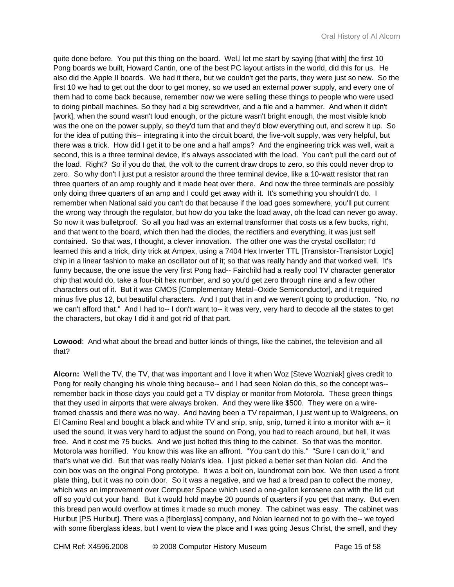quite done before. You put this thing on the board. Wel, let me start by saying [that with] the first 10 Pong boards we built, Howard Cantin, one of the best PC layout artists in the world, did this for us. He also did the Apple II boards. We had it there, but we couldn't get the parts, they were just so new. So the first 10 we had to get out the door to get money, so we used an external power supply, and every one of them had to come back because, remember now we were selling these things to people who were used to doing pinball machines. So they had a big screwdriver, and a file and a hammer. And when it didn't [work], when the sound wasn't loud enough, or the picture wasn't bright enough, the most visible knob was the one on the power supply, so they'd turn that and they'd blow everything out, and screw it up. So for the idea of putting this-- integrating it into the circuit board, the five-volt supply, was very helpful, but there was a trick. How did I get it to be one and a half amps? And the engineering trick was well, wait a second, this is a three terminal device, it's always associated with the load. You can't pull the card out of the load. Right? So if you do that, the volt to the current draw drops to zero, so this could never drop to zero. So why don't I just put a resistor around the three terminal device, like a 10-watt resistor that ran three quarters of an amp roughly and it made heat over there. And now the three terminals are possibly only doing three quarters of an amp and I could get away with it. It's something you shouldn't do. I remember when National said you can't do that because if the load goes somewhere, you'll put current the wrong way through the regulator, but how do you take the load away, oh the load can never go away. So now it was bulletproof. So all you had was an external transformer that costs us a few bucks, right, and that went to the board, which then had the diodes, the rectifiers and everything, it was just self contained. So that was, I thought, a clever innovation. The other one was the crystal oscillator; I'd learned this and a trick, dirty trick at Ampex, using a 7404 Hex Inverter TTL [Transistor-Transistor Logic] chip in a linear fashion to make an oscillator out of it; so that was really handy and that worked well. It's funny because, the one issue the very first Pong had-- Fairchild had a really cool TV character generator chip that would do, take a four-bit hex number, and so you'd get zero through nine and a few other characters out of it. But it was CMOS [Complementary Metal–Oxide Semiconductor], and it required minus five plus 12, but beautiful characters. And I put that in and we weren't going to production. "No, no we can't afford that." And I had to-- I don't want to-- it was very, very hard to decode all the states to get the characters, but okay I did it and got rid of that part.

**Lowood**: And what about the bread and butter kinds of things, like the cabinet, the television and all that?

**Alcorn:** Well the TV, the TV, that was important and I love it when Woz [Steve Wozniak] gives credit to Pong for really changing his whole thing because-- and I had seen Nolan do this, so the concept was- remember back in those days you could get a TV display or monitor from Motorola. These green things that they used in airports that were always broken. And they were like \$500. They were on a wireframed chassis and there was no way. And having been a TV repairman, I just went up to Walgreens, on El Camino Real and bought a black and white TV and snip, snip, snip, turned it into a monitor with a-- it used the sound, it was very hard to adjust the sound on Pong, you had to reach around, but hell, it was free. And it cost me 75 bucks. And we just bolted this thing to the cabinet. So that was the monitor. Motorola was horrified. You know this was like an affront. "You can't do this." "Sure I can do it," and that's what we did. But that was really Nolan's idea. I just picked a better set than Nolan did. And the coin box was on the original Pong prototype. It was a bolt on, laundromat coin box. We then used a front plate thing, but it was no coin door. So it was a negative, and we had a bread pan to collect the money, which was an improvement over Computer Space which used a one-gallon kerosene can with the lid cut off so you'd cut your hand. But it would hold maybe 20 pounds of quarters if you get that many. But even this bread pan would overflow at times it made so much money.The cabinet was easy. The cabinet was Hurlbut [PS Hurlbut]. There was a [fiberglass] company, and Nolan learned not to go with the-- we toyed with some fiberglass ideas, but I went to view the place and I was going Jesus Christ, the smell, and they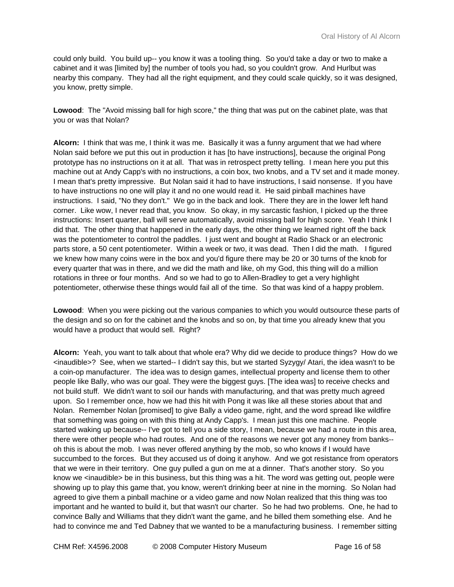could only build. You build up-- you know it was a tooling thing. So you'd take a day or two to make a cabinet and it was [limited by] the number of tools you had, so you couldn't grow. And Hurlbut was nearby this company. They had all the right equipment, and they could scale quickly, so it was designed, you know, pretty simple.

Lowood: The "Avoid missing ball for high score," the thing that was put on the cabinet plate, was that you or was that Nolan?

**Alcorn:** I think that was me, I think it was me. Basically it was a funny argument that we had where Nolan said before we put this out in production it has [to have instructions], because the original Pong prototype has no instructions on it at all. That was in retrospect pretty telling. I mean here you put this machine out at Andy Capp's with no instructions, a coin box, two knobs, and a TV set and it made money. I mean that's pretty impressive. But Nolan said it had to have instructions, I said nonsense. If you have to have instructions no one will play it and no one would read it. He said pinball machines have instructions. I said, "No they don't." We go in the back and look. There they are in the lower left hand corner. Like wow, I never read that, you know. So okay, in my sarcastic fashion, I picked up the three instructions: Insert quarter, ball will serve automatically, avoid missing ball for high score. Yeah I think I did that.The other thing that happened in the early days, the other thing we learned right off the back was the potentiometer to control the paddles. I just went and bought at Radio Shack or an electronic parts store, a 50 cent potentiometer. Within a week or two, it was dead.Then I did the math. I figured we knew how many coins were in the box and you'd figure there may be 20 or 30 turns of the knob for every quarter that was in there, and we did the math and like, oh my God, this thing will do a million rotations in three or four months. And so we had to go to Allen-Bradley to get a very highlight potentiometer, otherwise these things would fail all of the time. So that was kind of a happy problem.

**Lowood**: When you were picking out the various companies to which you would outsource these parts of the design and so on for the cabinet and the knobs and so on, by that time you already knew that you would have a product that would sell. Right?

**Alcorn:** Yeah, you want to talk about that whole era? Why did we decide to produce things? How do we <inaudible>? See, when we started-- I didn't say this, but we started Syzygy/ Atari, the idea wasn't to be a coin-op manufacturer. The idea was to design games, intellectual property and license them to other people like Bally, who was our goal. They were the biggest guys. [The idea was] to receive checks and not build stuff. We didn't want to soil our hands with manufacturing, and that was pretty much agreed upon. So I remember once, how we had this hit with Pong it was like all these stories about that and Nolan. Remember Nolan [promised] to give Bally a video game, right, and the word spread like wildfire that something was going on with this thing at Andy Capp's. I mean just this one machine. People started waking up because-- I've got to tell you a side story, I mean, because we had a route in this area, there were other people who had routes. And one of the reasons we never got any money from banks- oh this is about the mob. I was never offered anything by the mob, so who knows if I would have succumbed to the forces. But they accused us of doing it anyhow. And we got resistance from operators that we were in their territory. One guy pulled a gun on me at a dinner. That's another story. So you know we <inaudible> be in this business, but this thing was a hit. The word was getting out, people were showing up to play this game that, you know, weren't drinking beer at nine in the morning. So Nolan had agreed to give them a pinball machine or a video game and now Nolan realized that this thing was too important and he wanted to build it, but that wasn't our charter. So he had two problems. One, he had to convince Bally and Williams that they didn't want the game, and he billed them something else. And he had to convince me and Ted Dabney that we wanted to be a manufacturing business. I remember sitting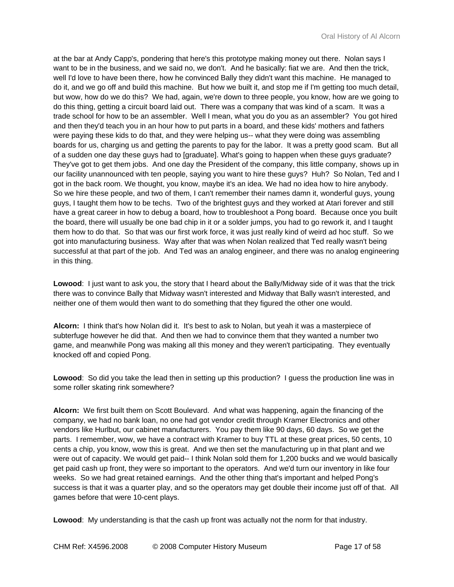at the bar at Andy Capp's, pondering that here's this prototype making money out there. Nolan says I want to be in the business, and we said no, we don't. And he basically: fiat we are. And then the trick, well I'd love to have been there, how he convinced Bally they didn't want this machine. He managed to do it, and we go off and build this machine. But how we built it, and stop me if I'm getting too much detail, but wow, how do we do this? We had, again, we're down to three people, you know, how are we going to do this thing, getting a circuit board laid out. There was a company that was kind of a scam. It was a trade school for how to be an assembler. Well I mean, what you do you as an assembler? You got hired and then they'd teach you in an hour how to put parts in a board, and these kids' mothers and fathers were paying these kids to do that, and they were helping us-- what they were doing was assembling boards for us, charging us and getting the parents to pay for the labor. It was a pretty good scam. But all of a sudden one day these guys had to [graduate]. What's going to happen when these guys graduate? They've got to get them jobs. And one day the President of the company, this little company, shows up in our facility unannounced with ten people, saying you want to hire these guys? Huh? So Nolan, Ted and I got in the back room. We thought, you know, maybe it's an idea. We had no idea how to hire anybody. So we hire these people, and two of them, I can't remember their names damn it, wonderful guys, young guys, I taught them how to be techs. Two of the brightest guys and they worked at Atari forever and still have a great career in how to debug a board, how to troubleshoot a Pong board. Because once you built the board, there will usually be one bad chip in it or a solder jumps, you had to go rework it, and I taught them how to do that. So that was our first work force, it was just really kind of weird ad hoc stuff. So we got into manufacturing business. Way after that was when Nolan realized that Ted really wasn't being successful at that part of the job. And Ted was an analog engineer, and there was no analog engineering in this thing.

**Lowood**: I just want to ask you, the story that I heard about the Bally/Midway side of it was that the trick there was to convince Bally that Midway wasn't interested and Midway that Bally wasn't interested, and neither one of them would then want to do something that they figured the other one would.

**Alcorn:** I think that's how Nolan did it. It's best to ask to Nolan, but yeah it was a masterpiece of subterfuge however he did that. And then we had to convince them that they wanted a number two game, and meanwhile Pong was making all this money and they weren't participating. They eventually knocked off and copied Pong.

**Lowood**: So did you take the lead then in setting up this production? I guess the production line was in some roller skating rink somewhere?

**Alcorn:** We first built them on Scott Boulevard. And what was happening, again the financing of the company, we had no bank loan, no one had got vendor credit through Kramer Electronics and other vendors like Hurlbut, our cabinet manufacturers. You pay them like 90 days, 60 days. So we get the parts. I remember, wow, we have a contract with Kramer to buy TTL at these great prices, 50 cents, 10 cents a chip, you know, wow this is great. And we then set the manufacturing up in that plant and we were out of capacity. We would get paid-- I think Nolan sold them for 1,200 bucks and we would basically get paid cash up front, they were so important to the operators. And we'd turn our inventory in like four weeks. So we had great retained earnings. And the other thing that's important and helped Pong's success is that it was a quarter play, and so the operators may get double their income just off of that. All games before that were 10-cent plays.

**Lowood**: My understanding is that the cash up front was actually not the norm for that industry.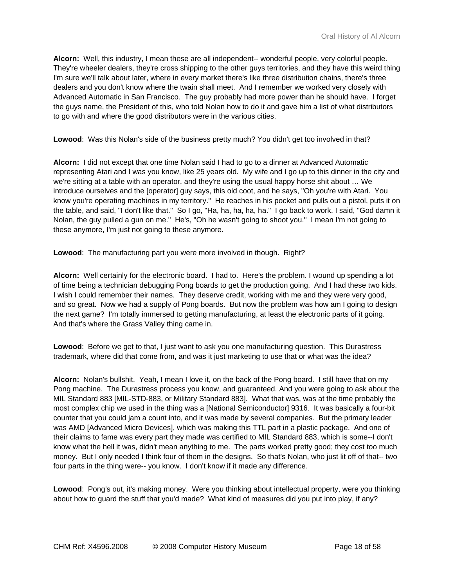**Alcorn:** Well, this industry, I mean these are all independent-- wonderful people, very colorful people. They're wheeler dealers, they're cross shipping to the other guys territories, and they have this weird thing I'm sure we'll talk about later, where in every market there's like three distribution chains, there's three dealers and you don't know where the twain shall meet. And I remember we worked very closely with Advanced Automatic in San Francisco. The guy probably had more power than he should have. I forget the guys name, the President of this, who told Nolan how to do it and gave him a list of what distributors to go with and where the good distributors were in the various cities.

**Lowood**: Was this Nolan's side of the business pretty much? You didn't get too involved in that?

**Alcorn:** I did not except that one time Nolan said I had to go to a dinner at Advanced Automatic representing Atari and I was you know, like 25 years old. My wife and I go up to this dinner in the city and we're sitting at a table with an operator, and they're using the usual happy horse shit about … We introduce ourselves and the [operator] guy says, this old coot, and he says, "Oh you're with Atari. You know you're operating machines in my territory." He reaches in his pocket and pulls out a pistol, puts it on the table, and said, "I don't like that." So I go, "Ha, ha, ha, ha, ha." I go back to work. I said, "God damn it Nolan, the guy pulled a gun on me." He's, "Oh he wasn't going to shoot you." I mean I'm not going to these anymore, I'm just not going to these anymore.

**Lowood**: The manufacturing part you were more involved in though. Right?

**Alcorn:** Well certainly for the electronic board. I had to. Here's the problem. I wound up spending a lot of time being a technician debugging Pong boards to get the production going. And I had these two kids. I wish I could remember their names. They deserve credit, working with me and they were very good, and so great. Now we had a supply of Pong boards. But now the problem was how am I going to design the next game? I'm totally immersed to getting manufacturing, at least the electronic parts of it going. And that's where the Grass Valley thing came in.

**Lowood**: Before we get to that, I just want to ask you one manufacturing question. This Durastress trademark, where did that come from, and was it just marketing to use that or what was the idea?

**Alcorn:** Nolan's bullshit. Yeah, I mean I love it, on the back of the Pong board. I still have that on my Pong machine. The Durastress process you know, and guaranteed. And you were going to ask about the MIL Standard 883 [MIL-STD-883, or Military Standard 883]. What that was, was at the time probably the most complex chip we used in the thing was a [National Semiconductor] 9316. It was basically a four-bit counter that you could jam a count into, and it was made by several companies. But the primary leader was AMD [Advanced Micro Devices], which was making this TTL part in a plastic package. And one of their claims to fame was every part they made was certified to MIL Standard 883, which is some--I don't know what the hell it was, didn't mean anything to me. The parts worked pretty good; they cost too much money. But I only needed I think four of them in the designs. So that's Nolan, who just lit off of that-- two four parts in the thing were-- you know. I don't know if it made any difference.

**Lowood**: Pong's out, it's making money. Were you thinking about intellectual property, were you thinking about how to guard the stuff that you'd made? What kind of measures did you put into play, if any?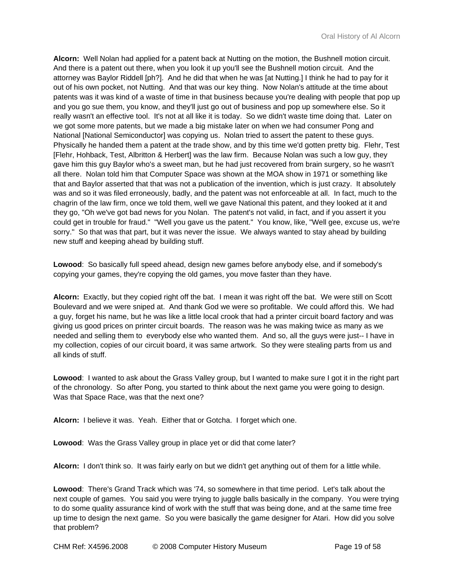**Alcorn:** Well Nolan had applied for a patent back at Nutting on the motion, the Bushnell motion circuit. And there is a patent out there, when you look it up you'll see the Bushnell motion circuit. And the attorney was Baylor Riddell [ph?]. And he did that when he was [at Nutting.] I think he had to pay for it out of his own pocket, not Nutting. And that was our key thing. Now Nolan's attitude at the time about patents was it was kind of a waste of time in that business because you're dealing with people that pop up and you go sue them, you know, and they'll just go out of business and pop up somewhere else. So it really wasn't an effective tool. It's not at all like it is today. So we didn't waste time doing that. Later on we got some more patents, but we made a big mistake later on when we had consumer Pong and National [National Semiconductor] was copying us. Nolan tried to assert the patent to these guys. Physically he handed them a patent at the trade show, and by this time we'd gotten pretty big. Flehr, Test [Flehr, Hohback, Test, Albritton & Herbert] was the law firm. Because Nolan was such a low guy, they gave him this guy Baylor who's a sweet man, but he had just recovered from brain surgery, so he wasn't all there. Nolan told him that Computer Space was shown at the MOA show in 1971 or something like that and Baylor asserted that that was not a publication of the invention, which is just crazy. It absolutely was and so it was filed erroneously, badly, and the patent was not enforceable at all. In fact, much to the chagrin of the law firm, once we told them, well we gave National this patent, and they looked at it and they go, "Oh we've got bad news for you Nolan. The patent's not valid, in fact, and if you assert it you could get in trouble for fraud." "Well you gave us the patent." You know, like, "Well gee, excuse us, we're sorry." So that was that part, but it was never the issue. We always wanted to stay ahead by building new stuff and keeping ahead by building stuff.

**Lowood**: So basically full speed ahead, design new games before anybody else, and if somebody's copying your games, they're copying the old games, you move faster than they have.

**Alcorn:** Exactly, but they copied right off the bat. I mean it was right off the bat. We were still on Scott Boulevard and we were sniped at. And thank God we were so profitable. We could afford this. We had a guy, forget his name, but he was like a little local crook that had a printer circuit board factory and was giving us good prices on printer circuit boards. The reason was he was making twice as many as we needed and selling them to everybody else who wanted them. And so, all the guys were just-- I have in my collection, copies of our circuit board, it was same artwork. So they were stealing parts from us and all kinds of stuff.

**Lowood**: I wanted to ask about the Grass Valley group, but I wanted to make sure I got it in the right part of the chronology. So after Pong, you started to think about the next game you were going to design. Was that Space Race, was that the next one?

**Alcorn:** I believe it was. Yeah. Either that or Gotcha. I forget which one.

**Lowood**: Was the Grass Valley group in place yet or did that come later?

**Alcorn:** I don't think so. It was fairly early on but we didn't get anything out of them for a little while.

**Lowood**: There's Grand Track which was '74, so somewhere in that time period. Let's talk about the next couple of games. You said you were trying to juggle balls basically in the company. You were trying to do some quality assurance kind of work with the stuff that was being done, and at the same time free up time to design the next game. So you were basically the game designer for Atari. How did you solve that problem?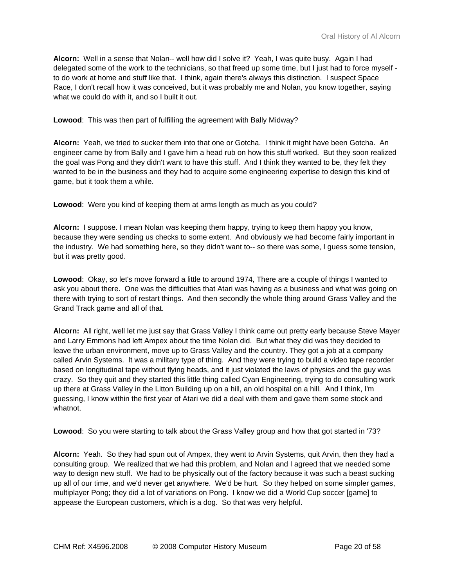**Alcorn:** Well in a sense that Nolan-- well how did I solve it? Yeah, I was quite busy. Again I had delegated some of the work to the technicians, so that freed up some time, but I just had to force myself to do work at home and stuff like that. I think, again there's always this distinction. I suspect Space Race, I don't recall how it was conceived, but it was probably me and Nolan, you know together, saying what we could do with it, and so I built it out.

**Lowood**: This was then part of fulfilling the agreement with Bally Midway?

**Alcorn:** Yeah, we tried to sucker them into that one or Gotcha. I think it might have been Gotcha. An engineer came by from Bally and I gave him a head rub on how this stuff worked. But they soon realized the goal was Pong and they didn't want to have this stuff. And I think they wanted to be, they felt they wanted to be in the business and they had to acquire some engineering expertise to design this kind of game, but it took them a while.

**Lowood**: Were you kind of keeping them at arms length as much as you could?

**Alcorn:** I suppose. I mean Nolan was keeping them happy, trying to keep them happy you know, because they were sending us checks to some extent. And obviously we had become fairly important in the industry. We had something here, so they didn't want to-- so there was some, I guess some tension, but it was pretty good.

**Lowood**: Okay, so let's move forward a little to around 1974, There are a couple of things I wanted to ask you about there. One was the difficulties that Atari was having as a business and what was going on there with trying to sort of restart things. And then secondly the whole thing around Grass Valley and the Grand Track game and all of that.

**Alcorn:** All right, well let me just say that Grass Valley I think came out pretty early because Steve Mayer and Larry Emmons had left Ampex about the time Nolan did. But what they did was they decided to leave the urban environment, move up to Grass Valley and the country. They got a job at a company called Arvin Systems. It was a military type of thing. And they were trying to build a video tape recorder based on longitudinal tape without flying heads, and it just violated the laws of physics and the guy was crazy. So they quit and they started this little thing called Cyan Engineering, trying to do consulting work up there at Grass Valley in the Litton Building up on a hill, an old hospital on a hill. And I think, I'm guessing, I know within the first year of Atari we did a deal with them and gave them some stock and whatnot.

**Lowood**: So you were starting to talk about the Grass Valley group and how that got started in '73?

**Alcorn:** Yeah. So they had spun out of Ampex, they went to Arvin Systems, quit Arvin, then they had a consulting group. We realized that we had this problem, and Nolan and I agreed that we needed some way to design new stuff. We had to be physically out of the factory because it was such a beast sucking up all of our time, and we'd never get anywhere. We'd be hurt. So they helped on some simpler games, multiplayer Pong; they did a lot of variations on Pong. I know we did a World Cup soccer [game] to appease the European customers, which is a dog. So that was very helpful.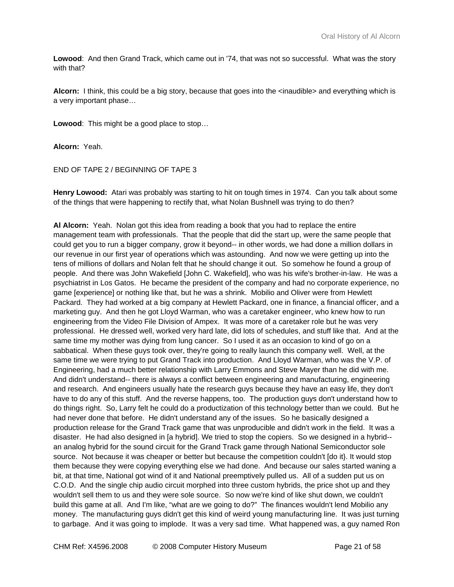**Lowood**: And then Grand Track, which came out in '74, that was not so successful. What was the story with that?

**Alcorn:** I think, this could be a big story, because that goes into the <inaudible> and everything which is a very important phase…

**Lowood**: This might be a good place to stop…

**Alcorn:** Yeah.

END OF TAPE 2 / BEGINNING OF TAPE 3

**Henry Lowood:** Atari was probably was starting to hit on tough times in 1974. Can you talk about some of the things that were happening to rectify that, what Nolan Bushnell was trying to do then?

**Al Alcorn:** Yeah. Nolan got this idea from reading a book that you had to replace the entire management team with professionals. That the people that did the start up, were the same people that could get you to run a bigger company, grow it beyond-- in other words, we had done a million dollars in our revenue in our first year of operations which was astounding. And now we were getting up into the tens of millions of dollars and Nolan felt that he should change it out. So somehow he found a group of people. And there was John Wakefield [John C. Wakefield], who was his wife's brother-in-law. He was a psychiatrist in Los Gatos. He became the president of the company and had no corporate experience, no game [experience] or nothing like that, but he was a shrink. Mobilio and Oliver were from Hewlett Packard. They had worked at a big company at Hewlett Packard, one in finance, a financial officer, and a marketing guy. And then he got Lloyd Warman, who was a caretaker engineer, who knew how to run engineering from the Video File Division of Ampex. It was more of a caretaker role but he was very professional. He dressed well, worked very hard late, did lots of schedules, and stuff like that. And at the same time my mother was dying from lung cancer. So I used it as an occasion to kind of go on a sabbatical. When these guys took over, they're going to really launch this company well. Well, at the same time we were trying to put Grand Track into production. And Lloyd Warman, who was the V.P. of Engineering, had a much better relationship with Larry Emmons and Steve Mayer than he did with me. And didn't understand-- there is always a conflict between engineering and manufacturing, engineering and research. And engineers usually hate the research guys because they have an easy life, they don't have to do any of this stuff. And the reverse happens, too. The production guys don't understand how to do things right. So, Larry felt he could do a productization of this technology better than we could. But he had never done that before. He didn't understand any of the issues. So he basically designed a production release for the Grand Track game that was unproducible and didn't work in the field. It was a disaster. He had also designed in [a hybrid]. We tried to stop the copiers. So we designed in a hybrid- an analog hybrid for the sound circuit for the Grand Track game through National Semiconductor sole source. Not because it was cheaper or better but because the competition couldn't [do it}. It would stop them because they were copying everything else we had done. And because our sales started waning a bit, at that time, National got wind of it and National preemptively pulled us. All of a sudden put us on C.O.D. And the single chip audio circuit morphed into three custom hybrids, the price shot up and they wouldn't sell them to us and they were sole source. So now we're kind of like shut down, we couldn't build this game at all. And I'm like, "what are we going to do?" The finances wouldn't lend Mobilio any money. The manufacturing guys didn't get this kind of weird young manufacturing line. It was just turning to garbage. And it was going to implode. It was a very sad time. What happened was, a guy named Ron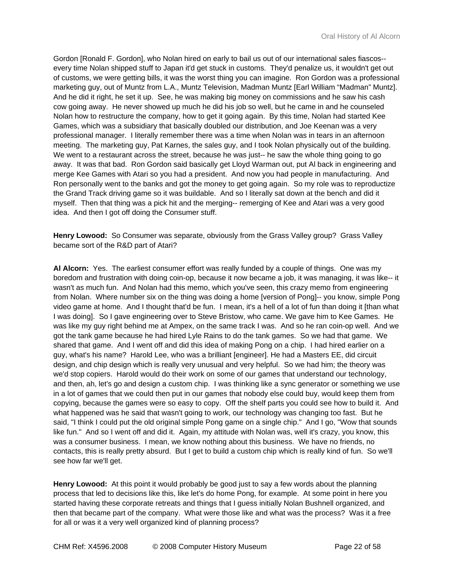Gordon [Ronald F. Gordon], who Nolan hired on early to bail us out of our international sales fiascos- every time Nolan shipped stuff to Japan it'd get stuck in customs. They'd penalize us, it wouldn't get out of customs, we were getting bills, it was the worst thing you can imagine. Ron Gordon was a professional marketing guy, out of Muntz from L.A., Muntz Television, Madman Muntz [Earl William "Madman" Muntz]. And he did it right, he set it up. See, he was making big money on commissions and he saw his cash cow going away. He never showed up much he did his job so well, but he came in and he counseled Nolan how to restructure the company, how to get it going again. By this time, Nolan had started Kee Games, which was a subsidiary that basically doubled our distribution, and Joe Keenan was a very professional manager. I literally remember there was a time when Nolan was in tears in an afternoon meeting. The marketing guy, Pat Karnes, the sales guy, and I took Nolan physically out of the building. We went to a restaurant across the street, because he was just-- he saw the whole thing going to go away. It was that bad. Ron Gordon said basically get Lloyd Warman out, put Al back in engineering and merge Kee Games with Atari so you had a president. And now you had people in manufacturing. And Ron personally went to the banks and got the money to get going again. So my role was to reproductize the Grand Track driving game so it was buildable. And so I literally sat down at the bench and did it myself. Then that thing was a pick hit and the merging-- remerging of Kee and Atari was a very good idea. And then I got off doing the Consumer stuff.

**Henry Lowood:** So Consumer was separate, obviously from the Grass Valley group? Grass Valley became sort of the R&D part of Atari?

**Al Alcorn:** Yes. The earliest consumer effort was really funded by a couple of things. One was my boredom and frustration with doing coin-op, because it now became a job, it was managing, it was like-- it wasn't as much fun. And Nolan had this memo, which you've seen, this crazy memo from engineering from Nolan. Where number six on the thing was doing a home [version of Pong]-- you know, simple Pong video game at home. And I thought that'd be fun. I mean, it's a hell of a lot of fun than doing it [than what I was doing]. So I gave engineering over to Steve Bristow, who came. We gave him to Kee Games. He was like my guy right behind me at Ampex, on the same track I was. And so he ran coin-op well. And we got the tank game because he had hired Lyle Rains to do the tank games. So we had that game. We shared that game. And I went off and did this idea of making Pong on a chip. I had hired earlier on a guy, what's his name? Harold Lee, who was a brilliant [engineer]. He had a Masters EE, did circuit design, and chip design which is really very unusual and very helpful. So we had him; the theory was we'd stop copiers. Harold would do their work on some of our games that understand our technology, and then, ah, let's go and design a custom chip. I was thinking like a sync generator or something we use in a lot of games that we could then put in our games that nobody else could buy, would keep them from copying, because the games were so easy to copy. Off the shelf parts you could see how to build it. And what happened was he said that wasn't going to work, our technology was changing too fast. But he said, "I think I could put the old original simple Pong game on a single chip." And I go, "Wow that sounds like fun." And so I went off and did it. Again, my attitude with Nolan was, well it's crazy, you know, this was a consumer business. I mean, we know nothing about this business. We have no friends, no contacts, this is really pretty absurd. But I get to build a custom chip which is really kind of fun. So we'll see how far we'll get.

**Henry Lowood:** At this point it would probably be good just to say a few words about the planning process that led to decisions like this, like let's do home Pong, for example. At some point in here you started having these corporate retreats and things that I guess initially Nolan Bushnell organized, and then that became part of the company. What were those like and what was the process? Was it a free for all or was it a very well organized kind of planning process?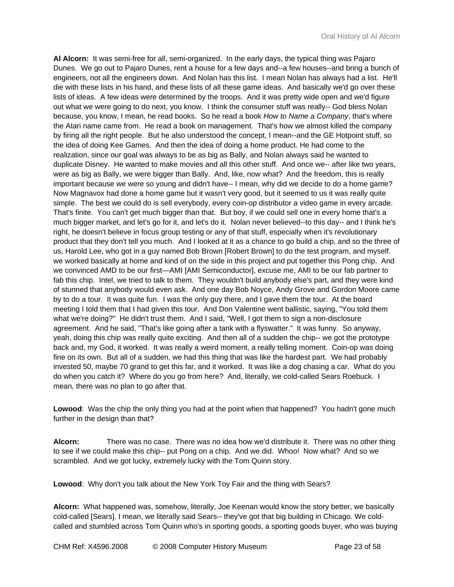**Al Alcorn:** It was semi-free for all, semi-organized. In the early days, the typical thing was Pajaro Dunes. We go out to Pajaro Dunes, rent a house for a few days and--a few houses--and bring a bunch of engineers, not all the engineers down. And Nolan has this list. I mean Nolan has always had a list. He'll die with these lists in his hand, and these lists of all these game ideas. And basically we'd go over these lists of ideas. A few ideas were determined by the troops. And it was pretty wide open and we'd figure out what we were going to do next, you know. I think the consumer stuff was really-- God bless Nolan because, you know, I mean, he read books. So he read a book *How to Name a Company*, that's where the Atari name came from. He read a book on management. That's how we almost killed the company by firing all the right people. But he also understood the concept, I mean--and the GE Hotpoint stuff, so the idea of doing Kee Games. And then the idea of doing a home product. He had come to the realization, since our goal was always to be as big as Bally, and Nolan always said he wanted to duplicate Disney. He wanted to make movies and all this other stuff. And once we-- after like two years, were as big as Bally, we were bigger than Bally. And, like, now what? And the freedom, this is really important because we were so young and didn't have-- I mean, why did we decide to do a home game? Now Magnavox had done a home game but it wasn't very good, but it seemed to us it was really quite simple. The best we could do is sell everybody, every coin-op distributor a video game in every arcade. That's finite. You can't get much bigger than that. But boy, if we could sell one in every home that's a much bigger market, and let's go for it, and let's do it. Nolan never believed--to this day-- and I think he's right, he doesn't believe in focus group testing or any of that stuff, especially when it's revolutionary product that they don't tell you much. And I looked at it as a chance to go build a chip, and so the three of us, Harold Lee, who got in a guy named Bob Brown [Robert Brown] to do the test program, and myself. we worked basically at home and kind of on the side in this project and put together this Pong chip. And we convinced AMD to be our first—AMI [AMI Semiconductor], excuse me, AMI to be our fab partner to fab this chip. Intel, we tried to talk to them. They wouldn't build anybody else's part, and they were kind of stunned that anybody would even ask. And one day Bob Noyce, Andy Grove and Gordon Moore came by to do a tour. It was quite fun. I was the only guy there, and I gave them the tour. At the board meeting I told them that I had given this tour. And Don Valentine went ballistic, saying, "You told them what we're doing?" He didn't trust them. And I said, "Well, I got them to sign a non-disclosure agreement. And he said, "That's like going after a tank with a flyswatter." It was funny. So anyway, yeah, doing this chip was really quite exciting. And then all of a sudden the chip-- we got the prototype back and, my God, it worked. It was really a weird moment, a really telling moment. Coin-op was doing fine on its own. But all of a sudden, we had this thing that was like the hardest part. We had probably invested 50, maybe 70 grand to get this far, and it worked. It was like a dog chasing a car. What do you do when you catch it? Where do you go from here? And, literally, we cold-called Sears Roebuck. I mean, there was no plan to go after that.

**Lowood**: Was the chip the only thing you had at the point when that happened? You hadn't gone much further in the design than that?

**Alcorn:** There was no case. There was no idea how we'd distribute it. There was no other thing to see if we could make this chip-- put Pong on a chip. And we did. Whoo! Now what? And so we scrambled. And we got lucky, extremely lucky with the Tom Quinn story.

**Lowood**: Why don't you talk about the New York Toy Fair and the thing with Sears?

**Alcorn:** What happened was, somehow, literally, Joe Keenan would know the story better, we basically cold-called [Sears]. I mean, we literally said Sears-- they've got that big building in Chicago. We coldcalled and stumbled across Tom Quinn who's in sporting goods, a sporting goods buyer, who was buying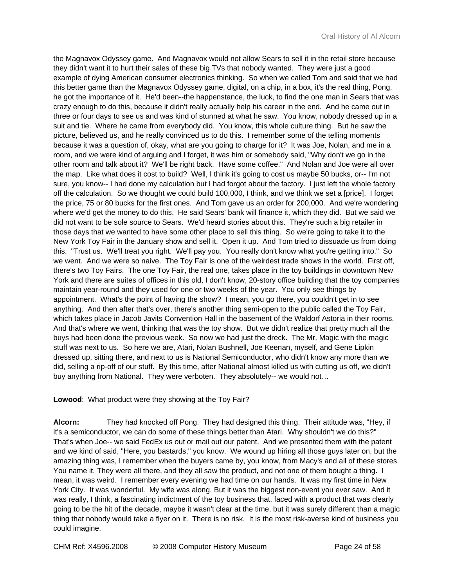the Magnavox Odyssey game. And Magnavox would not allow Sears to sell it in the retail store because they didn't want it to hurt their sales of these big TVs that nobody wanted. They were just a good example of dying American consumer electronics thinking. So when we called Tom and said that we had this better game than the Magnavox Odyssey game, digital, on a chip, in a box, it's the real thing, Pong, he got the importance of it. He'd been--the happenstance, the luck, to find the one man in Sears that was crazy enough to do this, because it didn't really actually help his career in the end. And he came out in three or four days to see us and was kind of stunned at what he saw. You know, nobody dressed up in a suit and tie. Where he came from everybody did. You know, this whole culture thing. But he saw the picture, believed us, and he really convinced us to do this. I remember some of the telling moments because it was a question of, okay, what are you going to charge for it? It was Joe, Nolan, and me in a room, and we were kind of arguing and I forget, it was him or somebody said, "Why don't we go in the other room and talk about it? We'll be right back. Have some coffee." And Nolan and Joe were all over the map. Like what does it cost to build? Well, I think it's going to cost us maybe 50 bucks, or-- I'm not sure, you know-- I had done my calculation but I had forgot about the factory. I just left the whole factory off the calculation. So we thought we could build 100,000, I think, and we think we set a [price]. I forget the price, 75 or 80 bucks for the first ones. And Tom gave us an order for 200,000. And we're wondering where we'd get the money to do this. He said Sears' bank will finance it, which they did. But we said we did not want to be sole source to Sears. We'd heard stories about this. They're such a big retailer in those days that we wanted to have some other place to sell this thing. So we're going to take it to the New York Toy Fair in the January show and sell it. Open it up. And Tom tried to dissuade us from doing this. "Trust us. We'll treat you right. We'll pay you. You really don't know what you're getting into." So we went. And we were so naive. The Toy Fair is one of the weirdest trade shows in the world. First off, there's two Toy Fairs. The one Toy Fair, the real one, takes place in the toy buildings in downtown New York and there are suites of offices in this old, I don't know, 20-story office building that the toy companies maintain year-round and they used for one or two weeks of the year. You only see things by appointment. What's the point of having the show? I mean, you go there, you couldn't get in to see anything. And then after that's over, there's another thing semi-open to the public called the Toy Fair, which takes place in Jacob Javits Convention Hall in the basement of the Waldorf Astoria in their rooms. And that's where we went, thinking that was the toy show. But we didn't realize that pretty much all the buys had been done the previous week. So now we had just the dreck. The Mr. Magic with the magic stuff was next to us. So here we are, Atari, Nolan Bushnell, Joe Keenan, myself, and Gene Lipkin dressed up, sitting there, and next to us is National Semiconductor, who didn't know any more than we did, selling a rip-off of our stuff. By this time, after National almost killed us with cutting us off, we didn't buy anything from National. They were verboten. They absolutely-- we would not…

**Lowood**: What product were they showing at the Toy Fair?

**Alcorn:** They had knocked off Pong. They had designed this thing. Their attitude was, "Hey, if it's a semiconductor, we can do some of these things better than Atari. Why shouldn't we do this?" That's when Joe-- we said FedEx us out or mail out our patent. And we presented them with the patent and we kind of said, "Here, you bastards," you know. We wound up hiring all those guys later on, but the amazing thing was, I remember when the buyers came by, you know, from Macy's and all of these stores. You name it. They were all there, and they all saw the product, and not one of them bought a thing. I mean, it was weird. I remember every evening we had time on our hands. It was my first time in New York City. It was wonderful. My wife was along. But it was the biggest non-event you ever saw. And it was really, I think, a fascinating indictment of the toy business that, faced with a product that was clearly going to be the hit of the decade, maybe it wasn't clear at the time, but it was surely different than a magic thing that nobody would take a flyer on it. There is no risk. It is the most risk-averse kind of business you could imagine.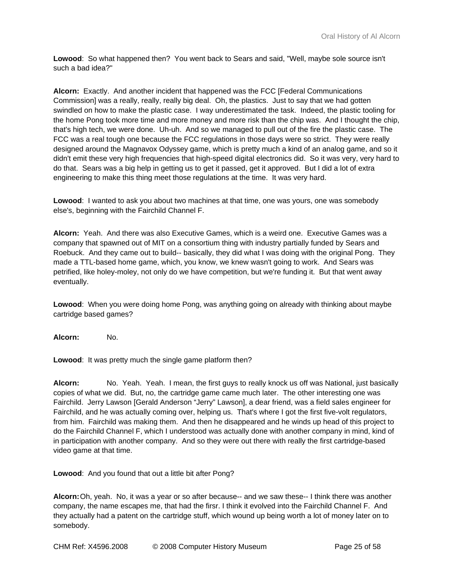**Lowood**: So what happened then? You went back to Sears and said, "Well, maybe sole source isn't such a bad idea?"

**Alcorn:** Exactly. And another incident that happened was the FCC [Federal Communications Commission] was a really, really, really big deal. Oh, the plastics. Just to say that we had gotten swindled on how to make the plastic case. I way underestimated the task. Indeed, the plastic tooling for the home Pong took more time and more money and more risk than the chip was. And I thought the chip, that's high tech, we were done. Uh-uh. And so we managed to pull out of the fire the plastic case. The FCC was a real tough one because the FCC regulations in those days were so strict. They were really designed around the Magnavox Odyssey game, which is pretty much a kind of an analog game, and so it didn't emit these very high frequencies that high-speed digital electronics did. So it was very, very hard to do that. Sears was a big help in getting us to get it passed, get it approved. But I did a lot of extra engineering to make this thing meet those regulations at the time. It was very hard.

**Lowood**: I wanted to ask you about two machines at that time, one was yours, one was somebody else's, beginning with the Fairchild Channel F.

**Alcorn:** Yeah. And there was also Executive Games, which is a weird one. Executive Games was a company that spawned out of MIT on a consortium thing with industry partially funded by Sears and Roebuck. And they came out to build-- basically, they did what I was doing with the original Pong. They made a TTL-based home game, which, you know, we knew wasn't going to work. And Sears was petrified, like holey-moley, not only do we have competition, but we're funding it. But that went away eventually.

**Lowood**: When you were doing home Pong, was anything going on already with thinking about maybe cartridge based games?

**Alcorn:** No.

**Lowood**: It was pretty much the single game platform then?

**Alcorn:** No. Yeah. Yeah. I mean, the first guys to really knock us off was National, just basically copies of what we did. But, no, the cartridge game came much later. The other interesting one was Fairchild. Jerry Lawson [Gerald Anderson "Jerry" Lawson], a dear friend, was a field sales engineer for Fairchild, and he was actually coming over, helping us. That's where I got the first five-volt regulators, from him. Fairchild was making them. And then he disappeared and he winds up head of this project to do the Fairchild Channel F, which I understood was actually done with another company in mind, kind of in participation with another company. And so they were out there with really the first cartridge-based video game at that time.

**Lowood**: And you found that out a little bit after Pong?

**Alcorn:** Oh, yeah. No, it was a year or so after because-- and we saw these-- I think there was another company, the name escapes me, that had the firsr. I think it evolved into the Fairchild Channel F. And they actually had a patent on the cartridge stuff, which wound up being worth a lot of money later on to somebody.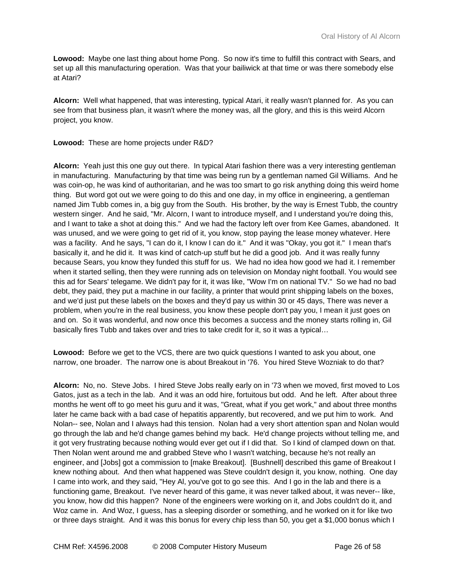**Lowood:** Maybe one last thing about home Pong. So now it's time to fulfill this contract with Sears, and set up all this manufacturing operation. Was that your bailiwick at that time or was there somebody else at Atari?

**Alcorn:** Well what happened, that was interesting, typical Atari, it really wasn't planned for. As you can see from that business plan, it wasn't where the money was, all the glory, and this is this weird Alcorn project, you know.

**Lowood:** These are home projects under R&D?

**Alcorn:** Yeah just this one guy out there. In typical Atari fashion there was a very interesting gentleman in manufacturing. Manufacturing by that time was being run by a gentleman named Gil Williams. And he was coin-op, he was kind of authoritarian, and he was too smart to go risk anything doing this weird home thing. But word got out we were going to do this and one day, in my office in engineering, a gentleman named Jim Tubb comes in, a big guy from the South. His brother, by the way is Ernest Tubb, the country western singer. And he said, "Mr. Alcorn, I want to introduce myself, and I understand you're doing this, and I want to take a shot at doing this." And we had the factory left over from Kee Games, abandoned. It was unused, and we were going to get rid of it, you know, stop paying the lease money whatever. Here was a facility. And he says, "I can do it, I know I can do it." And it was "Okay, you got it." I mean that's basically it, and he did it. It was kind of catch-up stuff but he did a good job. And it was really funny because Sears, you know they funded this stuff for us. We had no idea how good we had it. I remember when it started selling, then they were running ads on television on Monday night football. You would see this ad for Sears' telegame. We didn't pay for it, it was like, "Wow I'm on national TV." So we had no bad debt, they paid, they put a machine in our facility, a printer that would print shipping labels on the boxes, and we'd just put these labels on the boxes and they'd pay us within 30 or 45 days, There was never a problem, when you're in the real business, you know these people don't pay you, I mean it just goes on and on. So it was wonderful, and now once this becomes a success and the money starts rolling in, Gil basically fires Tubb and takes over and tries to take credit for it, so it was a typical…

**Lowood:** Before we get to the VCS, there are two quick questions I wanted to ask you about, one narrow, one broader. The narrow one is about Breakout in '76. You hired Steve Wozniak to do that?

**Alcorn:** No, no. Steve Jobs. I hired Steve Jobs really early on in '73 when we moved, first moved to Los Gatos, just as a tech in the lab. And it was an odd hire, fortuitous but odd. And he left. After about three months he went off to go meet his guru and it was, "Great, what if you get work," and about three months later he came back with a bad case of hepatitis apparently, but recovered, and we put him to work. And Nolan-- see, Nolan and I always had this tension. Nolan had a very short attention span and Nolan would go through the lab and he'd change games behind my back. He'd change projects without telling me, and it got very frustrating because nothing would ever get out if I did that. So I kind of clamped down on that. Then Nolan went around me and grabbed Steve who I wasn't watching, because he's not really an engineer, and [Jobs] got a commission to [make Breakout]. [Bushnell] described this game of Breakout I knew nothing about. And then what happened was Steve couldn't design it, you know, nothing. One day I came into work, and they said, "Hey Al, you've got to go see this. And I go in the lab and there is a functioning game, Breakout. I've never heard of this game, it was never talked about, it was never-- like, you know, how did this happen? None of the engineers were working on it, and Jobs couldn't do it, and Woz came in. And Woz, I guess, has a sleeping disorder or something, and he worked on it for like two or three days straight. And it was this bonus for every chip less than 50, you get a \$1,000 bonus which I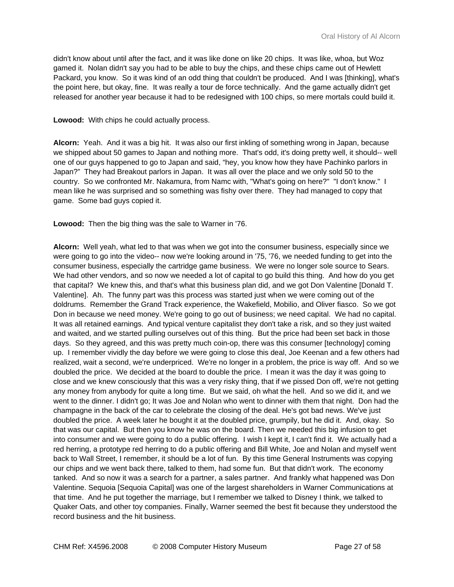didn't know about until after the fact, and it was like done on like 20 chips. It was like, whoa, but Woz gamed it. Nolan didn't say you had to be able to buy the chips, and these chips came out of Hewlett Packard, you know. So it was kind of an odd thing that couldn't be produced. And I was [thinking], what's the point here, but okay, fine. It was really a tour de force technically. And the game actually didn't get released for another year because it had to be redesigned with 100 chips, so mere mortals could build it.

## **Lowood:** With chips he could actually process.

**Alcorn:** Yeah. And it was a big hit. It was also our first inkling of something wrong in Japan, because we shipped about 50 games to Japan and nothing more. That's odd, it's doing pretty well, it should-- well one of our guys happened to go to Japan and said, "hey, you know how they have Pachinko parlors in Japan?" They had Breakout parlors in Japan. It was all over the place and we only sold 50 to the country. So we confronted Mr. Nakamura, from Namc with, "What's going on here?" "I don't know." I mean like he was surprised and so something was fishy over there. They had managed to copy that game. Some bad guys copied it.

**Lowood:** Then the big thing was the sale to Warner in '76.

**Alcorn:** Well yeah, what led to that was when we got into the consumer business, especially since we were going to go into the video-- now we're looking around in '75, '76, we needed funding to get into the consumer business, especially the cartridge game business. We were no longer sole source to Sears. We had other vendors, and so now we needed a lot of capital to go build this thing. And how do you get that capital? We knew this, and that's what this business plan did, and we got Don Valentine [Donald T. Valentine]. Ah. The funny part was this process was started just when we were coming out of the doldrums. Remember the Grand Track experience, the Wakefield, Mobilio, and Oliver fiasco. So we got Don in because we need money. We're going to go out of business; we need capital. We had no capital. It was all retained earnings. And typical venture capitalist they don't take a risk, and so they just waited and waited, and we started pulling ourselves out of this thing. But the price had been set back in those days. So they agreed, and this was pretty much coin-op, there was this consumer [technology] coming up. I remember vividly the day before we were going to close this deal, Joe Keenan and a few others had realized, wait a second, we're underpriced. We're no longer in a problem, the price is way off. And so we doubled the price. We decided at the board to double the price. I mean it was the day it was going to close and we knew consciously that this was a very risky thing, that if we pissed Don off, we're not getting any money from anybody for quite a long time. But we said, oh what the hell. And so we did it, and we went to the dinner. I didn't go: It was Joe and Nolan who went to dinner with them that night. Don had the champagne in the back of the car to celebrate the closing of the deal. He's got bad news. We've just doubled the price. A week later he bought it at the doubled price, grumpily, but he did it. And, okay. So that was our capital. But then you know he was on the board. Then we needed this big infusion to get into consumer and we were going to do a public offering. I wish I kept it, I can't find it. We actually had a red herring, a prototype red herring to do a public offering and Bill White, Joe and Nolan and myself went back to Wall Street, I remember, it should be a lot of fun. By this time General Instruments was copying our chips and we went back there, talked to them, had some fun. But that didn't work. The economy tanked. And so now it was a search for a partner, a sales partner. And frankly what happened was Don Valentine. Sequoia [Sequoia Capital] was one of the largest shareholders in Warner Communications at that time. And he put together the marriage, but I remember we talked to Disney I think, we talked to Quaker Oats, and other toy companies. Finally, Warner seemed the best fit because they understood the record business and the hit business.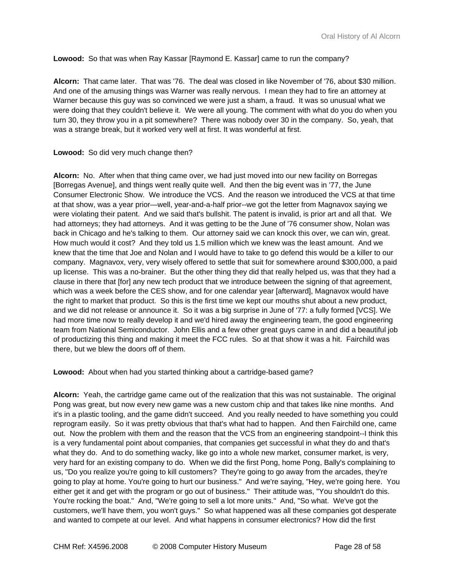## **Lowood:** So that was when Ray Kassar [Raymond E. Kassar] came to run the company?

**Alcorn:** That came later. That was '76. The deal was closed in like November of '76, about \$30 million. And one of the amusing things was Warner was really nervous. I mean they had to fire an attorney at Warner because this guy was so convinced we were just a sham, a fraud. It was so unusual what we were doing that they couldn't believe it. We were all young. The comment with what do you do when you turn 30, they throw you in a pit somewhere? There was nobody over 30 in the company. So, yeah, that was a strange break, but it worked very well at first. It was wonderful at first.

## **Lowood:** So did very much change then?

**Alcorn:** No. After when that thing came over, we had just moved into our new facility on Borregas [Borregas Avenue], and things went really quite well. And then the big event was in '77, the June Consumer Electronic Show. We introduce the VCS. And the reason we introduced the VCS at that time at that show, was a year prior—well, year-and-a-half prior--we got the letter from Magnavox saying we were violating their patent. And we said that's bullshit. The patent is invalid, is prior art and all that. We had attorneys; they had attorneys. And it was getting to be the June of '76 consumer show, Nolan was back in Chicago and he's talking to them. Our attorney said we can knock this over, we can win, great. How much would it cost? And they told us 1.5 million which we knew was the least amount. And we knew that the time that Joe and Nolan and I would have to take to go defend this would be a killer to our company. Magnavox, very, very wisely offered to settle that suit for somewhere around \$300,000, a paid up license. This was a no-brainer. But the other thing they did that really helped us, was that they had a clause in there that [for] any new tech product that we introduce between the signing of that agreement, which was a week before the CES show, and for one calendar year [afterward], Magnavox would have the right to market that product. So this is the first time we kept our mouths shut about a new product, and we did not release or announce it. So it was a big surprise in June of '77: a fully formed [VCS]. We had more time now to really develop it and we'd hired away the engineering team, the good engineering team from National Semiconductor. John Ellis and a few other great guys came in and did a beautiful job of productizing this thing and making it meet the FCC rules. So at that show it was a hit. Fairchild was there, but we blew the doors off of them.

## **Lowood:** About when had you started thinking about a cartridge-based game?

**Alcorn:** Yeah, the cartridge game came out of the realization that this was not sustainable. The original Pong was great, but now every new game was a new custom chip and that takes like nine months. And it's in a plastic tooling, and the game didn't succeed. And you really needed to have something you could reprogram easily. So it was pretty obvious that that's what had to happen. And then Fairchild one, came out. Now the problem with them and the reason that the VCS from an engineering standpoint--I think this is a very fundamental point about companies, that companies get successful in what they do and that's what they do. And to do something wacky, like go into a whole new market, consumer market, is very, very hard for an existing company to do. When we did the first Pong, home Pong, Bally's complaining to us, "Do you realize you're going to kill customers? They're going to go away from the arcades, they're going to play at home. You're going to hurt our business." And we're saying, "Hey, we're going here. You either get it and get with the program or go out of business." Their attitude was, "You shouldn't do this. You're rocking the boat." And, "We're going to sell a lot more units." And, "So what. We've got the customers, we'll have them, you won't guys." So what happened was all these companies got desperate and wanted to compete at our level. And what happens in consumer electronics? How did the first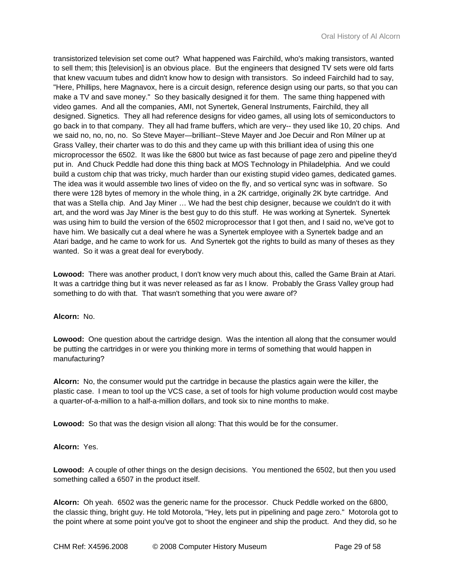transistorized television set come out? What happened was Fairchild, who's making transistors, wanted to sell them; this [television] is an obvious place. But the engineers that designed TV sets were old farts that knew vacuum tubes and didn't know how to design with transistors. So indeed Fairchild had to say, "Here, Phillips, here Magnavox, here is a circuit design, reference design using our parts, so that you can make a TV and save money." So they basically designed it for them. The same thing happened with video games. And all the companies, AMI, not Synertek, General Instruments, Fairchild, they all designed. Signetics. They all had reference designs for video games, all using lots of semiconductors to go back in to that company. They all had frame buffers, which are very-- they used like 10, 20 chips. And we said no, no, no, no. So Steve Mayer—brilliant--Steve Mayer and Joe Decuir and Ron Milner up at Grass Valley, their charter was to do this and they came up with this brilliant idea of using this one microprocessor the 6502. It was like the 6800 but twice as fast because of page zero and pipeline they'd put in. And Chuck Peddle had done this thing back at MOS Technology in Philadelphia. And we could build a custom chip that was tricky, much harder than our existing stupid video games, dedicated games. The idea was it would assemble two lines of video on the fly, and so vertical sync was in software. So there were 128 bytes of memory in the whole thing, in a 2K cartridge, originally 2K byte cartridge. And that was a Stella chip. And Jay Miner … We had the best chip designer, because we couldn't do it with art, and the word was Jay Miner is the best guy to do this stuff. He was working at Synertek. Synertek was using him to build the version of the 6502 microprocessor that I got then, and I said no, we've got to have him. We basically cut a deal where he was a Synertek employee with a Synertek badge and an Atari badge, and he came to work for us. And Synertek got the rights to build as many of theses as they wanted. So it was a great deal for everybody.

**Lowood:** There was another product, I don't know very much about this, called the Game Brain at Atari. It was a cartridge thing but it was never released as far as I know. Probably the Grass Valley group had something to do with that. That wasn't something that you were aware of?

## **Alcorn:** No.

**Lowood:** One question about the cartridge design. Was the intention all along that the consumer would be putting the cartridges in or were you thinking more in terms of something that would happen in manufacturing?

**Alcorn:** No, the consumer would put the cartridge in because the plastics again were the killer, the plastic case. I mean to tool up the VCS case, a set of tools for high volume production would cost maybe a quarter-of-a-million to a half-a-million dollars, and took six to nine months to make.

**Lowood:** So that was the design vision all along: That this would be for the consumer.

# **Alcorn:** Yes.

**Lowood:** A couple of other things on the design decisions. You mentioned the 6502, but then you used something called a 6507 in the product itself.

**Alcorn:** Oh yeah. 6502 was the generic name for the processor. Chuck Peddle worked on the 6800, the classic thing, bright guy. He told Motorola, "Hey, lets put in pipelining and page zero." Motorola got to the point where at some point you've got to shoot the engineer and ship the product. And they did, so he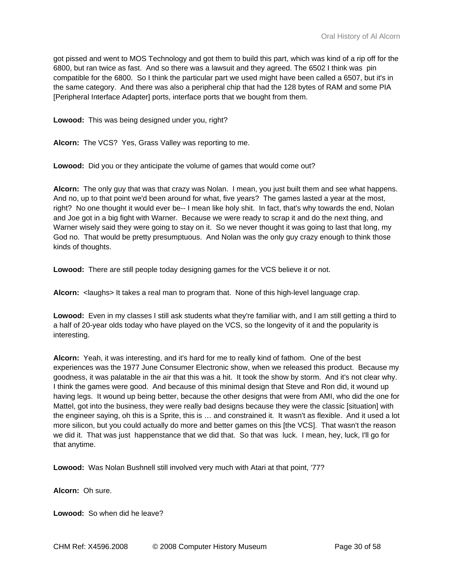got pissed and went to MOS Technology and got them to build this part, which was kind of a rip off for the 6800, but ran twice as fast. And so there was a lawsuit and they agreed. The 6502 I think was pin compatible for the 6800. So I think the particular part we used might have been called a 6507, but it's in the same category. And there was also a peripheral chip that had the 128 bytes of RAM and some PIA [Peripheral Interface Adapter] ports, interface ports that we bought from them.

**Lowood:** This was being designed under you, right?

**Alcorn:** The VCS? Yes, Grass Valley was reporting to me.

**Lowood:** Did you or they anticipate the volume of games that would come out?

**Alcorn:** The only guy that was that crazy was Nolan. I mean, you just built them and see what happens. And no, up to that point we'd been around for what, five years? The games lasted a year at the most, right? No one thought it would ever be-- I mean like holy shit. In fact, that's why towards the end, Nolan and Joe got in a big fight with Warner. Because we were ready to scrap it and do the next thing, and Warner wisely said they were going to stay on it. So we never thought it was going to last that long, my God no. That would be pretty presumptuous. And Nolan was the only guy crazy enough to think those kinds of thoughts.

**Lowood:** There are still people today designing games for the VCS believe it or not.

**Alcorn:** <laughs> It takes a real man to program that. None of this high-level language crap.

**Lowood:** Even in my classes I still ask students what they're familiar with, and I am still getting a third to a half of 20-year olds today who have played on the VCS, so the longevity of it and the popularity is interesting.

**Alcorn:** Yeah, it was interesting, and it's hard for me to really kind of fathom. One of the best experiences was the 1977 June Consumer Electronic show, when we released this product. Because my goodness, it was palatable in the air that this was a hit. It took the show by storm. And it's not clear why. I think the games were good. And because of this minimal design that Steve and Ron did, it wound up having legs. It wound up being better, because the other designs that were from AMI, who did the one for Mattel, got into the business, they were really bad designs because they were the classic [situation] with the engineer saying, oh this is a Sprite, this is … and constrained it. It wasn't as flexible. And it used a lot more silicon, but you could actually do more and better games on this [the VCS]. That wasn't the reason we did it. That was just happenstance that we did that. So that was luck. I mean, hey, luck, I'll go for that anytime.

**Lowood:** Was Nolan Bushnell still involved very much with Atari at that point, '77?

**Alcorn:** Oh sure.

**Lowood:** So when did he leave?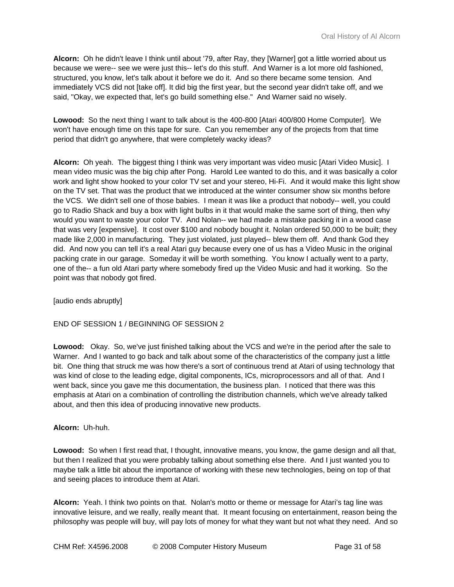**Alcorn:** Oh he didn't leave I think until about '79, after Ray, they [Warner] got a little worried about us because we were-- see we were just this-- let's do this stuff. And Warner is a lot more old fashioned, structured, you know, let's talk about it before we do it. And so there became some tension. And immediately VCS did not [take off]. It did big the first year, but the second year didn't take off, and we said, "Okay, we expected that, let's go build something else." And Warner said no wisely.

**Lowood:** So the next thing I want to talk about is the 400-800 [Atari 400/800 Home Computer]. We won't have enough time on this tape for sure. Can you remember any of the projects from that time period that didn't go anywhere, that were completely wacky ideas?

**Alcorn:** Oh yeah. The biggest thing I think was very important was video music [Atari Video Music]. I mean video music was the big chip after Pong. Harold Lee wanted to do this, and it was basically a color work and light show hooked to your color TV set and your stereo, Hi-Fi. And it would make this light show on the TV set. That was the product that we introduced at the winter consumer show six months before the VCS. We didn't sell one of those babies. I mean it was like a product that nobody-- well, you could go to Radio Shack and buy a box with light bulbs in it that would make the same sort of thing, then why would you want to waste your color TV. And Nolan-- we had made a mistake packing it in a wood case that was very [expensive]. It cost over \$100 and nobody bought it. Nolan ordered 50,000 to be built; they made like 2,000 in manufacturing. They just violated, just played-- blew them off. And thank God they did. And now you can tell it's a real Atari guy because every one of us has a Video Music in the original packing crate in our garage. Someday it will be worth something. You know I actually went to a party, one of the-- a fun old Atari party where somebody fired up the Video Music and had it working. So the point was that nobody got fired.

[audio ends abruptly]

# END OF SESSION 1 / BEGINNING OF SESSION 2

**Lowood:** Okay. So, we've just finished talking about the VCS and we're in the period after the sale to Warner. And I wanted to go back and talk about some of the characteristics of the company just a little bit. One thing that struck me was how there's a sort of continuous trend at Atari of using technology that was kind of close to the leading edge, digital components, ICs, microprocessors and all of that. And I went back, since you gave me this documentation, the business plan. I noticed that there was this emphasis at Atari on a combination of controlling the distribution channels, which we've already talked about, and then this idea of producing innovative new products.

## **Alcorn:** Uh-huh.

**Lowood:** So when I first read that, I thought, innovative means, you know, the game design and all that, but then I realized that you were probably talking about something else there. And I just wanted you to maybe talk a little bit about the importance of working with these new technologies, being on top of that and seeing places to introduce them at Atari.

**Alcorn:** Yeah. I think two points on that. Nolan's motto or theme or message for Atari's tag line was innovative leisure, and we really, really meant that. It meant focusing on entertainment, reason being the philosophy was people will buy, will pay lots of money for what they want but not what they need. And so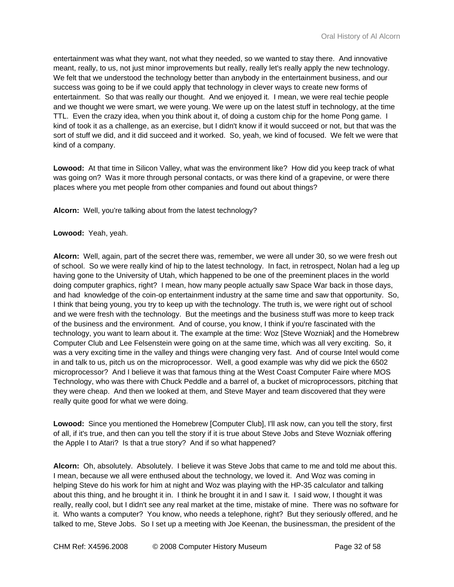entertainment was what they want, not what they needed, so we wanted to stay there. And innovative meant, really, to us, not just minor improvements but really, really let's really apply the new technology. We felt that we understood the technology better than anybody in the entertainment business, and our success was going to be if we could apply that technology in clever ways to create new forms of entertainment. So that was really our thought. And we enjoyed it. I mean, we were real techie people and we thought we were smart, we were young. We were up on the latest stuff in technology, at the time TTL. Even the crazy idea, when you think about it, of doing a custom chip for the home Pong game. I kind of took it as a challenge, as an exercise, but I didn't know if it would succeed or not, but that was the sort of stuff we did, and it did succeed and it worked. So, yeah, we kind of focused. We felt we were that kind of a company.

**Lowood:** At that time in Silicon Valley, what was the environment like? How did you keep track of what was going on? Was it more through personal contacts, or was there kind of a grapevine, or were there places where you met people from other companies and found out about things?

**Alcorn:** Well, you're talking about from the latest technology?

**Lowood:** Yeah, yeah.

**Alcorn:** Well, again, part of the secret there was, remember, we were all under 30, so we were fresh out of school. So we were really kind of hip to the latest technology. In fact, in retrospect, Nolan had a leg up having gone to the University of Utah, which happened to be one of the preeminent places in the world doing computer graphics, right? I mean, how many people actually saw Space War back in those days, and had knowledge of the coin-op entertainment industry at the same time and saw that opportunity. So, I think that being young, you try to keep up with the technology. The truth is, we were right out of school and we were fresh with the technology. But the meetings and the business stuff was more to keep track of the business and the environment. And of course, you know, I think if you're fascinated with the technology, you want to learn about it. The example at the time: Woz [Steve Wozniak] and the Homebrew Computer Club and Lee Felsenstein were going on at the same time, which was all very exciting. So, it was a very exciting time in the valley and things were changing very fast. And of course Intel would come in and talk to us, pitch us on the microprocessor. Well, a good example was why did we pick the 6502 microprocessor? And I believe it was that famous thing at the West Coast Computer Faire where MOS Technology, who was there with Chuck Peddle and a barrel of, a bucket of microprocessors, pitching that they were cheap. And then we looked at them, and Steve Mayer and team discovered that they were really quite good for what we were doing.

**Lowood:** Since you mentioned the Homebrew [Computer Club], I'll ask now, can you tell the story, first of all, if it's true, and then can you tell the story if it is true about Steve Jobs and Steve Wozniak offering the Apple I to Atari? Is that a true story? And if so what happened?

**Alcorn:** Oh, absolutely. Absolutely. I believe it was Steve Jobs that came to me and told me about this. I mean, because we all were enthused about the technology, we loved it. And Woz was coming in helping Steve do his work for him at night and Woz was playing with the HP-35 calculator and talking about this thing, and he brought it in. I think he brought it in and I saw it. I said wow, I thought it was really, really cool, but I didn't see any real market at the time, mistake of mine. There was no software for it. Who wants a computer? You know, who needs a telephone, right? But they seriously offered, and he talked to me, Steve Jobs. So I set up a meeting with Joe Keenan, the businessman, the president of the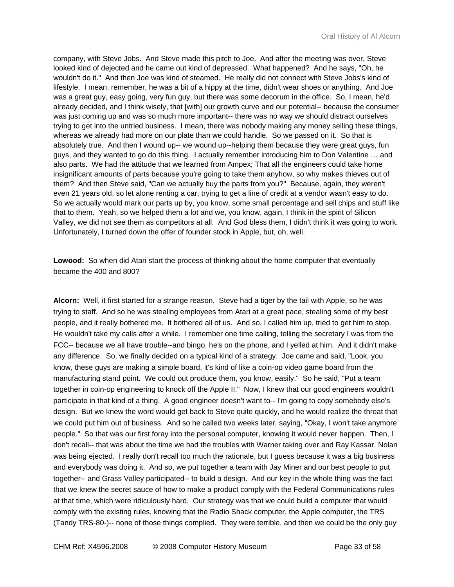company, with Steve Jobs. And Steve made this pitch to Joe. And after the meeting was over, Steve looked kind of dejected and he came out kind of depressed. What happened? And he says, "Oh, he wouldn't do it." And then Joe was kind of steamed. He really did not connect with Steve Jobs's kind of lifestyle. I mean, remember, he was a bit of a hippy at the time, didn't wear shoes or anything. And Joe was a great guy, easy going, very fun guy, but there was some decorum in the office. So, I mean, he'd already decided, and I think wisely, that [with] our growth curve and our potential-- because the consumer was just coming up and was so much more important-- there was no way we should distract ourselves trying to get into the untried business. I mean, there was nobody making any money selling these things, whereas we already had more on our plate than we could handle. So we passed on it. So that is absolutely true. And then I wound up-- we wound up--helping them because they were great guys, fun guys, and they wanted to go do this thing. I actually remember introducing him to Don Valentine … and also parts. We had the attitude that we learned from Ampex; That all the engineers could take home insignificant amounts of parts because you're going to take them anyhow, so why makes thieves out of them? And then Steve said, "Can we actually buy the parts from you?" Because, again, they weren't even 21 years old, so let alone renting a car, trying to get a line of credit at a vendor wasn't easy to do. So we actually would mark our parts up by, you know, some small percentage and sell chips and stuff like that to them. Yeah, so we helped them a lot and we, you know, again, I think in the spirit of Silicon Valley, we did not see them as competitors at all. And God bless them, I didn't think it was going to work. Unfortunately, I turned down the offer of founder stock in Apple, but, oh, well.

**Lowood:** So when did Atari start the process of thinking about the home computer that eventually became the 400 and 800?

**Alcorn:** Well, it first started for a strange reason. Steve had a tiger by the tail with Apple, so he was trying to staff. And so he was stealing employees from Atari at a great pace, stealing some of my best people, and it really bothered me. It bothered all of us. And so, I called him up, tried to get him to stop. He wouldn't take my calls after a while. I remember one time calling, telling the secretary I was from the FCC-- because we all have trouble--and bingo, he's on the phone, and I yelled at him. And it didn't make any difference. So, we finally decided on a typical kind of a strategy. Joe came and said, "Look, you know, these guys are making a simple board, it's kind of like a coin-op video game board from the manufacturing stand point. We could out produce them, you know, easily." So he said, "Put a team together in coin-op engineering to knock off the Apple II." Now, I knew that our good engineers wouldn't participate in that kind of a thing. A good engineer doesn't want to-- I'm going to copy somebody else's design. But we knew the word would get back to Steve quite quickly, and he would realize the threat that we could put him out of business. And so he called two weeks later, saying, "Okay, I won't take anymore people." So that was our first foray into the personal computer, knowing it would never happen. Then, I don't recall-- that was about the time we had the troubles with Warner taking over and Ray Kassar. Nolan was being ejected. I really don't recall too much the rationale, but I guess because it was a big business and everybody was doing it. And so, we put together a team with Jay Miner and our best people to put together-- and Grass Valley participated-- to build a design. And our key in the whole thing was the fact that we knew the secret sauce of how to make a product comply with the Federal Communications rules at that time, which were ridiculously hard. Our strategy was that we could build a computer that would comply with the existing rules, knowing that the Radio Shack computer, the Apple computer, the TRS (Tandy TRS-80-)-- none of those things complied. They were terrible, and then we could be the only guy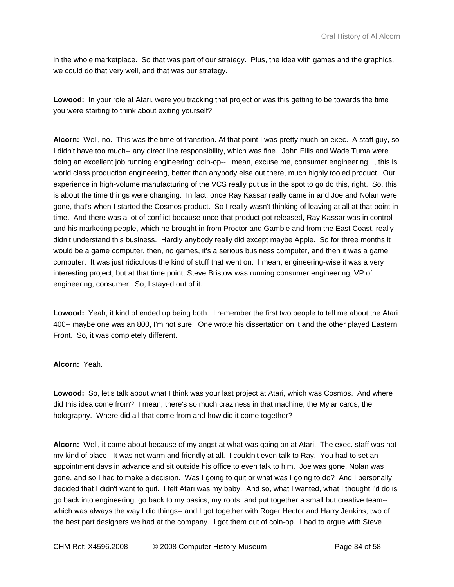in the whole marketplace. So that was part of our strategy. Plus, the idea with games and the graphics, we could do that very well, and that was our strategy.

**Lowood:** In your role at Atari, were you tracking that project or was this getting to be towards the time you were starting to think about exiting yourself?

**Alcorn:** Well, no. This was the time of transition. At that point I was pretty much an exec. A staff guy, so I didn't have too much-- any direct line responsibility, which was fine. John Ellis and Wade Tuma were doing an excellent job running engineering: coin-op-- I mean, excuse me, consumer engineering, , this is world class production engineering, better than anybody else out there, much highly tooled product. Our experience in high-volume manufacturing of the VCS really put us in the spot to go do this, right. So, this is about the time things were changing. In fact, once Ray Kassar really came in and Joe and Nolan were gone, that's when I started the Cosmos product. So I really wasn't thinking of leaving at all at that point in time. And there was a lot of conflict because once that product got released, Ray Kassar was in control and his marketing people, which he brought in from Proctor and Gamble and from the East Coast, really didn't understand this business. Hardly anybody really did except maybe Apple. So for three months it would be a game computer, then, no games, it's a serious business computer, and then it was a game computer. It was just ridiculous the kind of stuff that went on. I mean, engineering-wise it was a very interesting project, but at that time point, Steve Bristow was running consumer engineering, VP of engineering, consumer. So, I stayed out of it.

**Lowood:** Yeah, it kind of ended up being both. I remember the first two people to tell me about the Atari 400-- maybe one was an 800, I'm not sure. One wrote his dissertation on it and the other played Eastern Front. So, it was completely different.

## **Alcorn:** Yeah.

**Lowood:** So, let's talk about what I think was your last project at Atari, which was Cosmos. And where did this idea come from? I mean, there's so much craziness in that machine, the Mylar cards, the holography. Where did all that come from and how did it come together?

**Alcorn:** Well, it came about because of my angst at what was going on at Atari. The exec. staff was not my kind of place. It was not warm and friendly at all. I couldn't even talk to Ray. You had to set an appointment days in advance and sit outside his office to even talk to him. Joe was gone, Nolan was gone, and so I had to make a decision. Was I going to quit or what was I going to do? And I personally decided that I didn't want to quit. I felt Atari was my baby. And so, what I wanted, what I thought I'd do is go back into engineering, go back to my basics, my roots, and put together a small but creative team- which was always the way I did things-- and I got together with Roger Hector and Harry Jenkins, two of the best part designers we had at the company. I got them out of coin-op. I had to argue with Steve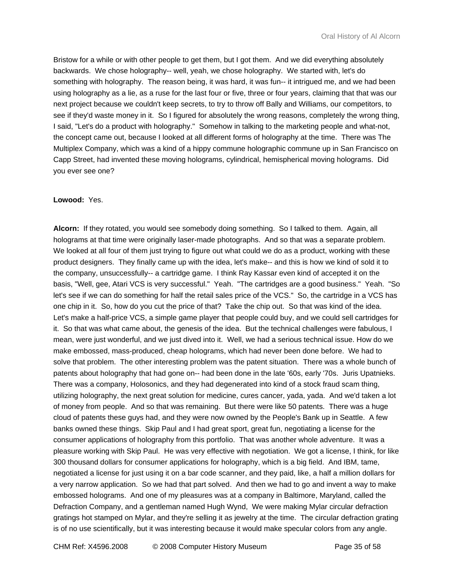Bristow for a while or with other people to get them, but I got them. And we did everything absolutely backwards. We chose holography-- well, yeah, we chose holography. We started with, let's do something with holography. The reason being, it was hard, it was fun-- it intrigued me, and we had been using holography as a lie, as a ruse for the last four or five, three or four years, claiming that that was our next project because we couldn't keep secrets, to try to throw off Bally and Williams, our competitors, to see if they'd waste money in it. So I figured for absolutely the wrong reasons, completely the wrong thing, I said, "Let's do a product with holography." Somehow in talking to the marketing people and what-not, the concept came out, because I looked at all different forms of holography at the time. There was The Multiplex Company, which was a kind of a hippy commune holographic commune up in San Francisco on Capp Street, had invented these moving holograms, cylindrical, hemispherical moving holograms. Did you ever see one?

# **Lowood:** Yes.

**Alcorn:** If they rotated, you would see somebody doing something. So I talked to them. Again, all holograms at that time were originally laser-made photographs. And so that was a separate problem. We looked at all four of them just trying to figure out what could we do as a product, working with these product designers. They finally came up with the idea, let's make-- and this is how we kind of sold it to the company, unsuccessfully-- a cartridge game. I think Ray Kassar even kind of accepted it on the basis, "Well, gee, Atari VCS is very successful." Yeah. "The cartridges are a good business." Yeah. "So let's see if we can do something for half the retail sales price of the VCS." So, the cartridge in a VCS has one chip in it. So, how do you cut the price of that? Take the chip out. So that was kind of the idea. Let's make a half-price VCS, a simple game player that people could buy, and we could sell cartridges for it. So that was what came about, the genesis of the idea. But the technical challenges were fabulous, I mean, were just wonderful, and we just dived into it. Well, we had a serious technical issue. How do we make embossed, mass-produced, cheap holograms, which had never been done before. We had to solve that problem. The other interesting problem was the patent situation. There was a whole bunch of patents about holography that had gone on-- had been done in the late '60s, early '70s. Juris Upatnieks. There was a company, Holosonics, and they had degenerated into kind of a stock fraud scam thing, utilizing holography, the next great solution for medicine, cures cancer, yada, yada. And we'd taken a lot of money from people. And so that was remaining. But there were like 50 patents. There was a huge cloud of patents these guys had, and they were now owned by the People's Bank up in Seattle. A few banks owned these things. Skip Paul and I had great sport, great fun, negotiating a license for the consumer applications of holography from this portfolio. That was another whole adventure. It was a pleasure working with Skip Paul. He was very effective with negotiation. We got a license, I think, for like 300 thousand dollars for consumer applications for holography, which is a big field. And IBM, tame, negotiated a license for just using it on a bar code scanner, and they paid, like, a half a million dollars for a very narrow application. So we had that part solved. And then we had to go and invent a way to make embossed holograms. And one of my pleasures was at a company in Baltimore, Maryland, called the Defraction Company, and a gentleman named Hugh Wynd, We were making Mylar circular defraction gratings hot stamped on Mylar, and they're selling it as jewelry at the time. The circular defraction grating is of no use scientifically, but it was interesting because it would make specular colors from any angle.

CHM Ref: X4596.2008 © 2008 Computer History Museum Page 35 of 58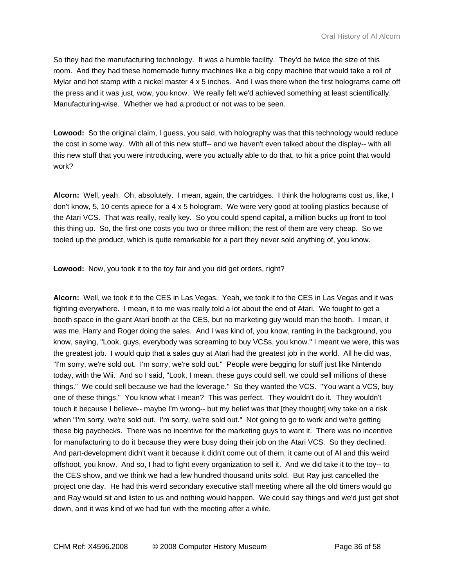So they had the manufacturing technology. It was a humble facility. They'd be twice the size of this room. And they had these homemade funny machines like a big copy machine that would take a roll of Mylar and hot stamp with a nickel master 4 x 5 inches. And I was there when the first holograms came off the press and it was just, wow, you know. We really felt we'd achieved something at least scientifically. Manufacturing-wise. Whether we had a product or not was to be seen.

**Lowood:** So the original claim, I guess, you said, with holography was that this technology would reduce the cost in some way. With all of this new stuff-- and we haven't even talked about the display-- with all this new stuff that you were introducing, were you actually able to do that, to hit a price point that would work?

**Alcorn:** Well, yeah. Oh, absolutely. I mean, again, the cartridges. I think the holograms cost us, like, I don't know, 5, 10 cents apiece for a 4 x 5 hologram. We were very good at tooling plastics because of the Atari VCS. That was really, really key. So you could spend capital, a million bucks up front to tool this thing up. So, the first one costs you two or three million; the rest of them are very cheap. So we tooled up the product, which is quite remarkable for a part they never sold anything of, you know.

**Lowood:** Now, you took it to the toy fair and you did get orders, right?

**Alcorn:** Well, we took it to the CES in Las Vegas. Yeah, we took it to the CES in Las Vegas and it was fighting everywhere. I mean, it to me was really told a lot about the end of Atari. We fought to get a booth space in the giant Atari booth at the CES, but no marketing guy would man the booth. I mean, it was me, Harry and Roger doing the sales. And I was kind of, you know, ranting in the background, you know, saying, "Look, guys, everybody was screaming to buy VCSs, you know." I meant we were, this was the greatest job. I would quip that a sales guy at Atari had the greatest job in the world. All he did was, "I'm sorry, we're sold out. I'm sorry, we're sold out." People were begging for stuff just like Nintendo today, with the Wii. And so I said, "Look, I mean, these guys could sell, we could sell millions of these things." We could sell because we had the leverage." So they wanted the VCS. "You want a VCS, buy one of these things." You know what I mean? This was perfect. They wouldn't do it. They wouldn't touch it because I believe-- maybe I'm wrong-- but my belief was that [they thought] why take on a risk when "I'm sorry, we're sold out. I'm sorry, we're sold out." Not going to go to work and we're getting these big paychecks. There was no incentive for the marketing guys to want it. There was no incentive for manufacturing to do it because they were busy doing their job on the Atari VCS. So they declined. And part-development didn't want it because it didn't come out of them, it came out of Al and this weird offshoot, you know. And so, I had to fight every organization to sell it. And we did take it to the toy-- to the CES show, and we think we had a few hundred thousand units sold. But Ray just cancelled the project one day. He had this weird secondary executive staff meeting where all the old timers would go and Ray would sit and listen to us and nothing would happen. We could say things and we'd just get shot down, and it was kind of we had fun with the meeting after a while.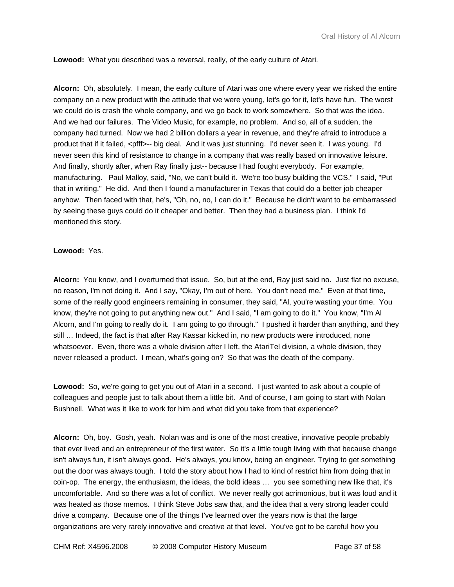**Lowood:** What you described was a reversal, really, of the early culture of Atari.

**Alcorn:** Oh, absolutely. I mean, the early culture of Atari was one where every year we risked the entire company on a new product with the attitude that we were young, let's go for it, let's have fun. The worst we could do is crash the whole company, and we go back to work somewhere. So that was the idea. And we had our failures. The Video Music, for example, no problem. And so, all of a sudden, the company had turned. Now we had 2 billion dollars a year in revenue, and they're afraid to introduce a product that if it failed, <pfff>-- big deal. And it was just stunning. I'd never seen it. I was young. I'd never seen this kind of resistance to change in a company that was really based on innovative leisure. And finally, shortly after, when Ray finally just-- because I had fought everybody. For example, manufacturing. Paul Malloy, said, "No, we can't build it. We're too busy building the VCS." I said, "Put that in writing." He did. And then I found a manufacturer in Texas that could do a better job cheaper anyhow. Then faced with that, he's, "Oh, no, no, I can do it." Because he didn't want to be embarrassed by seeing these guys could do it cheaper and better. Then they had a business plan. I think I'd mentioned this story.

## **Lowood:** Yes.

**Alcorn:** You know, and I overturned that issue. So, but at the end, Ray just said no. Just flat no excuse, no reason, I'm not doing it. And I say, "Okay, I'm out of here. You don't need me." Even at that time, some of the really good engineers remaining in consumer, they said, "AI, you're wasting your time. You know, they're not going to put anything new out." And I said, "I am going to do it." You know, "I'm Al Alcorn, and I'm going to really do it. I am going to go through." I pushed it harder than anything, and they still … Indeed, the fact is that after Ray Kassar kicked in, no new products were introduced, none whatsoever. Even, there was a whole division after I left, the AtariTel division, a whole division, they never released a product. I mean, what's going on? So that was the death of the company.

**Lowood:** So, we're going to get you out of Atari in a second. I just wanted to ask about a couple of colleagues and people just to talk about them a little bit. And of course, I am going to start with Nolan Bushnell. What was it like to work for him and what did you take from that experience?

**Alcorn:** Oh, boy. Gosh, yeah. Nolan was and is one of the most creative, innovative people probably that ever lived and an entrepreneur of the first water. So it's a little tough living with that because change isn't always fun, it isn't always good. He's always, you know, being an engineer. Trying to get something out the door was always tough. I told the story about how I had to kind of restrict him from doing that in coin-op. The energy, the enthusiasm, the ideas, the bold ideas … you see something new like that, it's uncomfortable. And so there was a lot of conflict. We never really got acrimonious, but it was loud and it was heated as those memos. I think Steve Jobs saw that, and the idea that a very strong leader could drive a company. Because one of the things I've learned over the years now is that the large organizations are very rarely innovative and creative at that level. You've got to be careful how you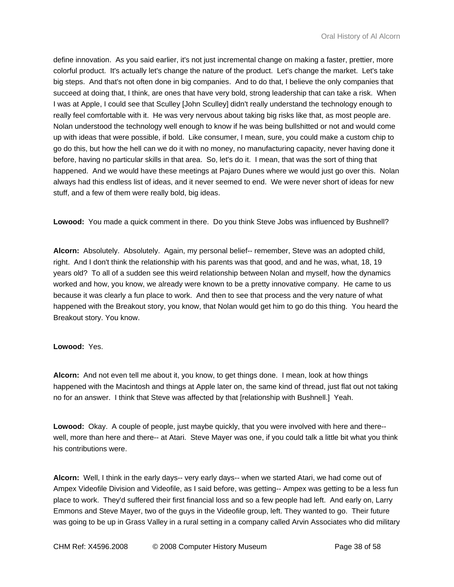define innovation. As you said earlier, it's not just incremental change on making a faster, prettier, more colorful product. It's actually let's change the nature of the product. Let's change the market. Let's take big steps. And that's not often done in big companies. And to do that, I believe the only companies that succeed at doing that, I think, are ones that have very bold, strong leadership that can take a risk. When I was at Apple, I could see that Sculley [John Sculley] didn't really understand the technology enough to really feel comfortable with it. He was very nervous about taking big risks like that, as most people are. Nolan understood the technology well enough to know if he was being bullshitted or not and would come up with ideas that were possible, if bold. Like consumer, I mean, sure, you could make a custom chip to go do this, but how the hell can we do it with no money, no manufacturing capacity, never having done it before, having no particular skills in that area. So, let's do it. I mean, that was the sort of thing that happened. And we would have these meetings at Pajaro Dunes where we would just go over this. Nolan always had this endless list of ideas, and it never seemed to end. We were never short of ideas for new stuff, and a few of them were really bold, big ideas.

**Lowood:** You made a quick comment in there. Do you think Steve Jobs was influenced by Bushnell?

**Alcorn:** Absolutely. Absolutely. Again, my personal belief-- remember, Steve was an adopted child, right. And I don't think the relationship with his parents was that good, and and he was, what, 18, 19 years old? To all of a sudden see this weird relationship between Nolan and myself, how the dynamics worked and how, you know, we already were known to be a pretty innovative company. He came to us because it was clearly a fun place to work. And then to see that process and the very nature of what happened with the Breakout story, you know, that Nolan would get him to go do this thing. You heard the Breakout story. You know.

## **Lowood:** Yes.

**Alcorn:** And not even tell me about it, you know, to get things done. I mean, look at how things happened with the Macintosh and things at Apple later on, the same kind of thread, just flat out not taking no for an answer. I think that Steve was affected by that [relationship with Bushnell.] Yeah.

**Lowood:** Okay. A couple of people, just maybe quickly, that you were involved with here and there- well, more than here and there-- at Atari. Steve Mayer was one, if you could talk a little bit what you think his contributions were.

**Alcorn:** Well, I think in the early days-- very early days-- when we started Atari, we had come out of Ampex Videofile Division and Videofile, as I said before, was getting-- Ampex was getting to be a less fun place to work. They'd suffered their first financial loss and so a few people had left. And early on, Larry Emmons and Steve Mayer, two of the guys in the Videofile group, left. They wanted to go. Their future was going to be up in Grass Valley in a rural setting in a company called Arvin Associates who did military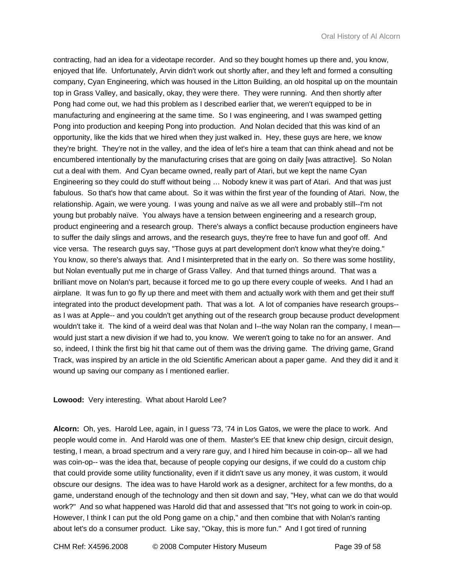contracting, had an idea for a videotape recorder. And so they bought homes up there and, you know, enjoyed that life. Unfortunately, Arvin didn't work out shortly after, and they left and formed a consulting company, Cyan Engineering, which was housed in the Litton Building, an old hospital up on the mountain top in Grass Valley, and basically, okay, they were there. They were running. And then shortly after Pong had come out, we had this problem as I described earlier that, we weren't equipped to be in manufacturing and engineering at the same time. So I was engineering, and I was swamped getting Pong into production and keeping Pong into production. And Nolan decided that this was kind of an opportunity, like the kids that we hired when they just walked in. Hey, these guys are here, we know they're bright. They're not in the valley, and the idea of let's hire a team that can think ahead and not be encumbered intentionally by the manufacturing crises that are going on daily [was attractive]. So Nolan cut a deal with them. And Cyan became owned, really part of Atari, but we kept the name Cyan Engineering so they could do stuff without being … Nobody knew it was part of Atari. And that was just fabulous. So that's how that came about. So it was within the first year of the founding of Atari. Now, the relationship. Again, we were young. I was young and naïve as we all were and probably still--I'm not young but probably naïve. You always have a tension between engineering and a research group, product engineering and a research group. There's always a conflict because production engineers have to suffer the daily slings and arrows, and the research guys, they're free to have fun and goof off. And vice versa. The research guys say, "Those guys at part development don't know what they're doing." You know, so there's always that. And I misinterpreted that in the early on. So there was some hostility, but Nolan eventually put me in charge of Grass Valley. And that turned things around. That was a brilliant move on Nolan's part, because it forced me to go up there every couple of weeks. And I had an airplane. It was fun to go fly up there and meet with them and actually work with them and get their stuff integrated into the product development path. That was a lot. A lot of companies have research groups- as I was at Apple-- and you couldn't get anything out of the research group because product development wouldn't take it. The kind of a weird deal was that Nolan and I--the way Nolan ran the company, I mean would just start a new division if we had to, you know. We weren't going to take no for an answer. And so, indeed, I think the first big hit that came out of them was the driving game. The driving game, Grand Track, was inspired by an article in the old Scientific American about a paper game. And they did it and it wound up saving our company as I mentioned earlier.

#### **Lowood:** Very interesting. What about Harold Lee?

**Alcorn:** Oh, yes. Harold Lee, again, in I guess '73, '74 in Los Gatos, we were the place to work. And people would come in. And Harold was one of them. Master's EE that knew chip design, circuit design, testing, I mean, a broad spectrum and a very rare guy, and I hired him because in coin-op-- all we had was coin-op-- was the idea that, because of people copying our designs, if we could do a custom chip that could provide some utility functionality, even if it didn't save us any money, it was custom, it would obscure our designs. The idea was to have Harold work as a designer, architect for a few months, do a game, understand enough of the technology and then sit down and say, "Hey, what can we do that would work?" And so what happened was Harold did that and assessed that "It's not going to work in coin-op. However, I think I can put the old Pong game on a chip," and then combine that with Nolan's ranting about let's do a consumer product. Like say, "Okay, this is more fun." And I got tired of running

CHM Ref: X4596.2008 © 2008 Computer History Museum Page 39 of 58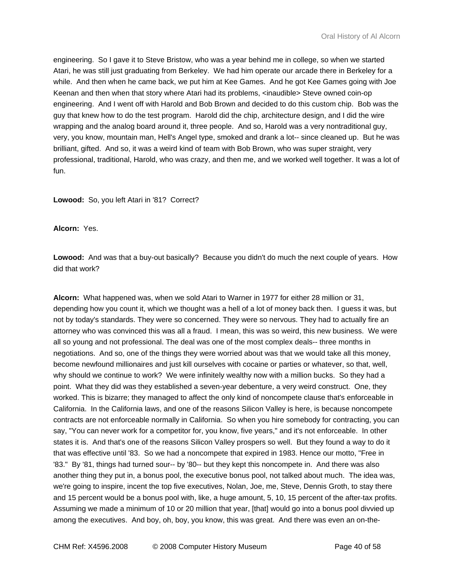engineering. So I gave it to Steve Bristow, who was a year behind me in college, so when we started Atari, he was still just graduating from Berkeley. We had him operate our arcade there in Berkeley for a while. And then when he came back, we put him at Kee Games. And he got Kee Games going with Joe Keenan and then when that story where Atari had its problems, <inaudible> Steve owned coin-op engineering. And I went off with Harold and Bob Brown and decided to do this custom chip. Bob was the guy that knew how to do the test program. Harold did the chip, architecture design, and I did the wire wrapping and the analog board around it, three people. And so, Harold was a very nontraditional guy, very, you know, mountain man, Hell's Angel type, smoked and drank a lot-- since cleaned up. But he was brilliant, gifted. And so, it was a weird kind of team with Bob Brown, who was super straight, very professional, traditional, Harold, who was crazy, and then me, and we worked well together. It was a lot of fun.

**Lowood:** So, you left Atari in '81? Correct?

**Alcorn:** Yes.

**Lowood:** And was that a buy-out basically? Because you didn't do much the next couple of years. How did that work?

**Alcorn:** What happened was, when we sold Atari to Warner in 1977 for either 28 million or 31, depending how you count it, which we thought was a hell of a lot of money back then. I guess it was, but not by today's standards. They were so concerned. They were so nervous. They had to actually fire an attorney who was convinced this was all a fraud. I mean, this was so weird, this new business. We were all so young and not professional. The deal was one of the most complex deals-- three months in negotiations. And so, one of the things they were worried about was that we would take all this money, become newfound millionaires and just kill ourselves with cocaine or parties or whatever, so that, well, why should we continue to work? We were infinitely wealthy now with a million bucks. So they had a point. What they did was they established a seven-year debenture, a very weird construct. One, they worked. This is bizarre; they managed to affect the only kind of noncompete clause that's enforceable in California. In the California laws, and one of the reasons Silicon Valley is here, is because noncompete contracts are not enforceable normally in California. So when you hire somebody for contracting, you can say, "You can never work for a competitor for, you know, five years," and it's not enforceable. In other states it is. And that's one of the reasons Silicon Valley prospers so well. But they found a way to do it that was effective until '83. So we had a noncompete that expired in 1983. Hence our motto, "Free in '83." By '81, things had turned sour-- by '80-- but they kept this noncompete in. And there was also another thing they put in, a bonus pool, the executive bonus pool, not talked about much. The idea was, we're going to inspire, incent the top five executives, Nolan, Joe, me, Steve, Dennis Groth, to stay there and 15 percent would be a bonus pool with, like, a huge amount, 5, 10, 15 percent of the after-tax profits. Assuming we made a minimum of 10 or 20 million that year, [that] would go into a bonus pool divvied up among the executives. And boy, oh, boy, you know, this was great. And there was even an on-the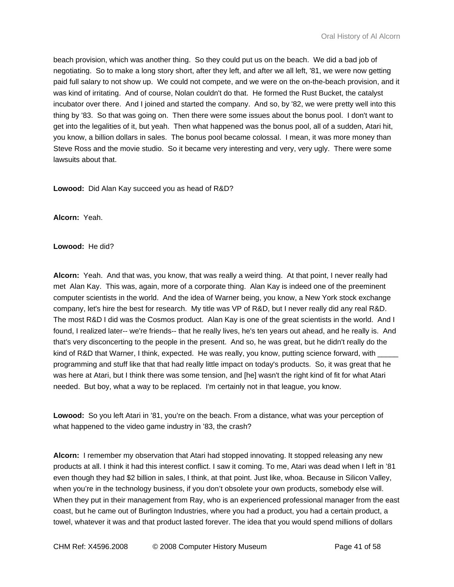beach provision, which was another thing. So they could put us on the beach. We did a bad job of negotiating. So to make a long story short, after they left, and after we all left, '81, we were now getting paid full salary to not show up. We could not compete, and we were on the on-the-beach provision, and it was kind of irritating. And of course, Nolan couldn't do that. He formed the Rust Bucket, the catalyst incubator over there. And I joined and started the company. And so, by '82, we were pretty well into this thing by '83. So that was going on. Then there were some issues about the bonus pool. I don't want to get into the legalities of it, but yeah. Then what happened was the bonus pool, all of a sudden, Atari hit, you know, a billion dollars in sales. The bonus pool became colossal. I mean, it was more money than Steve Ross and the movie studio. So it became very interesting and very, very ugly. There were some lawsuits about that.

**Lowood:** Did Alan Kay succeed you as head of R&D?

**Alcorn:** Yeah.

**Lowood:** He did?

**Alcorn:** Yeah. And that was, you know, that was really a weird thing. At that point, I never really had met Alan Kay. This was, again, more of a corporate thing. Alan Kay is indeed one of the preeminent computer scientists in the world. And the idea of Warner being, you know, a New York stock exchange company, let's hire the best for research. My title was VP of R&D, but I never really did any real R&D. The most R&D I did was the Cosmos product. Alan Kay is one of the great scientists in the world. And I found, I realized later-- we're friends-- that he really lives, he's ten years out ahead, and he really is. And that's very disconcerting to the people in the present. And so, he was great, but he didn't really do the kind of R&D that Warner, I think, expected. He was really, you know, putting science forward, with programming and stuff like that that had really little impact on today's products. So, it was great that he was here at Atari, but I think there was some tension, and [he] wasn't the right kind of fit for what Atari needed. But boy, what a way to be replaced. I'm certainly not in that league, you know.

**Lowood:** So you left Atari in '81, you're on the beach. From a distance, what was your perception of what happened to the video game industry in '83, the crash?

**Alcorn:** I remember my observation that Atari had stopped innovating. It stopped releasing any new products at all. I think it had this interest conflict. I saw it coming. To me, Atari was dead when I left in '81 even though they had \$2 billion in sales, I think, at that point. Just like, whoa. Because in Silicon Valley, when you're in the technology business, if you don't obsolete your own products, somebody else will. When they put in their management from Ray, who is an experienced professional manager from the east coast, but he came out of Burlington Industries, where you had a product, you had a certain product, a towel, whatever it was and that product lasted forever. The idea that you would spend millions of dollars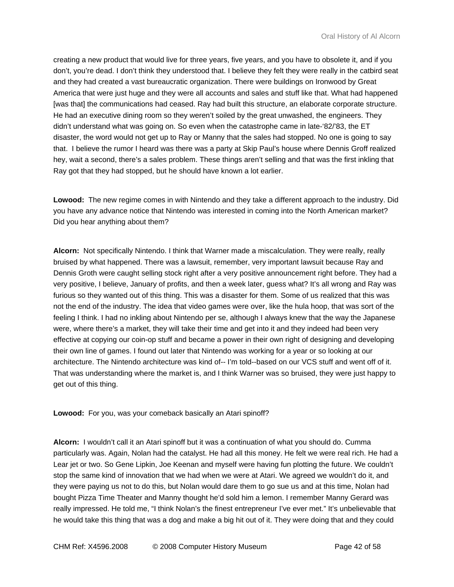creating a new product that would live for three years, five years, and you have to obsolete it, and if you don't, you're dead. I don't think they understood that. I believe they felt they were really in the catbird seat and they had created a vast bureaucratic organization. There were buildings on Ironwood by Great America that were just huge and they were all accounts and sales and stuff like that. What had happened [was that] the communications had ceased. Ray had built this structure, an elaborate corporate structure. He had an executive dining room so they weren't soiled by the great unwashed, the engineers. They didn't understand what was going on. So even when the catastrophe came in late-'82/'83, the ET disaster, the word would not get up to Ray or Manny that the sales had stopped. No one is going to say that. I believe the rumor I heard was there was a party at Skip Paul's house where Dennis Groff realized hey, wait a second, there's a sales problem. These things aren't selling and that was the first inkling that Ray got that they had stopped, but he should have known a lot earlier.

**Lowood:** The new regime comes in with Nintendo and they take a different approach to the industry. Did you have any advance notice that Nintendo was interested in coming into the North American market? Did you hear anything about them?

**Alcorn:** Not specifically Nintendo. I think that Warner made a miscalculation. They were really, really bruised by what happened. There was a lawsuit, remember, very important lawsuit because Ray and Dennis Groth were caught selling stock right after a very positive announcement right before. They had a very positive, I believe, January of profits, and then a week later, guess what? It's all wrong and Ray was furious so they wanted out of this thing. This was a disaster for them. Some of us realized that this was not the end of the industry. The idea that video games were over, like the hula hoop, that was sort of the feeling I think. I had no inkling about Nintendo per se, although I always knew that the way the Japanese were, where there's a market, they will take their time and get into it and they indeed had been very effective at copying our coin-op stuff and became a power in their own right of designing and developing their own line of games. I found out later that Nintendo was working for a year or so looking at our architecture. The Nintendo architecture was kind of-- I'm told--based on our VCS stuff and went off of it. That was understanding where the market is, and I think Warner was so bruised, they were just happy to get out of this thing.

**Lowood:** For you, was your comeback basically an Atari spinoff?

**Alcorn:** I wouldn't call it an Atari spinoff but it was a continuation of what you should do. Cumma particularly was. Again, Nolan had the catalyst. He had all this money. He felt we were real rich. He had a Lear jet or two. So Gene Lipkin, Joe Keenan and myself were having fun plotting the future. We couldn't stop the same kind of innovation that we had when we were at Atari. We agreed we wouldn't do it, and they were paying us not to do this, but Nolan would dare them to go sue us and at this time, Nolan had bought Pizza Time Theater and Manny thought he'd sold him a lemon. I remember Manny Gerard was really impressed. He told me, "I think Nolan's the finest entrepreneur I've ever met." It's unbelievable that he would take this thing that was a dog and make a big hit out of it. They were doing that and they could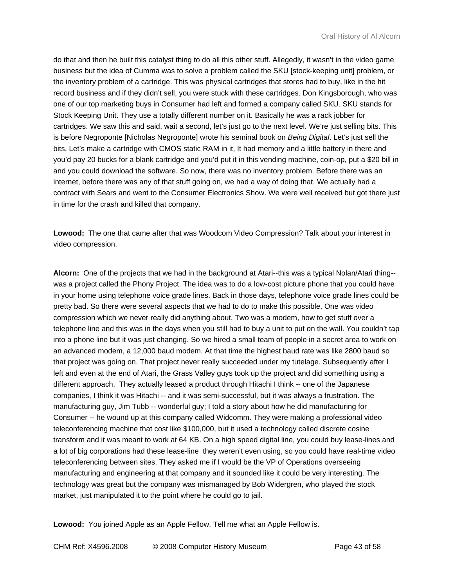do that and then he built this catalyst thing to do all this other stuff. Allegedly, it wasn't in the video game business but the idea of Cumma was to solve a problem called the SKU [stock-keeping unit] problem, or the inventory problem of a cartridge. This was physical cartridges that stores had to buy, like in the hit record business and if they didn't sell, you were stuck with these cartridges. Don Kingsborough, who was one of our top marketing buys in Consumer had left and formed a company called SKU. SKU stands for Stock Keeping Unit. They use a totally different number on it. Basically he was a rack jobber for cartridges. We saw this and said, wait a second, let's just go to the next level. We're just selling bits. This is before Negroponte [Nicholas Negroponte] wrote his seminal book on *Being Digital*. Let's just sell the bits. Let's make a cartridge with CMOS static RAM in it, It had memory and a little battery in there and you'd pay 20 bucks for a blank cartridge and you'd put it in this vending machine, coin-op, put a \$20 bill in and you could download the software. So now, there was no inventory problem. Before there was an internet, before there was any of that stuff going on, we had a way of doing that. We actually had a contract with Sears and went to the Consumer Electronics Show. We were well received but got there just in time for the crash and killed that company.

**Lowood:** The one that came after that was Woodcom Video Compression? Talk about your interest in video compression.

**Alcorn:** One of the projects that we had in the background at Atari--this was a typical Nolan/Atari thing- was a project called the Phony Project. The idea was to do a low-cost picture phone that you could have in your home using telephone voice grade lines. Back in those days, telephone voice grade lines could be pretty bad. So there were several aspects that we had to do to make this possible. One was video compression which we never really did anything about. Two was a modem, how to get stuff over a telephone line and this was in the days when you still had to buy a unit to put on the wall. You couldn't tap into a phone line but it was just changing. So we hired a small team of people in a secret area to work on an advanced modem, a 12,000 baud modem. At that time the highest baud rate was like 2800 baud so that project was going on. That project never really succeeded under my tutelage. Subsequently after I left and even at the end of Atari, the Grass Valley guys took up the project and did something using a different approach. They actually leased a product through Hitachi I think -- one of the Japanese companies, I think it was Hitachi -- and it was semi-successful, but it was always a frustration. The manufacturing guy, Jim Tubb -- wonderful guy; I told a story about how he did manufacturing for Consumer -- he wound up at this company called Widcomm. They were making a professional video teleconferencing machine that cost like \$100,000, but it used a technology called discrete cosine transform and it was meant to work at 64 KB. On a high speed digital line, you could buy lease-lines and a lot of big corporations had these lease-line they weren't even using, so you could have real-time video teleconferencing between sites. They asked me if I would be the VP of Operations overseeing manufacturing and engineering at that company and it sounded like it could be very interesting. The technology was great but the company was mismanaged by Bob Widergren, who played the stock market, just manipulated it to the point where he could go to jail.

**Lowood:** You joined Apple as an Apple Fellow. Tell me what an Apple Fellow is.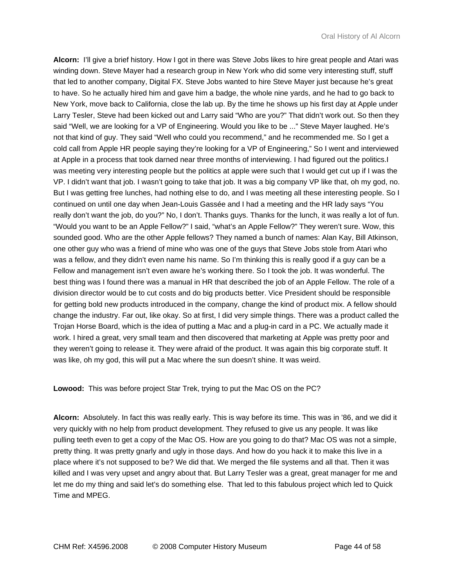**Alcorn:** I'll give a brief history. How I got in there was Steve Jobs likes to hire great people and Atari was winding down. Steve Mayer had a research group in New York who did some very interesting stuff, stuff that led to another company, Digital FX. Steve Jobs wanted to hire Steve Mayer just because he's great to have. So he actually hired him and gave him a badge, the whole nine yards, and he had to go back to New York, move back to California, close the lab up. By the time he shows up his first day at Apple under Larry Tesler, Steve had been kicked out and Larry said "Who are you?" That didn't work out. So then they said "Well, we are looking for a VP of Engineering. Would you like to be ..." Steve Mayer laughed. He's not that kind of guy. They said "Well who could you recommend," and he recommended me. So I get a cold call from Apple HR people saying they're looking for a VP of Engineering," So I went and interviewed at Apple in a process that took darned near three months of interviewing. I had figured out the politics.I was meeting very interesting people but the politics at apple were such that I would get cut up if I was the VP. I didn't want that job. I wasn't going to take that job. It was a big company VP like that, oh my god, no. But I was getting free lunches, had nothing else to do, and I was meeting all these interesting people. So I continued on until one day when Jean-Louis Gassée and I had a meeting and the HR lady says "You really don't want the job, do you?" No, I don't. Thanks guys. Thanks for the lunch, it was really a lot of fun. "Would you want to be an Apple Fellow?" I said, "what's an Apple Fellow?" They weren't sure. Wow, this sounded good. Who are the other Apple fellows? They named a bunch of names: Alan Kay, Bill Atkinson, one other guy who was a friend of mine who was one of the guys that Steve Jobs stole from Atari who was a fellow, and they didn't even name his name. So I'm thinking this is really good if a guy can be a Fellow and management isn't even aware he's working there. So I took the job. It was wonderful. The best thing was I found there was a manual in HR that described the job of an Apple Fellow. The role of a division director would be to cut costs and do big products better. Vice President should be responsible for getting bold new products introduced in the company, change the kind of product mix. A fellow should change the industry. Far out, like okay. So at first, I did very simple things. There was a product called the Trojan Horse Board, which is the idea of putting a Mac and a plug-in card in a PC. We actually made it work. I hired a great, very small team and then discovered that marketing at Apple was pretty poor and they weren't going to release it. They were afraid of the product. It was again this big corporate stuff. It was like, oh my god, this will put a Mac where the sun doesn't shine. It was weird.

**Lowood:** This was before project Star Trek, trying to put the Mac OS on the PC?

**Alcorn:** Absolutely. In fact this was really early. This is way before its time. This was in '86, and we did it very quickly with no help from product development. They refused to give us any people. It was like pulling teeth even to get a copy of the Mac OS. How are you going to do that? Mac OS was not a simple, pretty thing. It was pretty gnarly and ugly in those days. And how do you hack it to make this live in a place where it's not supposed to be? We did that. We merged the file systems and all that. Then it was killed and I was very upset and angry about that. But Larry Tesler was a great, great manager for me and let me do my thing and said let's do something else. That led to this fabulous project which led to Quick Time and MPEG.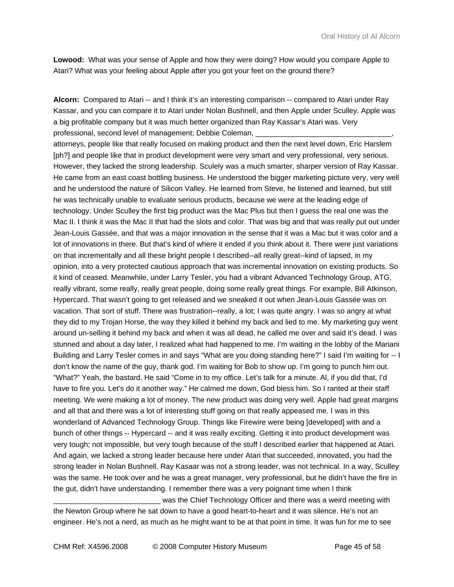**Lowood:** What was your sense of Apple and how they were doing? How would you compare Apple to Atari? What was your feeling about Apple after you got your feet on the ground there?

**Alcorn:** Compared to Atari -- and I think it's an interesting comparison -- compared to Atari under Ray Kassar, and you can compare it to Atari under Nolan Bushnell, and then Apple under Sculley. Apple was a big profitable company but it was much better organized than Ray Kassar's Atari was. Very professional, second level of management; Debbie Coleman,

attorneys, people like that really focused on making product and then the next level down, Eric Harslem [ph?] and people like that in product development were very smart and very professional, very serious. However, they lacked the strong leadership. Sculely was a much smarter, sharper version of Ray Kassar. He came from an east coast bottling business. He understood the bigger marketing picture very, very well and he understood the nature of Silicon Valley. He learned from Steve, he listened and learned, but still he was technically unable to evaluate serious products, because we were at the leading edge of technology. Under Sculley the first big product was the Mac Plus but then I guess the real one was the Mac II. I think it was the Mac II that had the slots and color. That was big and that was really put out under Jean-Louis Gassée, and that was a major innovation in the sense that it was a Mac but it was color and a lot of innovations in there. But that's kind of where it ended if you think about it. There were just variations on that incrementally and all these bright people I described--all really great--kind of lapsed, in my opinion, into a very protected cautious approach that was incremental innovation on existing products. So it kind of ceased. Meanwhile, under Larry Tesler, you had a vibrant Advanced Technology Group, ATG, really vibrant, some really, really great people, doing some really great things. For example, Bill Atkinson, Hypercard. That wasn't going to get released and we sneaked it out when Jean-Louis Gassée was on vacation. That sort of stuff. There was frustration--really, a lot; I was quite angry. I was so angry at what they did to my Trojan Horse, the way they killed it behind my back and lied to me. My marketing guy went around un-selling it behind my back and when it was all dead, he called me over and said it's dead. I was stunned and about a day later, I realized what had happened to me. I'm waiting in the lobby of the Mariani Building and Larry Tesler comes in and says "What are you doing standing here?" I said I'm waiting for -- I don't know the name of the guy, thank god. I'm waiting for Bob to show up. I'm going to punch him out. "What?" Yeah, the bastard. He said "Come in to my office. Let's talk for a minute. Al, if you did that, I'd have to fire you. Let's do it another way." He calmed me down, God bless him. So I ranted at their staff meeting. We were making a lot of money. The new product was doing very well. Apple had great margins and all that and there was a lot of interesting stuff going on that really appeased me. I was in this wonderland of Advanced Technology Group. Things like Firewire were being [developed] with and a bunch of other things -- Hypercard -- and it was really exciting. Getting it into product development was very tough; not impossible, but very tough because of the stuff I described earlier that happened at Atari. And again, we lacked a strong leader because here under Atari that succeeded, innovated, you had the strong leader in Nolan Bushnell. Ray Kasaar was not a strong leader, was not technical. In a way, Sculley was the same. He took over and he was a great manager, very professional, but he didn't have the fire in the gut, didn't have understanding. I remember there was a very poignant time when I think

was the Chief Technology Officer and there was a weird meeting with the Newton Group where he sat down to have a good heart-to-heart and it was silence. He's not an engineer. He's not a nerd, as much as he might want to be at that point in time. It was fun for me to see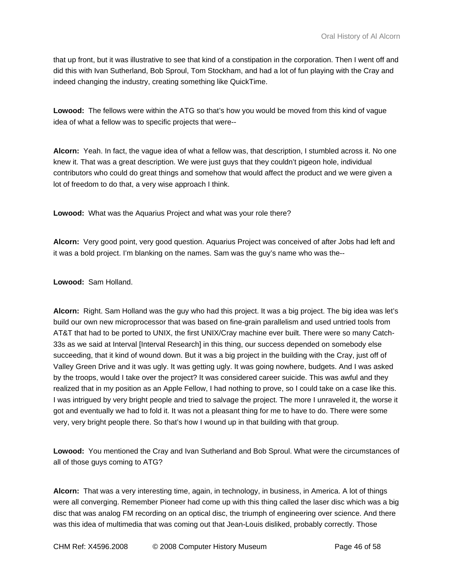that up front, but it was illustrative to see that kind of a constipation in the corporation. Then I went off and did this with Ivan Sutherland, Bob Sproul, Tom Stockham, and had a lot of fun playing with the Cray and indeed changing the industry, creating something like QuickTime.

**Lowood:** The fellows were within the ATG so that's how you would be moved from this kind of vague idea of what a fellow was to specific projects that were--

**Alcorn:** Yeah. In fact, the vague idea of what a fellow was, that description, I stumbled across it. No one knew it. That was a great description. We were just guys that they couldn't pigeon hole, individual contributors who could do great things and somehow that would affect the product and we were given a lot of freedom to do that, a very wise approach I think.

**Lowood:** What was the Aquarius Project and what was your role there?

**Alcorn:** Very good point, very good question. Aquarius Project was conceived of after Jobs had left and it was a bold project. I'm blanking on the names. Sam was the guy's name who was the--

**Lowood:** Sam Holland.

**Alcorn:** Right. Sam Holland was the guy who had this project. It was a big project. The big idea was let's build our own new microprocessor that was based on fine-grain parallelism and used untried tools from AT&T that had to be ported to UNIX, the first UNIX/Cray machine ever built. There were so many Catch-33s as we said at Interval [Interval Research] in this thing, our success depended on somebody else succeeding, that it kind of wound down. But it was a big project in the building with the Cray, just off of Valley Green Drive and it was ugly. It was getting ugly. It was going nowhere, budgets. And I was asked by the troops, would I take over the project? It was considered career suicide. This was awful and they realized that in my position as an Apple Fellow, I had nothing to prove, so I could take on a case like this. I was intrigued by very bright people and tried to salvage the project. The more I unraveled it, the worse it got and eventually we had to fold it. It was not a pleasant thing for me to have to do. There were some very, very bright people there. So that's how I wound up in that building with that group.

**Lowood:** You mentioned the Cray and Ivan Sutherland and Bob Sproul. What were the circumstances of all of those guys coming to ATG?

**Alcorn:** That was a very interesting time, again, in technology, in business, in America. A lot of things were all converging. Remember Pioneer had come up with this thing called the laser disc which was a big disc that was analog FM recording on an optical disc, the triumph of engineering over science. And there was this idea of multimedia that was coming out that Jean-Louis disliked, probably correctly. Those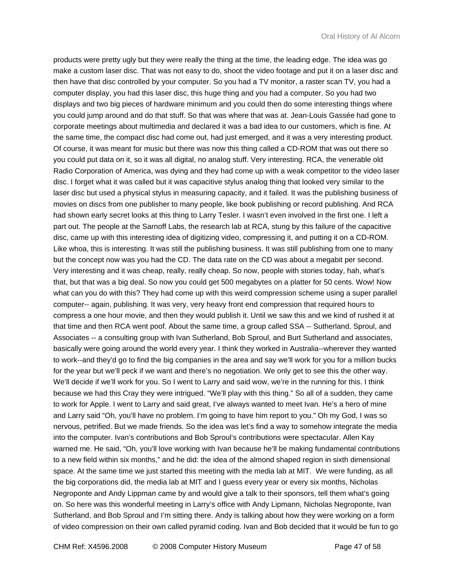products were pretty ugly but they were really the thing at the time, the leading edge. The idea was go make a custom laser disc. That was not easy to do, shoot the video footage and put it on a laser disc and then have that disc controlled by your computer. So you had a TV monitor, a raster scan TV, you had a computer display, you had this laser disc, this huge thing and you had a computer. So you had two displays and two big pieces of hardware minimum and you could then do some interesting things where you could jump around and do that stuff. So that was where that was at. Jean-Louis Gassée had gone to corporate meetings about multimedia and declared it was a bad idea to our customers, which is fine. At the same time, the compact disc had come out, had just emerged, and it was a very interesting product. Of course, it was meant for music but there was now this thing called a CD-ROM that was out there so you could put data on it, so it was all digital, no analog stuff. Very interesting. RCA, the venerable old Radio Corporation of America, was dying and they had come up with a weak competitor to the video laser disc. I forget what it was called but it was capacitive stylus analog thing that looked very similar to the laser disc but used a physical stylus in measuring capacity, and it failed. It was the publishing business of movies on discs from one publisher to many people, like book publishing or record publishing. And RCA had shown early secret looks at this thing to Larry Tesler. I wasn't even involved in the first one. I left a part out. The people at the Sarnoff Labs, the research lab at RCA, stung by this failure of the capacitive disc, came up with this interesting idea of digitizing video, compressing it, and putting it on a CD-ROM. Like whoa, this is interesting. It was still the publishing business. It was still publishing from one to many but the concept now was you had the CD. The data rate on the CD was about a megabit per second. Very interesting and it was cheap, really, really cheap. So now, people with stories today, hah, what's that, but that was a big deal. So now you could get 500 megabytes on a platter for 50 cents. Wow! Now what can you do with this? They had come up with this weird compression scheme using a super parallel computer-- again, publishing. It was very, very heavy front end compression that required hours to compress a one hour movie, and then they would publish it. Until we saw this and we kind of rushed it at that time and then RCA went poof. About the same time, a group called SSA -- Sutherland, Sproul, and Associates -- a consulting group with Ivan Sutherland, Bob Sproul, and Burt Sutherland and associates, basically were going around the world every year. I think they worked in Australia--wherever they wanted to work--and they'd go to find the big companies in the area and say we'll work for you for a million bucks for the year but we'll peck if we want and there's no negotiation. We only get to see this the other way. We'll decide if we'll work for you. So I went to Larry and said wow, we're in the running for this. I think because we had this Cray they were intrigued. "We'll play with this thing." So all of a sudden, they came to work for Apple. I went to Larry and said great, I've always wanted to meet Ivan. He's a hero of mine and Larry said "Oh, you'll have no problem. I'm going to have him report to you." Oh my God, I was so nervous, petrified. But we made friends. So the idea was let's find a way to somehow integrate the media into the computer. Ivan's contributions and Bob Sproul's contributions were spectacular. Allen Kay warned me. He said, "Oh, you'll love working with Ivan because he'll be making fundamental contributions to a new field within six months," and he did: the idea of the almond shaped region in sixth dimensional space. At the same time we just started this meeting with the media lab at MIT. We were funding, as all the big corporations did, the media lab at MIT and I guess every year or every six months, Nicholas Negroponte and Andy Lippman came by and would give a talk to their sponsors, tell them what's going on. So here was this wonderful meeting in Larry's office with Andy Lipmann, Nicholas Negroponte, Ivan Sutherland, and Bob Sproul and I'm sitting there. Andy is talking about how they were working on a form of video compression on their own called pyramid coding. Ivan and Bob decided that it would be fun to go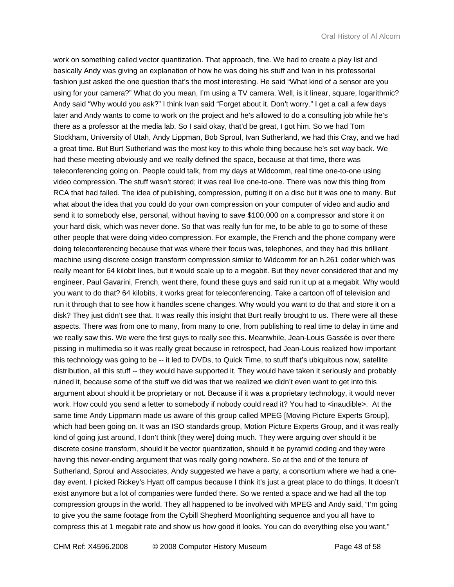work on something called vector quantization. That approach, fine. We had to create a play list and basically Andy was giving an explanation of how he was doing his stuff and Ivan in his professorial fashion just asked the one question that's the most interesting. He said "What kind of a sensor are you using for your camera?" What do you mean, I'm using a TV camera. Well, is it linear, square, logarithmic? Andy said "Why would you ask?" I think Ivan said "Forget about it. Don't worry." I get a call a few days later and Andy wants to come to work on the project and he's allowed to do a consulting job while he's there as a professor at the media lab. So I said okay, that'd be great, I got him. So we had Tom Stockham, University of Utah, Andy Lippman, Bob Sproul, Ivan Sutherland, we had this Cray, and we had a great time. But Burt Sutherland was the most key to this whole thing because he's set way back. We had these meeting obviously and we really defined the space, because at that time, there was teleconferencing going on. People could talk, from my days at Widcomm, real time one-to-one using video compression. The stuff wasn't stored; it was real live one-to-one. There was now this thing from RCA that had failed. The idea of publishing, compression, putting it on a disc but it was one to many. But what about the idea that you could do your own compression on your computer of video and audio and send it to somebody else, personal, without having to save \$100,000 on a compressor and store it on your hard disk, which was never done. So that was really fun for me, to be able to go to some of these other people that were doing video compression. For example, the French and the phone company were doing teleconferencing because that was where their focus was, telephones, and they had this brilliant machine using discrete cosign transform compression similar to Widcomm for an h.261 coder which was really meant for 64 kilobit lines, but it would scale up to a megabit. But they never considered that and my engineer, Paul Gavarini, French, went there, found these guys and said run it up at a megabit. Why would you want to do that? 64 kilobits, it works great for teleconferencing. Take a cartoon off of television and run it through that to see how it handles scene changes. Why would you want to do that and store it on a disk? They just didn't see that. It was really this insight that Burt really brought to us. There were all these aspects. There was from one to many, from many to one, from publishing to real time to delay in time and we really saw this. We were the first guys to really see this. Meanwhile, Jean-Louis Gassée is over there pissing in multimedia so it was really great because in retrospect, had Jean-Louis realized how important this technology was going to be -- it led to DVDs, to Quick Time, to stuff that's ubiquitous now, satellite distribution, all this stuff -- they would have supported it. They would have taken it seriously and probably ruined it, because some of the stuff we did was that we realized we didn't even want to get into this argument about should it be proprietary or not. Because if it was a proprietary technology, it would never work. How could you send a letter to somebody if nobody could read it? You had to <inaudible>. At the same time Andy Lippmann made us aware of this group called MPEG [Moving Picture Experts Group], which had been going on. It was an ISO standards group, Motion Picture Experts Group, and it was really kind of going just around, I don't think [they were] doing much. They were arguing over should it be discrete cosine transform, should it be vector quantization, should it be pyramid coding and they were having this never-ending argument that was really going nowhere. So at the end of the tenure of Sutherland, Sproul and Associates, Andy suggested we have a party, a consortium where we had a oneday event. I picked Rickey's Hyatt off campus because I think it's just a great place to do things. It doesn't exist anymore but a lot of companies were funded there. So we rented a space and we had all the top compression groups in the world. They all happened to be involved with MPEG and Andy said, "I'm going to give you the same footage from the Cybill Shepherd Moonlighting sequence and you all have to compress this at 1 megabit rate and show us how good it looks. You can do everything else you want,"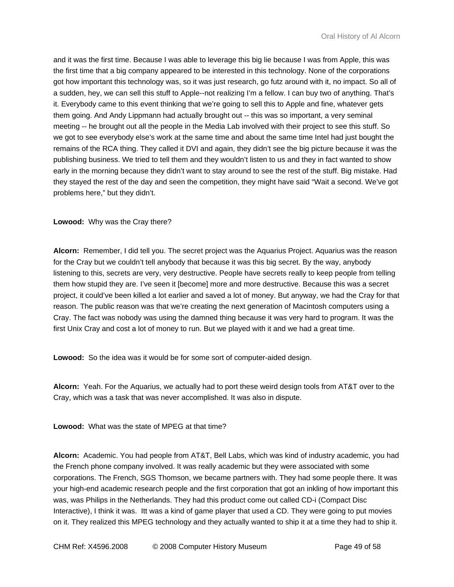and it was the first time. Because I was able to leverage this big lie because I was from Apple, this was the first time that a big company appeared to be interested in this technology. None of the corporations got how important this technology was, so it was just research, go futz around with it, no impact. So all of a sudden, hey, we can sell this stuff to Apple--not realizing I'm a fellow. I can buy two of anything. That's it. Everybody came to this event thinking that we're going to sell this to Apple and fine, whatever gets them going. And Andy Lippmann had actually brought out -- this was so important, a very seminal meeting -- he brought out all the people in the Media Lab involved with their project to see this stuff. So we got to see everybody else's work at the same time and about the same time Intel had just bought the remains of the RCA thing. They called it DVI and again, they didn't see the big picture because it was the publishing business. We tried to tell them and they wouldn't listen to us and they in fact wanted to show early in the morning because they didn't want to stay around to see the rest of the stuff. Big mistake. Had they stayed the rest of the day and seen the competition, they might have said "Wait a second. We've got problems here," but they didn't.

**Lowood:** Why was the Cray there?

**Alcorn:** Remember, I did tell you. The secret project was the Aquarius Project. Aquarius was the reason for the Cray but we couldn't tell anybody that because it was this big secret. By the way, anybody listening to this, secrets are very, very destructive. People have secrets really to keep people from telling them how stupid they are. I've seen it [become] more and more destructive. Because this was a secret project, it could've been killed a lot earlier and saved a lot of money. But anyway, we had the Cray for that reason. The public reason was that we're creating the next generation of Macintosh computers using a Cray. The fact was nobody was using the damned thing because it was very hard to program. It was the first Unix Cray and cost a lot of money to run. But we played with it and we had a great time.

**Lowood:** So the idea was it would be for some sort of computer-aided design.

**Alcorn:** Yeah. For the Aquarius, we actually had to port these weird design tools from AT&T over to the Cray, which was a task that was never accomplished. It was also in dispute.

**Lowood:** What was the state of MPEG at that time?

**Alcorn:** Academic. You had people from AT&T, Bell Labs, which was kind of industry academic, you had the French phone company involved. It was really academic but they were associated with some corporations. The French, SGS Thomson, we became partners with. They had some people there. It was your high-end academic research people and the first corporation that got an inkling of how important this was, was Philips in the Netherlands. They had this product come out called CD-i (Compact Disc Interactive), I think it was. Itt was a kind of game player that used a CD. They were going to put movies on it. They realized this MPEG technology and they actually wanted to ship it at a time they had to ship it.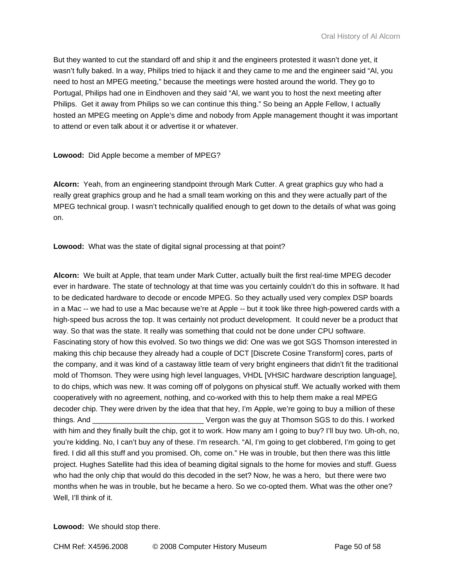But they wanted to cut the standard off and ship it and the engineers protested it wasn't done yet, it wasn't fully baked. In a way, Philips tried to hijack it and they came to me and the engineer said "Al, you need to host an MPEG meeting," because the meetings were hosted around the world. They go to Portugal, Philips had one in Eindhoven and they said "Al, we want you to host the next meeting after Philips. Get it away from Philips so we can continue this thing." So being an Apple Fellow, I actually hosted an MPEG meeting on Apple's dime and nobody from Apple management thought it was important to attend or even talk about it or advertise it or whatever.

# **Lowood:** Did Apple become a member of MPEG?

**Alcorn:** Yeah, from an engineering standpoint through Mark Cutter. A great graphics guy who had a really great graphics group and he had a small team working on this and they were actually part of the MPEG technical group. I wasn't technically qualified enough to get down to the details of what was going on.

**Lowood:** What was the state of digital signal processing at that point?

**Alcorn:** We built at Apple, that team under Mark Cutter, actually built the first real-time MPEG decoder ever in hardware. The state of technology at that time was you certainly couldn't do this in software. It had to be dedicated hardware to decode or encode MPEG. So they actually used very complex DSP boards in a Mac -- we had to use a Mac because we're at Apple -- but it took like three high-powered cards with a high-speed bus across the top. It was certainly not product development. It could never be a product that way. So that was the state. It really was something that could not be done under CPU software. Fascinating story of how this evolved. So two things we did: One was we got SGS Thomson interested in making this chip because they already had a couple of DCT [Discrete Cosine Transform] cores, parts of the company, and it was kind of a castaway little team of very bright engineers that didn't fit the traditional mold of Thomson. They were using high level languages, VHDL [VHSIC hardware description language], to do chips, which was new. It was coming off of polygons on physical stuff. We actually worked with them cooperatively with no agreement, nothing, and co-worked with this to help them make a real MPEG decoder chip. They were driven by the idea that that hey, I'm Apple, we're going to buy a million of these things. And \_\_\_\_\_\_\_\_\_\_\_\_\_\_\_\_\_\_\_\_\_\_\_\_\_\_\_ Vergon was the guy at Thomson SGS to do this. I worked with him and they finally built the chip, got it to work. How many am I going to buy? I'll buy two. Uh-oh, no, you're kidding. No, I can't buy any of these. I'm research. "Al, I'm going to get clobbered, I'm going to get fired. I did all this stuff and you promised. Oh, come on." He was in trouble, but then there was this little project. Hughes Satellite had this idea of beaming digital signals to the home for movies and stuff. Guess who had the only chip that would do this decoded in the set? Now, he was a hero, but there were two months when he was in trouble, but he became a hero. So we co-opted them. What was the other one? Well, I'll think of it.

**Lowood:** We should stop there.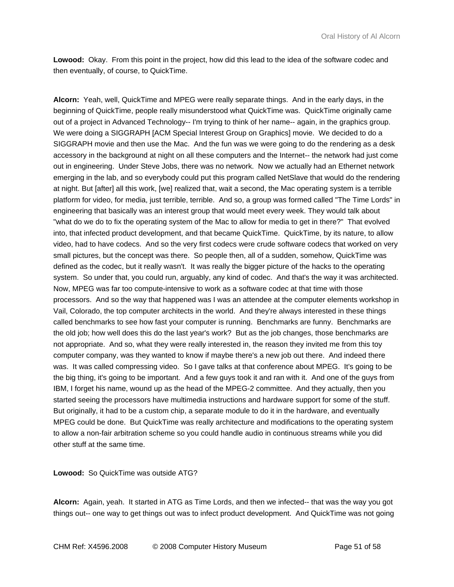**Lowood:** Okay. From this point in the project, how did this lead to the idea of the software codec and then eventually, of course, to QuickTime.

**Alcorn:** Yeah, well, QuickTime and MPEG were really separate things. And in the early days, in the beginning of QuickTime, people really misunderstood what QuickTime was. QuickTime originally came out of a project in Advanced Technology-- I'm trying to think of her name-- again, in the graphics group. We were doing a SIGGRAPH [ACM Special Interest Group on Graphics] movie. We decided to do a SIGGRAPH movie and then use the Mac. And the fun was we were going to do the rendering as a desk accessory in the background at night on all these computers and the Internet-- the network had just come out in engineering. Under Steve Jobs, there was no network. Now we actually had an Ethernet network emerging in the lab, and so everybody could put this program called NetSlave that would do the rendering at night. But [after] all this work, [we] realized that, wait a second, the Mac operating system is a terrible platform for video, for media, just terrible, terrible. And so, a group was formed called "The Time Lords" in engineering that basically was an interest group that would meet every week. They would talk about "what do we do to fix the operating system of the Mac to allow for media to get in there?" That evolved into, that infected product development, and that became QuickTime. QuickTime, by its nature, to allow video, had to have codecs. And so the very first codecs were crude software codecs that worked on very small pictures, but the concept was there. So people then, all of a sudden, somehow, QuickTime was defined as the codec, but it really wasn't. It was really the bigger picture of the hacks to the operating system. So under that, you could run, arguably, any kind of codec. And that's the way it was architected. Now, MPEG was far too compute-intensive to work as a software codec at that time with those processors. And so the way that happened was I was an attendee at the computer elements workshop in Vail, Colorado, the top computer architects in the world. And they're always interested in these things called benchmarks to see how fast your computer is running. Benchmarks are funny. Benchmarks are the old job; how well does this do the last year's work? But as the job changes, those benchmarks are not appropriate. And so, what they were really interested in, the reason they invited me from this toy computer company, was they wanted to know if maybe there's a new job out there. And indeed there was. It was called compressing video. So I gave talks at that conference about MPEG. It's going to be the big thing, it's going to be important. And a few guys took it and ran with it. And one of the guys from IBM, I forget his name, wound up as the head of the MPEG-2 committee. And they actually, then you started seeing the processors have multimedia instructions and hardware support for some of the stuff. But originally, it had to be a custom chip, a separate module to do it in the hardware, and eventually MPEG could be done. But QuickTime was really architecture and modifications to the operating system to allow a non-fair arbitration scheme so you could handle audio in continuous streams while you did other stuff at the same time.

**Lowood:** So QuickTime was outside ATG?

**Alcorn:** Again, yeah. It started in ATG as Time Lords, and then we infected-- that was the way you got things out-- one way to get things out was to infect product development. And QuickTime was not going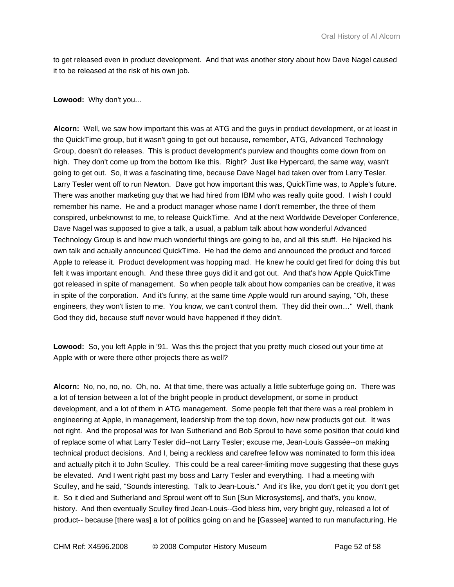to get released even in product development. And that was another story about how Dave Nagel caused it to be released at the risk of his own job.

## **Lowood:** Why don't you...

**Alcorn:** Well, we saw how important this was at ATG and the guys in product development, or at least in the QuickTime group, but it wasn't going to get out because, remember, ATG, Advanced Technology Group, doesn't do releases. This is product development's purview and thoughts come down from on high. They don't come up from the bottom like this. Right? Just like Hypercard, the same way, wasn't going to get out. So, it was a fascinating time, because Dave Nagel had taken over from Larry Tesler. Larry Tesler went off to run Newton. Dave got how important this was, QuickTime was, to Apple's future. There was another marketing guy that we had hired from IBM who was really quite good. I wish I could remember his name. He and a product manager whose name I don't remember, the three of them conspired, unbeknownst to me, to release QuickTime. And at the next Worldwide Developer Conference, Dave Nagel was supposed to give a talk, a usual, a pablum talk about how wonderful Advanced Technology Group is and how much wonderful things are going to be, and all this stuff. He hijacked his own talk and actually announced QuickTime. He had the demo and announced the product and forced Apple to release it. Product development was hopping mad. He knew he could get fired for doing this but felt it was important enough. And these three guys did it and got out. And that's how Apple QuickTime got released in spite of management. So when people talk about how companies can be creative, it was in spite of the corporation. And it's funny, at the same time Apple would run around saying, "Oh, these engineers, they won't listen to me. You know, we can't control them. They did their own…" Well, thank God they did, because stuff never would have happened if they didn't.

**Lowood:** So, you left Apple in '91. Was this the project that you pretty much closed out your time at Apple with or were there other projects there as well?

**Alcorn:** No, no, no, no. Oh, no. At that time, there was actually a little subterfuge going on. There was a lot of tension between a lot of the bright people in product development, or some in product development, and a lot of them in ATG management. Some people felt that there was a real problem in engineering at Apple, in management, leadership from the top down, how new products got out. It was not right. And the proposal was for Ivan Sutherland and Bob Sproul to have some position that could kind of replace some of what Larry Tesler did--not Larry Tesler; excuse me, Jean-Louis Gassée--on making technical product decisions. And I, being a reckless and carefree fellow was nominated to form this idea and actually pitch it to John Sculley. This could be a real career-limiting move suggesting that these guys be elevated. And I went right past my boss and Larry Tesler and everything. I had a meeting with Sculley, and he said, "Sounds interesting. Talk to Jean-Louis." And it's like, you don't get it; you don't get it. So it died and Sutherland and Sproul went off to Sun [Sun Microsystems], and that's, you know, history. And then eventually Sculley fired Jean-Louis--God bless him, very bright guy, released a lot of product-- because [there was] a lot of politics going on and he [Gassee] wanted to run manufacturing. He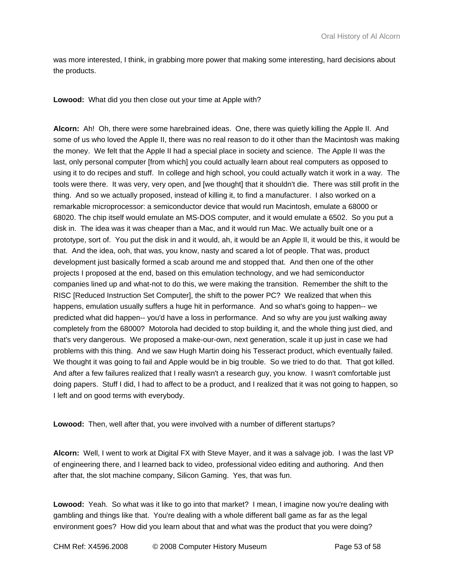was more interested, I think, in grabbing more power that making some interesting, hard decisions about the products.

**Lowood:** What did you then close out your time at Apple with?

**Alcorn:** Ah! Oh, there were some harebrained ideas. One, there was quietly killing the Apple II. And some of us who loved the Apple II, there was no real reason to do it other than the Macintosh was making the money. We felt that the Apple II had a special place in society and science. The Apple II was the last, only personal computer [from which] you could actually learn about real computers as opposed to using it to do recipes and stuff. In college and high school, you could actually watch it work in a way. The tools were there. It was very, very open, and [we thought] that it shouldn't die. There was still profit in the thing. And so we actually proposed, instead of killing it, to find a manufacturer. I also worked on a remarkable microprocessor: a semiconductor device that would run Macintosh, emulate a 68000 or 68020. The chip itself would emulate an MS-DOS computer, and it would emulate a 6502. So you put a disk in. The idea was it was cheaper than a Mac, and it would run Mac. We actually built one or a prototype, sort of. You put the disk in and it would, ah, it would be an Apple II, it would be this, it would be that. And the idea, ooh, that was, you know, nasty and scared a lot of people. That was, product development just basically formed a scab around me and stopped that. And then one of the other projects I proposed at the end, based on this emulation technology, and we had semiconductor companies lined up and what-not to do this, we were making the transition. Remember the shift to the RISC [Reduced Instruction Set Computer], the shift to the power PC? We realized that when this happens, emulation usually suffers a huge hit in performance. And so what's going to happen-- we predicted what did happen-- you'd have a loss in performance. And so why are you just walking away completely from the 68000? Motorola had decided to stop building it, and the whole thing just died, and that's very dangerous. We proposed a make-our-own, next generation, scale it up just in case we had problems with this thing. And we saw Hugh Martin doing his Tesseract product, which eventually failed. We thought it was going to fail and Apple would be in big trouble. So we tried to do that. That got killed. And after a few failures realized that I really wasn't a research guy, you know. I wasn't comfortable just doing papers. Stuff I did, I had to affect to be a product, and I realized that it was not going to happen, so I left and on good terms with everybody.

**Lowood:** Then, well after that, you were involved with a number of different startups?

**Alcorn:** Well, I went to work at Digital FX with Steve Mayer, and it was a salvage job. I was the last VP of engineering there, and I learned back to video, professional video editing and authoring. And then after that, the slot machine company, Silicon Gaming. Yes, that was fun.

Lowood: Yeah. So what was it like to go into that market? I mean, I imagine now you're dealing with gambling and things like that. You're dealing with a whole different ball game as far as the legal environment goes? How did you learn about that and what was the product that you were doing?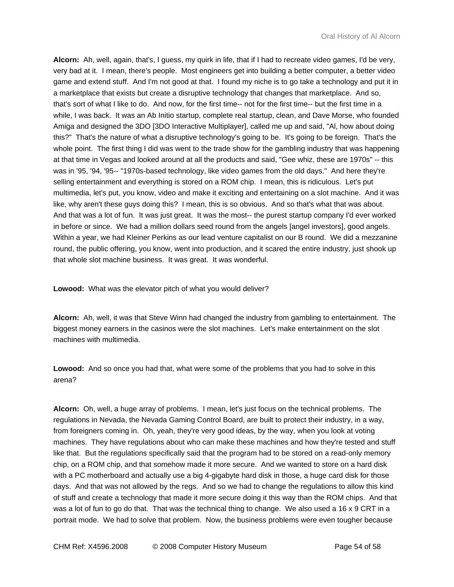**Alcorn:** Ah, well, again, that's, I guess, my quirk in life, that if I had to recreate video games, I'd be very, very bad at it. I mean, there's people. Most engineers get into building a better computer, a better video game and extend stuff. And I'm not good at that. I found my niche is to go take a technology and put it in a marketplace that exists but create a disruptive technology that changes that marketplace. And so, that's sort of what I like to do. And now, for the first time-- not for the first time-- but the first time in a while, I was back. It was an Ab Initio startup, complete real startup, clean, and Dave Morse, who founded Amiga and designed the 3DO [3DO Interactive Multiplayer], called me up and said, "Al, how about doing this?" That's the nature of what a disruptive technology's going to be. It's going to be foreign. That's the whole point. The first thing I did was went to the trade show for the gambling industry that was happening at that time in Vegas and looked around at all the products and said, "Gee whiz, these are 1970s" -- this was in '95, '94, '95-- "1970s-based technology, like video games from the old days." And here they're selling entertainment and everything is stored on a ROM chip. I mean, this is ridiculous. Let's put multimedia, let's put, you know, video and make it exciting and entertaining on a slot machine. And it was like, why aren't these guys doing this? I mean, this is so obvious. And so that's what that was about. And that was a lot of fun. It was just great. It was the most-- the purest startup company I'd ever worked in before or since. We had a million dollars seed round from the angels [angel investors], good angels. Within a year, we had Kleiner Perkins as our lead venture capitalist on our B round. We did a mezzanine round, the public offering, you know, went into production, and it scared the entire industry, just shook up that whole slot machine business. It was great. It was wonderful.

**Lowood:** What was the elevator pitch of what you would deliver?

**Alcorn:** Ah, well, it was that Steve Winn had changed the industry from gambling to entertainment. The biggest money earners in the casinos were the slot machines. Let's make entertainment on the slot machines with multimedia.

**Lowood:** And so once you had that, what were some of the problems that you had to solve in this arena?

**Alcorn:** Oh, well, a huge array of problems. I mean, let's just focus on the technical problems. The regulations in Nevada, the Nevada Gaming Control Board, are built to protect their industry, in a way, from foreigners coming in. Oh, yeah, they're very good ideas, by the way, when you look at voting machines. They have regulations about who can make these machines and how they're tested and stuff like that. But the regulations specifically said that the program had to be stored on a read-only memory chip, on a ROM chip, and that somehow made it more secure. And we wanted to store on a hard disk with a PC motherboard and actually use a big 4-gigabyte hard disk in those, a huge card disk for those days. And that was not allowed by the regs. And so we had to change the regulations to allow this kind of stuff and create a technology that made it more secure doing it this way than the ROM chips. And that was a lot of fun to go do that. That was the technical thing to change. We also used a 16 x 9 CRT in a portrait mode. We had to solve that problem. Now, the business problems were even tougher because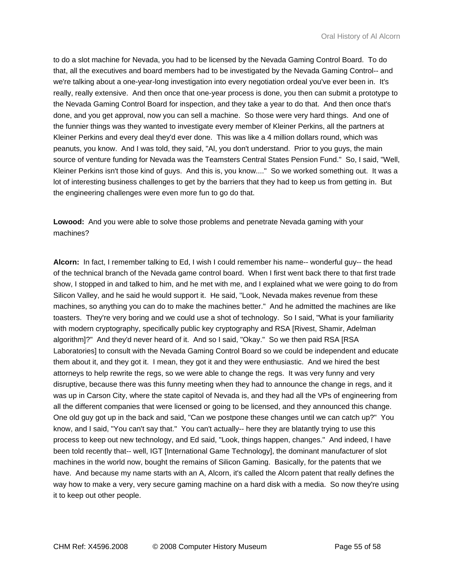to do a slot machine for Nevada, you had to be licensed by the Nevada Gaming Control Board. To do that, all the executives and board members had to be investigated by the Nevada Gaming Control-- and we're talking about a one-year-long investigation into every negotiation ordeal you've ever been in. It's really, really extensive. And then once that one-year process is done, you then can submit a prototype to the Nevada Gaming Control Board for inspection, and they take a year to do that. And then once that's done, and you get approval, now you can sell a machine. So those were very hard things. And one of the funnier things was they wanted to investigate every member of Kleiner Perkins, all the partners at Kleiner Perkins and every deal they'd ever done. This was like a 4 million dollars round, which was peanuts, you know. And I was told, they said, "Al, you don't understand. Prior to you guys, the main source of venture funding for Nevada was the Teamsters Central States Pension Fund." So, I said, "Well, Kleiner Perkins isn't those kind of guys. And this is, you know...." So we worked something out. It was a lot of interesting business challenges to get by the barriers that they had to keep us from getting in. But the engineering challenges were even more fun to go do that.

**Lowood:** And you were able to solve those problems and penetrate Nevada gaming with your machines?

**Alcorn:** In fact, I remember talking to Ed, I wish I could remember his name-- wonderful guy-- the head of the technical branch of the Nevada game control board. When I first went back there to that first trade show, I stopped in and talked to him, and he met with me, and I explained what we were going to do from Silicon Valley, and he said he would support it. He said, "Look, Nevada makes revenue from these machines, so anything you can do to make the machines better." And he admitted the machines are like toasters. They're very boring and we could use a shot of technology. So I said, "What is your familiarity with modern cryptography, specifically public key cryptography and RSA [Rivest, Shamir, Adelman algorithm]?" And they'd never heard of it. And so I said, "Okay." So we then paid RSA [RSA Laboratories] to consult with the Nevada Gaming Control Board so we could be independent and educate them about it, and they got it. I mean, they got it and they were enthusiastic. And we hired the best attorneys to help rewrite the regs, so we were able to change the regs. It was very funny and very disruptive, because there was this funny meeting when they had to announce the change in regs, and it was up in Carson City, where the state capitol of Nevada is, and they had all the VPs of engineering from all the different companies that were licensed or going to be licensed, and they announced this change. One old guy got up in the back and said, "Can we postpone these changes until we can catch up?" You know, and I said, "You can't say that." You can't actually-- here they are blatantly trying to use this process to keep out new technology, and Ed said, "Look, things happen, changes." And indeed, I have been told recently that-- well, IGT [International Game Technology], the dominant manufacturer of slot machines in the world now, bought the remains of Silicon Gaming. Basically, for the patents that we have. And because my name starts with an A, Alcorn, it's called the Alcorn patent that really defines the way how to make a very, very secure gaming machine on a hard disk with a media. So now they're using it to keep out other people.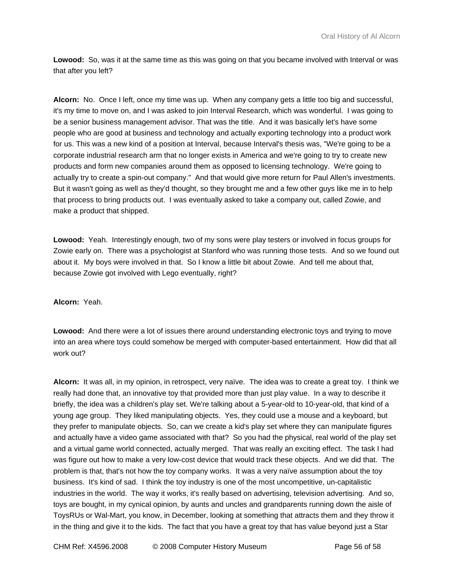**Lowood:** So, was it at the same time as this was going on that you became involved with Interval or was that after you left?

**Alcorn:** No. Once I left, once my time was up. When any company gets a little too big and successful, it's my time to move on, and I was asked to join Interval Research, which was wonderful. I was going to be a senior business management advisor. That was the title. And it was basically let's have some people who are good at business and technology and actually exporting technology into a product work for us. This was a new kind of a position at Interval, because Interval's thesis was, "We're going to be a corporate industrial research arm that no longer exists in America and we're going to try to create new products and form new companies around them as opposed to licensing technology. We're going to actually try to create a spin-out company." And that would give more return for Paul Allen's investments. But it wasn't going as well as they'd thought, so they brought me and a few other guys like me in to help that process to bring products out. I was eventually asked to take a company out, called Zowie, and make a product that shipped.

**Lowood:** Yeah. Interestingly enough, two of my sons were play testers or involved in focus groups for Zowie early on. There was a psychologist at Stanford who was running those tests. And so we found out about it. My boys were involved in that. So I know a little bit about Zowie. And tell me about that, because Zowie got involved with Lego eventually, right?

**Alcorn:** Yeah.

**Lowood:** And there were a lot of issues there around understanding electronic toys and trying to move into an area where toys could somehow be merged with computer-based entertainment. How did that all work out?

**Alcorn:** It was all, in my opinion, in retrospect, very naïve. The idea was to create a great toy. I think we really had done that, an innovative toy that provided more than just play value. In a way to describe it briefly, the idea was a children's play set. We're talking about a 5-year-old to 10-year-old, that kind of a young age group. They liked manipulating objects. Yes, they could use a mouse and a keyboard, but they prefer to manipulate objects. So, can we create a kid's play set where they can manipulate figures and actually have a video game associated with that? So you had the physical, real world of the play set and a virtual game world connected, actually merged. That was really an exciting effect. The task I had was figure out how to make a very low-cost device that would track these objects. And we did that. The problem is that, that's not how the toy company works. It was a very naïve assumption about the toy business. It's kind of sad. I think the toy industry is one of the most uncompetitive, un-capitalistic industries in the world. The way it works, it's really based on advertising, television advertising. And so, toys are bought, in my cynical opinion, by aunts and uncles and grandparents running down the aisle of ToysRUs or Wal-Mart, you know, in December, looking at something that attracts them and they throw it in the thing and give it to the kids. The fact that you have a great toy that has value beyond just a Star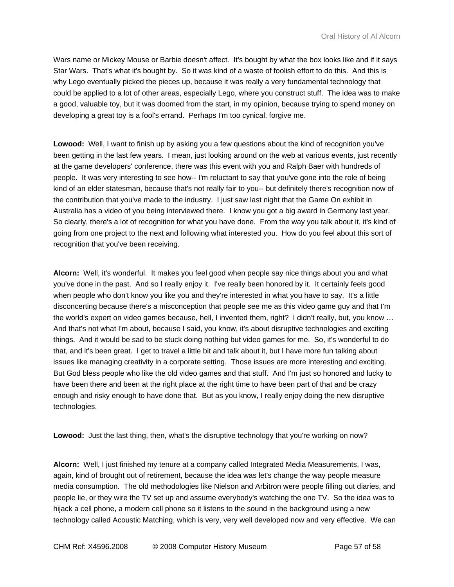Wars name or Mickey Mouse or Barbie doesn't affect. It's bought by what the box looks like and if it says Star Wars. That's what it's bought by. So it was kind of a waste of foolish effort to do this. And this is why Lego eventually picked the pieces up, because it was really a very fundamental technology that could be applied to a lot of other areas, especially Lego, where you construct stuff. The idea was to make a good, valuable toy, but it was doomed from the start, in my opinion, because trying to spend money on developing a great toy is a fool's errand. Perhaps I'm too cynical, forgive me.

**Lowood:** Well, I want to finish up by asking you a few questions about the kind of recognition you've been getting in the last few years. I mean, just looking around on the web at various events, just recently at the game developers' conference, there was this event with you and Ralph Baer with hundreds of people. It was very interesting to see how-- I'm reluctant to say that you've gone into the role of being kind of an elder statesman, because that's not really fair to you-- but definitely there's recognition now of the contribution that you've made to the industry. I just saw last night that the Game On exhibit in Australia has a video of you being interviewed there. I know you got a big award in Germany last year. So clearly, there's a lot of recognition for what you have done. From the way you talk about it, it's kind of going from one project to the next and following what interested you. How do you feel about this sort of recognition that you've been receiving.

**Alcorn:** Well, it's wonderful. It makes you feel good when people say nice things about you and what you've done in the past. And so I really enjoy it. I've really been honored by it. It certainly feels good when people who don't know you like you and they're interested in what you have to say. It's a little disconcerting because there's a misconception that people see me as this video game guy and that I'm the world's expert on video games because, hell, I invented them, right? I didn't really, but, you know … And that's not what I'm about, because I said, you know, it's about disruptive technologies and exciting things. And it would be sad to be stuck doing nothing but video games for me. So, it's wonderful to do that, and it's been great. I get to travel a little bit and talk about it, but I have more fun talking about issues like managing creativity in a corporate setting. Those issues are more interesting and exciting. But God bless people who like the old video games and that stuff. And I'm just so honored and lucky to have been there and been at the right place at the right time to have been part of that and be crazy enough and risky enough to have done that. But as you know, I really enjoy doing the new disruptive technologies.

**Lowood:** Just the last thing, then, what's the disruptive technology that you're working on now?

**Alcorn:** Well, I just finished my tenure at a company called Integrated Media Measurements. I was, again, kind of brought out of retirement, because the idea was let's change the way people measure media consumption. The old methodologies like Nielson and Arbitron were people filling out diaries, and people lie, or they wire the TV set up and assume everybody's watching the one TV. So the idea was to hijack a cell phone, a modern cell phone so it listens to the sound in the background using a new technology called Acoustic Matching, which is very, very well developed now and very effective. We can